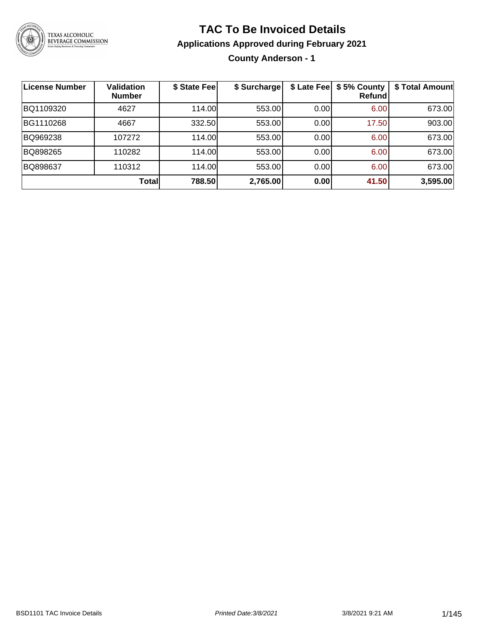

### **TAC To Be Invoiced Details**

#### **Applications Approved during February 2021**

**County Anderson - 1**

| <b>License Number</b> | <b>Validation</b><br><b>Number</b> | \$ State Fee | \$ Surcharge | \$ Late Fee | \$5% County<br>Refundl | \$ Total Amount |
|-----------------------|------------------------------------|--------------|--------------|-------------|------------------------|-----------------|
| BQ1109320             | 4627                               | 114.00       | 553.00       | 0.00        | 6.00                   | 673.00          |
| BG1110268             | 4667                               | 332.50       | 553.00       | 0.00        | 17.50                  | 903.00          |
| BQ969238              | 107272                             | 114.00       | 553.00       | 0.00        | 6.00                   | 673.00          |
| BQ898265              | 110282                             | 114.00L      | 553.00       | 0.00        | 6.00                   | 673.00          |
| BQ898637              | 110312                             | 114.00       | 553.00       | 0.00        | 6.00                   | 673.00          |
|                       | Total                              | 788.50       | 2,765.00     | 0.00        | 41.50                  | 3,595.00        |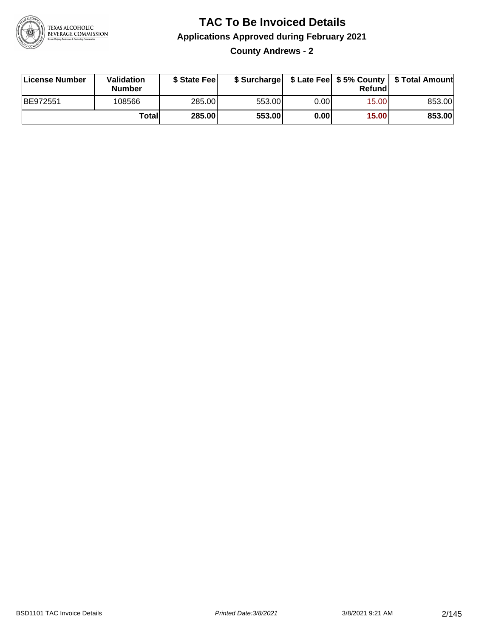

**County Andrews - 2**

| License Number  | Validation<br><b>Number</b> | \$ State Fee | \$ Surcharge |      | Refundl | \$ Late Fee   \$5% County   \$ Total Amount |
|-----------------|-----------------------------|--------------|--------------|------|---------|---------------------------------------------|
| <b>BE972551</b> | 108566                      | 285.00       | 553.00       | 0.00 | 15.00   | 853.00                                      |
|                 | Totall                      | 285.00       | 553.00       | 0.00 | 15.00   | 853.00                                      |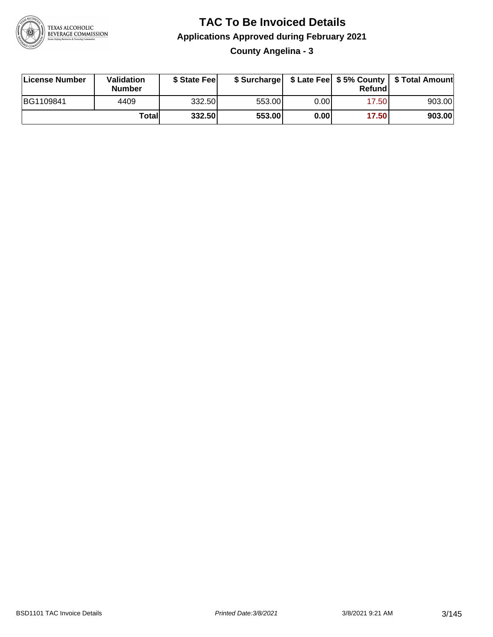

**County Angelina - 3**

| License Number | Validation<br><b>Number</b> | \$ State Fee |        |          | Refund | \$ Surcharge   \$ Late Fee   \$5% County   \$ Total Amount |
|----------------|-----------------------------|--------------|--------|----------|--------|------------------------------------------------------------|
| BG1109841      | 4409                        | 332.50       | 553.00 | $0.00\,$ | 17.501 | 903.00                                                     |
|                | Totall                      | 332.50       | 553.00 | 0.00     | 17.50  | 903.00                                                     |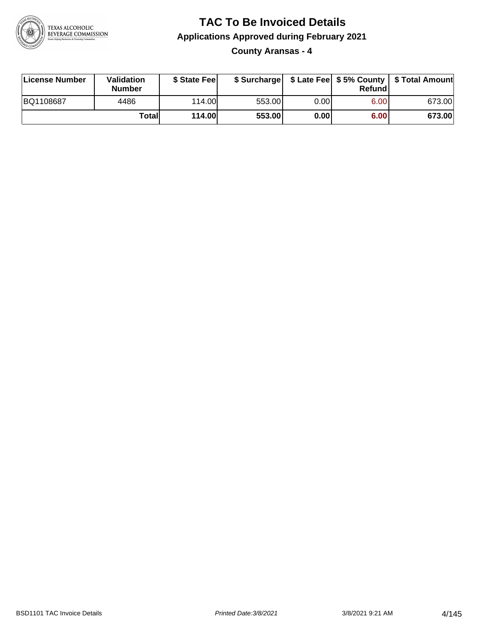

**County Aransas - 4**

| License Number | <b>Validation</b><br><b>Number</b> | \$ State Fee  | \$ Surcharge |      | Refundl |        |
|----------------|------------------------------------|---------------|--------------|------|---------|--------|
| BQ1108687      | 4486                               | 114.00L       | 553.00       | 0.00 | 6.00    | 673.00 |
|                | Totall                             | <b>114.00</b> | 553.00       | 0.00 | 6.00    | 673.00 |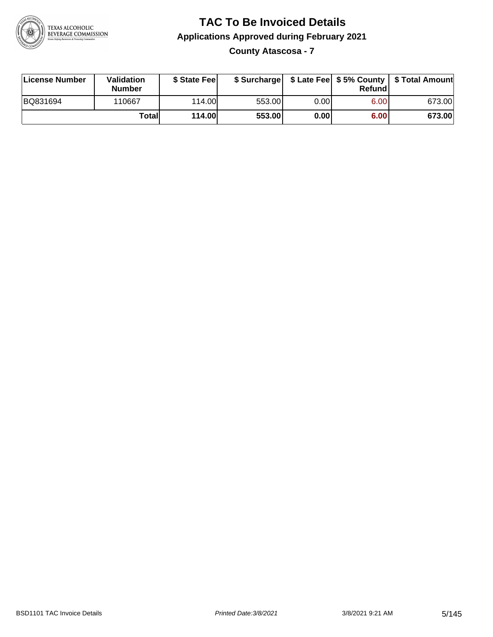

**County Atascosa - 7**

| License Number | Validation<br><b>Number</b> | \$ State Fee  | \$ Surcharge |      | Refundl | \$ Late Fee   \$5% County   \$ Total Amount |
|----------------|-----------------------------|---------------|--------------|------|---------|---------------------------------------------|
| BQ831694       | 110667                      | 114.00        | 553.00       | 0.00 | 6.00    | 673.00                                      |
|                | Totall                      | <b>114.00</b> | 553.00       | 0.00 | 6.00    | 673.00                                      |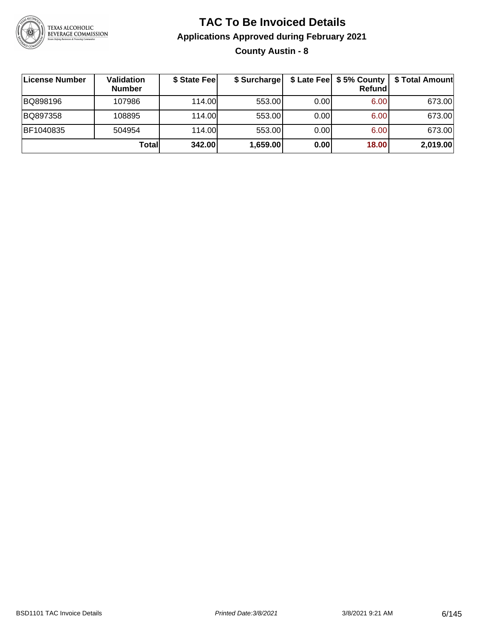

#### **TAC To Be Invoiced Details Applications Approved during February 2021 County Austin - 8**

| License Number | Validation<br><b>Number</b> | \$ State Fee | \$ Surcharge |      | $$$ Late Fee $$5%$ County<br>Refundl | \$ Total Amount |
|----------------|-----------------------------|--------------|--------------|------|--------------------------------------|-----------------|
| BQ898196       | 107986                      | 114.00       | 553.00       | 0.00 | 6.00                                 | 673.00          |
| BQ897358       | 108895                      | 114.00       | 553.00       | 0.00 | 6.00                                 | 673.00          |
| BF1040835      | 504954                      | 114.00       | 553.00       | 0.00 | 6.00                                 | 673.00          |
|                | Totall                      | 342.00       | 1,659.00     | 0.00 | 18.00                                | 2,019.00        |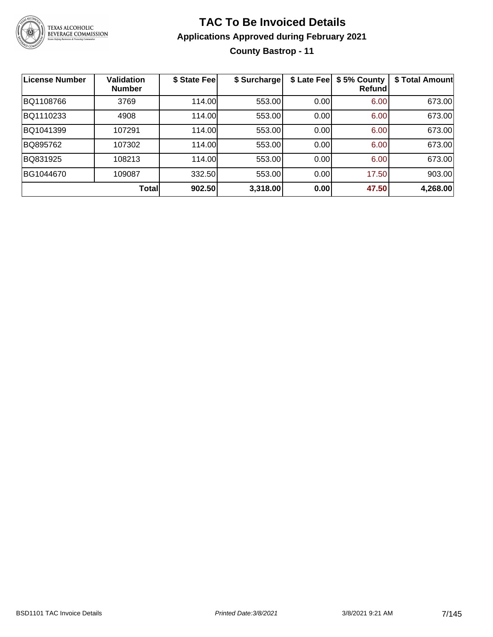

#### **TAC To Be Invoiced Details Applications Approved during February 2021 County Bastrop - 11**

| <b>License Number</b> | <b>Validation</b><br><b>Number</b> | \$ State Fee | \$ Surcharge | \$ Late Fee | \$5% County<br>Refundl | \$ Total Amount |
|-----------------------|------------------------------------|--------------|--------------|-------------|------------------------|-----------------|
| BQ1108766             | 3769                               | 114.00       | 553.00       | 0.00        | 6.00                   | 673.00          |
| BQ1110233             | 4908                               | 114.00       | 553.00       | 0.00        | 6.00                   | 673.00          |
| BQ1041399             | 107291                             | 114.00       | 553.00       | 0.00        | 6.00                   | 673.00          |
| BQ895762              | 107302                             | 114.00       | 553.00       | 0.00        | 6.00                   | 673.00          |
| BQ831925              | 108213                             | 114.00       | 553.00       | 0.00        | 6.00                   | 673.00          |
| BG1044670             | 109087                             | 332.50       | 553.00       | 0.00        | 17.50                  | 903.00          |
|                       | <b>Total</b>                       | 902.50       | 3,318.00     | 0.00        | 47.50                  | 4,268.00        |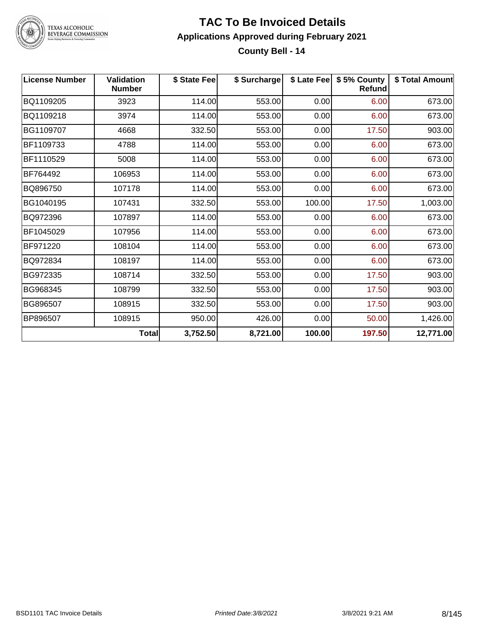

#### **TAC To Be Invoiced Details Applications Approved during February 2021 County Bell - 14**

| <b>License Number</b> | <b>Validation</b><br><b>Number</b> | \$ State Fee | \$ Surcharge |        | \$ Late Fee   \$5% County<br><b>Refund</b> | \$ Total Amount |
|-----------------------|------------------------------------|--------------|--------------|--------|--------------------------------------------|-----------------|
| BQ1109205             | 3923                               | 114.00       | 553.00       | 0.00   | 6.00                                       | 673.00          |
| BQ1109218             | 3974                               | 114.00       | 553.00       | 0.00   | 6.00                                       | 673.00          |
| BG1109707             | 4668                               | 332.50       | 553.00       | 0.00   | 17.50                                      | 903.00          |
| BF1109733             | 4788                               | 114.00       | 553.00       | 0.00   | 6.00                                       | 673.00          |
| BF1110529             | 5008                               | 114.00       | 553.00       | 0.00   | 6.00                                       | 673.00          |
| BF764492              | 106953                             | 114.00       | 553.00       | 0.00   | 6.00                                       | 673.00          |
| BQ896750              | 107178                             | 114.00       | 553.00       | 0.00   | 6.00                                       | 673.00          |
| BG1040195             | 107431                             | 332.50       | 553.00       | 100.00 | 17.50                                      | 1,003.00        |
| BQ972396              | 107897                             | 114.00       | 553.00       | 0.00   | 6.00                                       | 673.00          |
| BF1045029             | 107956                             | 114.00       | 553.00       | 0.00   | 6.00                                       | 673.00          |
| BF971220              | 108104                             | 114.00       | 553.00       | 0.00   | 6.00                                       | 673.00          |
| BQ972834              | 108197                             | 114.00       | 553.00       | 0.00   | 6.00                                       | 673.00          |
| BG972335              | 108714                             | 332.50       | 553.00       | 0.00   | 17.50                                      | 903.00          |
| BG968345              | 108799                             | 332.50       | 553.00       | 0.00   | 17.50                                      | 903.00          |
| BG896507              | 108915                             | 332.50       | 553.00       | 0.00   | 17.50                                      | 903.00          |
| BP896507              | 108915                             | 950.00       | 426.00       | 0.00   | 50.00                                      | 1,426.00        |
|                       | <b>Total</b>                       | 3,752.50     | 8,721.00     | 100.00 | 197.50                                     | 12,771.00       |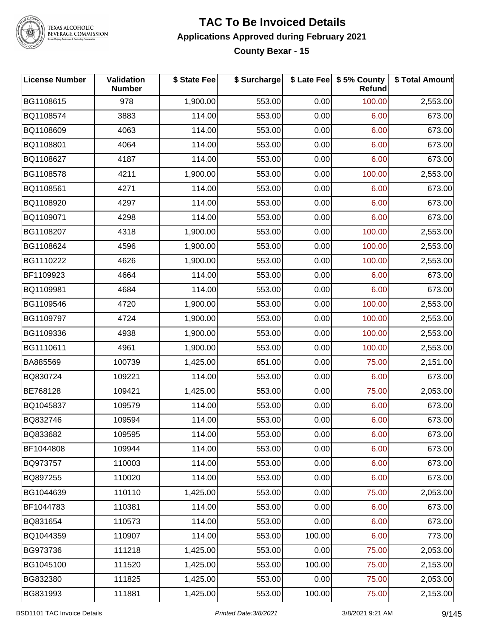

#### **TAC To Be Invoiced Details Applications Approved during February 2021 County Bexar - 15**

| <b>License Number</b> | Validation<br><b>Number</b> | \$ State Fee | \$ Surcharge |        | \$ Late Fee   \$5% County<br>Refund | \$ Total Amount |
|-----------------------|-----------------------------|--------------|--------------|--------|-------------------------------------|-----------------|
| BG1108615             | 978                         | 1,900.00     | 553.00       | 0.00   | 100.00                              | 2,553.00        |
| BQ1108574             | 3883                        | 114.00       | 553.00       | 0.00   | 6.00                                | 673.00          |
| BQ1108609             | 4063                        | 114.00       | 553.00       | 0.00   | 6.00                                | 673.00          |
| BQ1108801             | 4064                        | 114.00       | 553.00       | 0.00   | 6.00                                | 673.00          |
| BQ1108627             | 4187                        | 114.00       | 553.00       | 0.00   | 6.00                                | 673.00          |
| BG1108578             | 4211                        | 1,900.00     | 553.00       | 0.00   | 100.00                              | 2,553.00        |
| BQ1108561             | 4271                        | 114.00       | 553.00       | 0.00   | 6.00                                | 673.00          |
| BQ1108920             | 4297                        | 114.00       | 553.00       | 0.00   | 6.00                                | 673.00          |
| BQ1109071             | 4298                        | 114.00       | 553.00       | 0.00   | 6.00                                | 673.00          |
| BG1108207             | 4318                        | 1,900.00     | 553.00       | 0.00   | 100.00                              | 2,553.00        |
| BG1108624             | 4596                        | 1,900.00     | 553.00       | 0.00   | 100.00                              | 2,553.00        |
| BG1110222             | 4626                        | 1,900.00     | 553.00       | 0.00   | 100.00                              | 2,553.00        |
| BF1109923             | 4664                        | 114.00       | 553.00       | 0.00   | 6.00                                | 673.00          |
| BQ1109981             | 4684                        | 114.00       | 553.00       | 0.00   | 6.00                                | 673.00          |
| BG1109546             | 4720                        | 1,900.00     | 553.00       | 0.00   | 100.00                              | 2,553.00        |
| BG1109797             | 4724                        | 1,900.00     | 553.00       | 0.00   | 100.00                              | 2,553.00        |
| BG1109336             | 4938                        | 1,900.00     | 553.00       | 0.00   | 100.00                              | 2,553.00        |
| BG1110611             | 4961                        | 1,900.00     | 553.00       | 0.00   | 100.00                              | 2,553.00        |
| BA885569              | 100739                      | 1,425.00     | 651.00       | 0.00   | 75.00                               | 2,151.00        |
| BQ830724              | 109221                      | 114.00       | 553.00       | 0.00   | 6.00                                | 673.00          |
| BE768128              | 109421                      | 1,425.00     | 553.00       | 0.00   | 75.00                               | 2,053.00        |
| BQ1045837             | 109579                      | 114.00       | 553.00       | 0.00   | 6.00                                | 673.00          |
| BQ832746              | 109594                      | 114.00       | 553.00       | 0.00   | 6.00                                | 673.00          |
| BQ833682              | 109595                      | 114.00       | 553.00       | 0.00   | 6.00                                | 673.00          |
| BF1044808             | 109944                      | 114.00       | 553.00       | 0.00   | 6.00                                | 673.00          |
| BQ973757              | 110003                      | 114.00       | 553.00       | 0.00   | 6.00                                | 673.00          |
| BQ897255              | 110020                      | 114.00       | 553.00       | 0.00   | 6.00                                | 673.00          |
| BG1044639             | 110110                      | 1,425.00     | 553.00       | 0.00   | 75.00                               | 2,053.00        |
| BF1044783             | 110381                      | 114.00       | 553.00       | 0.00   | 6.00                                | 673.00          |
| BQ831654              | 110573                      | 114.00       | 553.00       | 0.00   | 6.00                                | 673.00          |
| BQ1044359             | 110907                      | 114.00       | 553.00       | 100.00 | 6.00                                | 773.00          |
| BG973736              | 111218                      | 1,425.00     | 553.00       | 0.00   | 75.00                               | 2,053.00        |
| BG1045100             | 111520                      | 1,425.00     | 553.00       | 100.00 | 75.00                               | 2,153.00        |
| BG832380              | 111825                      | 1,425.00     | 553.00       | 0.00   | 75.00                               | 2,053.00        |
| BG831993              | 111881                      | 1,425.00     | 553.00       | 100.00 | 75.00                               | 2,153.00        |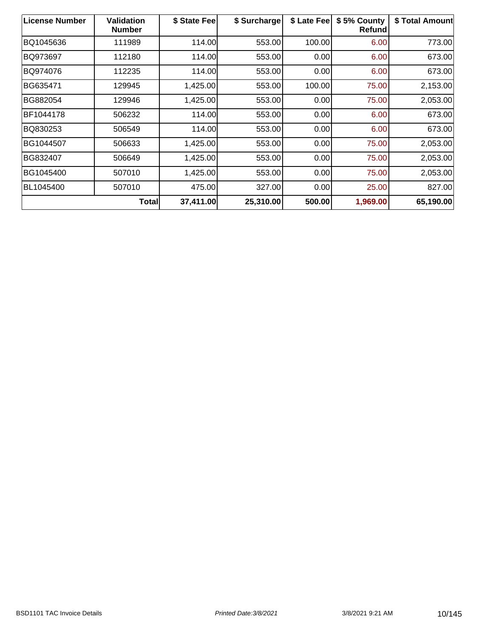| <b>License Number</b> | <b>Validation</b><br><b>Number</b> | \$ State Fee | \$ Surcharge | \$ Late Fee | \$5% County<br><b>Refund</b> | \$ Total Amount |
|-----------------------|------------------------------------|--------------|--------------|-------------|------------------------------|-----------------|
| BQ1045636             | 111989                             | 114.00       | 553.00       | 100.00      | 6.00                         | 773.00          |
| BQ973697              | 112180                             | 114.00       | 553.00       | 0.00        | 6.00                         | 673.00          |
| BQ974076              | 112235                             | 114.00       | 553.00       | 0.00        | 6.00                         | 673.00          |
| BG635471              | 129945                             | 1,425.00     | 553.00       | 100.00      | 75.00                        | 2,153.00        |
| BG882054              | 129946                             | 1,425.00     | 553.00       | 0.00        | 75.00                        | 2,053.00        |
| BF1044178             | 506232                             | 114.00       | 553.00       | 0.00        | 6.00                         | 673.00          |
| BQ830253              | 506549                             | 114.00       | 553.00       | 0.00        | 6.00                         | 673.00          |
| BG1044507             | 506633                             | 1,425.00     | 553.00       | 0.00        | 75.00                        | 2,053.00        |
| BG832407              | 506649                             | 1,425.00     | 553.00       | 0.00        | 75.00                        | 2,053.00        |
| BG1045400             | 507010                             | 1,425.00     | 553.00       | 0.00        | 75.00                        | 2,053.00        |
| BL1045400             | 507010                             | 475.00       | 327.00       | 0.00        | 25.00                        | 827.00          |
|                       | <b>Total</b>                       | 37,411.00    | 25,310.00    | 500.00      | 1,969.00                     | 65,190.00       |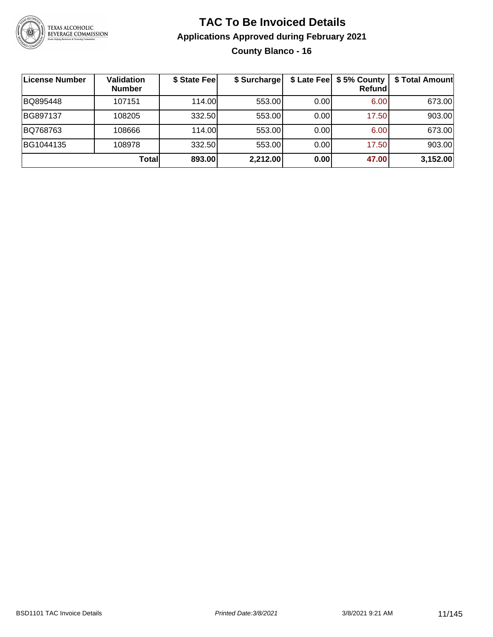

#### **TAC To Be Invoiced Details Applications Approved during February 2021 County Blanco - 16**

| License Number | <b>Validation</b><br><b>Number</b> | \$ State Fee | \$ Surcharge |      | \$ Late Fee   \$5% County  <br>Refundl | \$ Total Amount |
|----------------|------------------------------------|--------------|--------------|------|----------------------------------------|-----------------|
| BQ895448       | 107151                             | 114.00       | 553.00       | 0.00 | 6.00 <sub>1</sub>                      | 673.00          |
| BG897137       | 108205                             | 332.50       | 553.00       | 0.00 | 17.50                                  | 903.00          |
| BQ768763       | 108666                             | 114.00       | 553.00       | 0.00 | 6.00                                   | 673.00          |
| BG1044135      | 108978                             | 332.50       | 553.00       | 0.00 | 17.50                                  | 903.00          |
|                | Totall                             | 893.00       | 2,212.00     | 0.00 | 47.00                                  | 3,152.00        |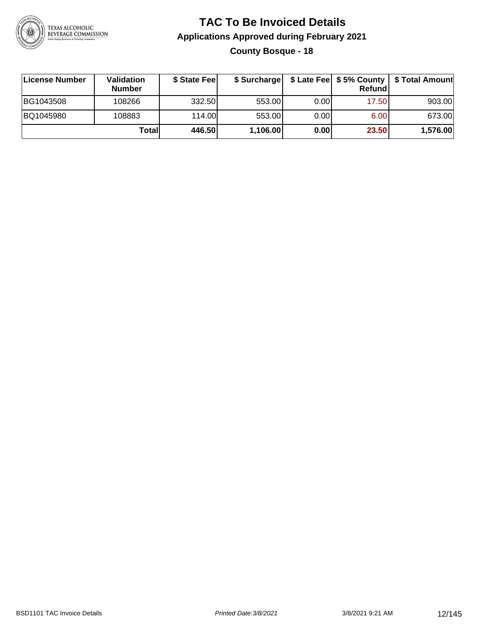

#### **TAC To Be Invoiced Details Applications Approved during February 2021 County Bosque - 18**

| License Number | <b>Validation</b><br><b>Number</b> | \$ State Fee | \$ Surcharge |      | <b>Refund</b> | \$ Late Fee   \$5% County   \$ Total Amount |
|----------------|------------------------------------|--------------|--------------|------|---------------|---------------------------------------------|
| BG1043508      | 108266                             | 332.50       | 553.00       | 0.00 | 17.50         | 903.00                                      |
| BQ1045980      | 108883                             | 114.00       | 553.00       | 0.00 | 6.00          | 673.00                                      |
|                | Totall                             | 446.50       | 1,106.00     | 0.00 | 23.50         | 1,576.00                                    |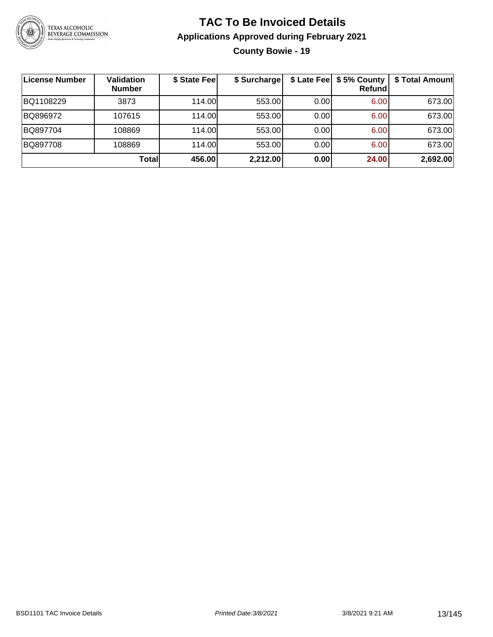

#### **TAC To Be Invoiced Details Applications Approved during February 2021 County Bowie - 19**

| License Number | <b>Validation</b><br><b>Number</b> | \$ State Fee | \$ Surcharge |      | \$ Late Fee   \$5% County<br>Refundl | \$ Total Amount |
|----------------|------------------------------------|--------------|--------------|------|--------------------------------------|-----------------|
| BQ1108229      | 3873                               | 114.00       | 553.00       | 0.00 | 6.00                                 | 673.00          |
| BQ896972       | 107615                             | 114.00L      | 553.00       | 0.00 | 6.00                                 | 673.00          |
| BQ897704       | 108869                             | 114.00       | 553.00       | 0.00 | 6.00                                 | 673.00          |
| BQ897708       | 108869                             | 114.00L      | 553.00       | 0.00 | 6.00                                 | 673.00          |
|                | <b>Total</b>                       | 456.00       | 2,212.00     | 0.00 | 24.00                                | 2,692.00        |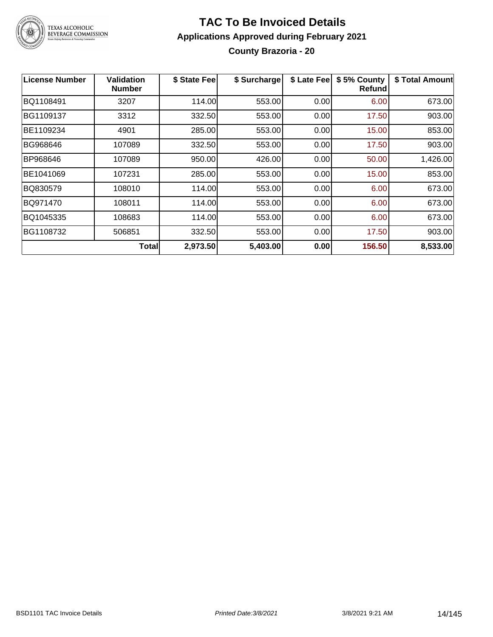

#### **TAC To Be Invoiced Details Applications Approved during February 2021 County Brazoria - 20**

| License Number | Validation<br><b>Number</b> | \$ State Fee | \$ Surcharge | \$ Late Fee | \$5% County<br><b>Refund</b> | \$ Total Amount |
|----------------|-----------------------------|--------------|--------------|-------------|------------------------------|-----------------|
| BQ1108491      | 3207                        | 114.00       | 553.00       | 0.00        | 6.00                         | 673.00          |
| BG1109137      | 3312                        | 332.50       | 553.00       | 0.00        | 17.50                        | 903.00          |
| BE1109234      | 4901                        | 285.00       | 553.00       | 0.00        | 15.00                        | 853.00          |
| BG968646       | 107089                      | 332.50       | 553.00       | 0.00        | 17.50                        | 903.00          |
| BP968646       | 107089                      | 950.00       | 426.00       | 0.00        | 50.00                        | 1,426.00        |
| BE1041069      | 107231                      | 285.00       | 553.00       | 0.00        | 15.00                        | 853.00          |
| BQ830579       | 108010                      | 114.00       | 553.00       | 0.00        | 6.00                         | 673.00          |
| BQ971470       | 108011                      | 114.00       | 553.00       | 0.00        | 6.00                         | 673.00          |
| BQ1045335      | 108683                      | 114.00       | 553.00       | 0.00        | 6.00                         | 673.00          |
| BG1108732      | 506851                      | 332.50       | 553.00       | 0.00        | 17.50                        | 903.00          |
|                | Totall                      | 2,973.50     | 5,403.00     | 0.00        | 156.50                       | 8,533.00        |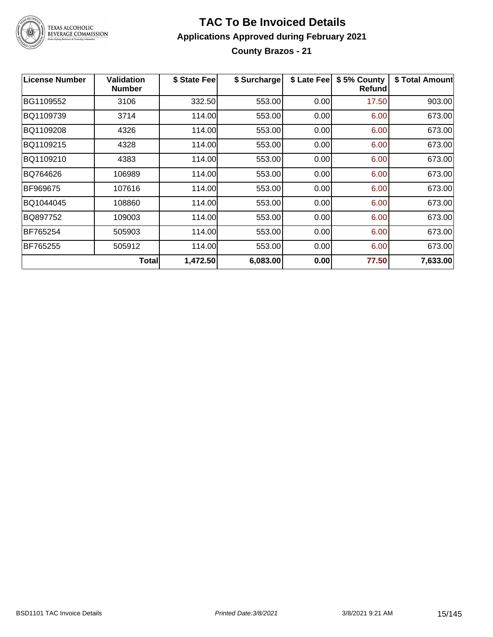

#### **TAC To Be Invoiced Details Applications Approved during February 2021 County Brazos - 21**

| <b>License Number</b> | <b>Validation</b><br><b>Number</b> | \$ State Fee | \$ Surcharge | \$ Late Fee | \$5% County<br><b>Refund</b> | \$ Total Amount |
|-----------------------|------------------------------------|--------------|--------------|-------------|------------------------------|-----------------|
| BG1109552             | 3106                               | 332.50       | 553.00       | 0.00        | 17.50                        | 903.00          |
| BQ1109739             | 3714                               | 114.00       | 553.00       | 0.00        | 6.00                         | 673.00          |
| BQ1109208             | 4326                               | 114.00       | 553.00       | 0.00        | 6.00                         | 673.00          |
| BQ1109215             | 4328                               | 114.00       | 553.00       | 0.00        | 6.00                         | 673.00          |
| BQ1109210             | 4383                               | 114.00       | 553.00       | 0.00        | 6.00                         | 673.00          |
| BQ764626              | 106989                             | 114.00       | 553.00       | 0.00        | 6.00                         | 673.00          |
| BF969675              | 107616                             | 114.00       | 553.00       | 0.00        | 6.00                         | 673.00          |
| BQ1044045             | 108860                             | 114.00       | 553.00       | 0.00        | 6.00                         | 673.00          |
| BQ897752              | 109003                             | 114.00       | 553.00       | 0.00        | 6.00                         | 673.00          |
| BF765254              | 505903                             | 114.00       | 553.00       | 0.00        | 6.00                         | 673.00          |
| BF765255              | 505912                             | 114.00       | 553.00       | 0.00        | 6.00                         | 673.00          |
|                       | Total                              | 1,472.50     | 6,083.00     | 0.00        | 77.50                        | 7,633.00        |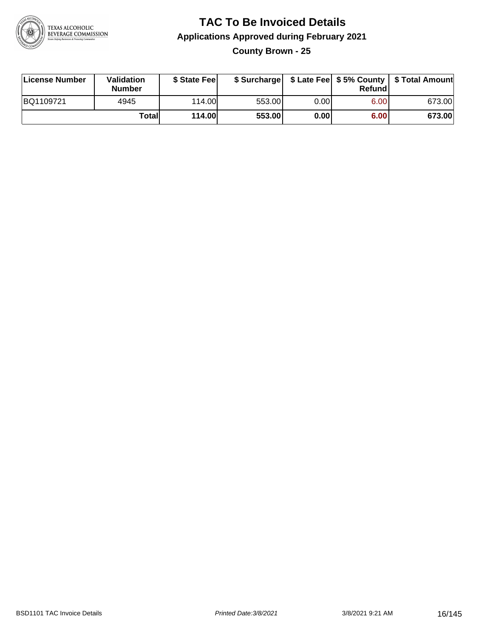

**County Brown - 25**

| License Number | Validation<br><b>Number</b> | \$ State Fee  | \$ Surcharge |      | Refundl | \$ Late Fee   \$5% County   \$ Total Amount |
|----------------|-----------------------------|---------------|--------------|------|---------|---------------------------------------------|
| BQ1109721      | 4945                        | 114.00        | 553.00       | 0.00 | 6.00    | 673.00                                      |
|                | Totall                      | <b>114.00</b> | 553.00       | 0.00 | 6.00    | 673.00                                      |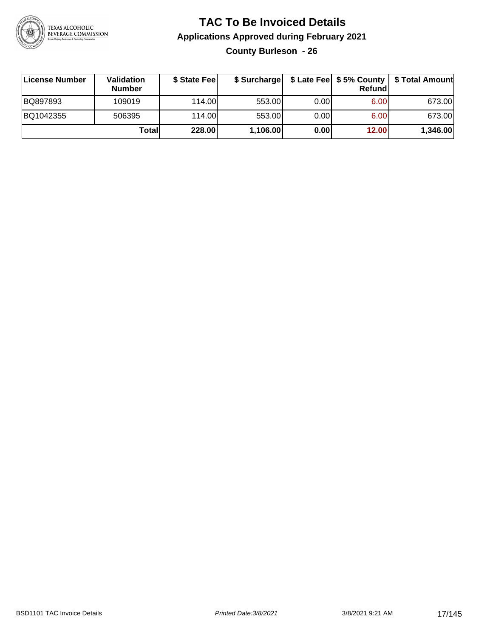

**County Burleson - 26**

| ∣License Number | <b>Validation</b><br><b>Number</b> | \$ State Fee | \$ Surcharge |       | <b>Refund</b> | \$ Late Fee   \$5% County   \$ Total Amount |
|-----------------|------------------------------------|--------------|--------------|-------|---------------|---------------------------------------------|
| BQ897893        | 109019                             | 114.00       | 553.00       | 0.001 | 6.00          | 673.00                                      |
| BQ1042355       | 506395                             | 114.00       | 553.00       | 0.001 | 6.00          | 673.00                                      |
|                 | Totall                             | 228.00       | 1,106.00     | 0.00  | 12.00         | 1,346.00                                    |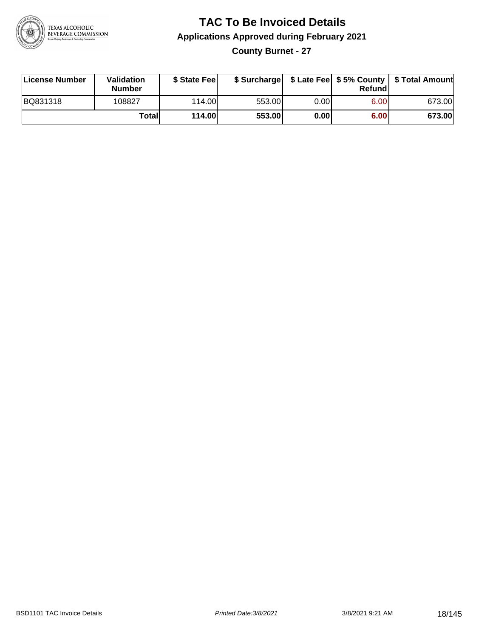

#### **TAC To Be Invoiced Details Applications Approved during February 2021 County Burnet - 27**

| License Number | Validation<br><b>Number</b> | \$ State Fee |        |       | Refundl | \$ Surcharge   \$ Late Fee   \$5% County   \$ Total Amount |
|----------------|-----------------------------|--------------|--------|-------|---------|------------------------------------------------------------|
| BQ831318       | 108827                      | 114.00L      | 553.00 | 0.001 | 6.00    | 673.00                                                     |
|                | Totall                      | 114.00       | 553.00 | 0.00  | 6.00    | 673.00                                                     |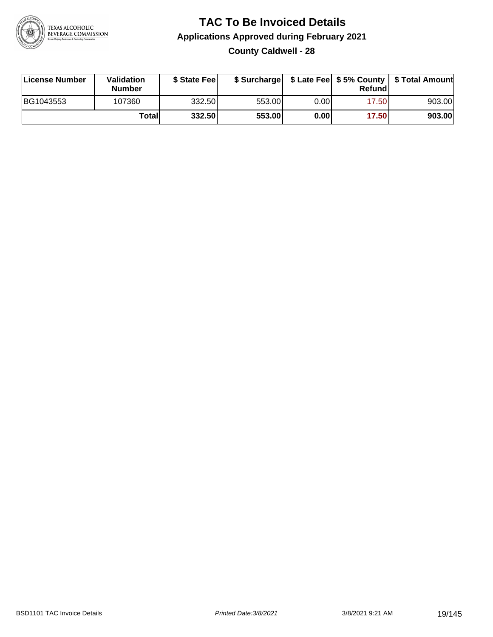

#### **TAC To Be Invoiced Details Applications Approved during February 2021 County Caldwell - 28**

| License Number | Validation<br><b>Number</b> | \$ State Fee |        |      | Refundl | \$ Surcharge   \$ Late Fee   \$5% County   \$ Total Amount |
|----------------|-----------------------------|--------------|--------|------|---------|------------------------------------------------------------|
| BG1043553      | 107360                      | 332.50       | 553.00 | 0.00 | 17.50   | 903.00                                                     |
|                | Totall                      | 332.50       | 553.00 | 0.00 | 17.50   | 903.00                                                     |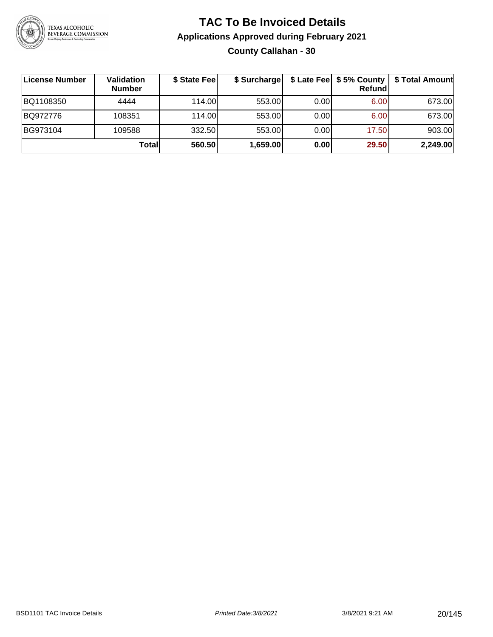

#### **TAC To Be Invoiced Details Applications Approved during February 2021 County Callahan - 30**

| License Number | Validation<br><b>Number</b> | \$ State Fee | \$ Surcharge |       | Refundl | \$ Late Fee   \$5% County   \$ Total Amount |
|----------------|-----------------------------|--------------|--------------|-------|---------|---------------------------------------------|
| BQ1108350      | 4444                        | 114.00       | 553.00       | 0.001 | 6.00    | 673.00                                      |
| BQ972776       | 108351                      | 114.00       | 553.00       | 0.001 | 6.00    | 673.00                                      |
| BG973104       | 109588                      | 332.50       | 553.00       | 0.001 | 17.50   | 903.00                                      |
|                | Totall                      | 560.50       | 1,659.00     | 0.00  | 29.50   | 2,249.00                                    |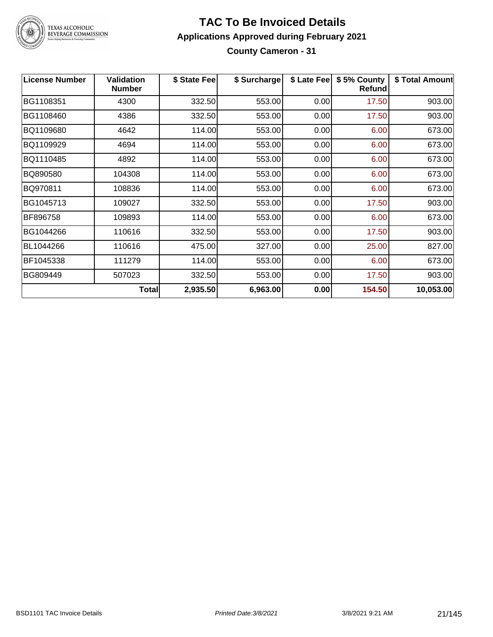

#### **TAC To Be Invoiced Details Applications Approved during February 2021 County Cameron - 31**

| <b>License Number</b> | <b>Validation</b><br><b>Number</b> | \$ State Fee | \$ Surcharge | \$ Late Fee | \$5% County<br><b>Refund</b> | \$ Total Amount |
|-----------------------|------------------------------------|--------------|--------------|-------------|------------------------------|-----------------|
| BG1108351             | 4300                               | 332.50       | 553.00       | 0.00        | 17.50                        | 903.00          |
| BG1108460             | 4386                               | 332.50       | 553.00       | 0.00        | 17.50                        | 903.00          |
| BQ1109680             | 4642                               | 114.00       | 553.00       | 0.00        | 6.00                         | 673.00          |
| BQ1109929             | 4694                               | 114.00       | 553.00       | 0.00        | 6.00                         | 673.00          |
| BQ1110485             | 4892                               | 114.00       | 553.00       | 0.00        | 6.00                         | 673.00          |
| BQ890580              | 104308                             | 114.00       | 553.00       | 0.00        | 6.00                         | 673.00          |
| BQ970811              | 108836                             | 114.00       | 553.00       | 0.00        | 6.00                         | 673.00          |
| BG1045713             | 109027                             | 332.50       | 553.00       | 0.00        | 17.50                        | 903.00          |
| BF896758              | 109893                             | 114.00       | 553.00       | 0.00        | 6.00                         | 673.00          |
| BG1044266             | 110616                             | 332.50       | 553.00       | 0.00        | 17.50                        | 903.00          |
| BL1044266             | 110616                             | 475.00       | 327.00       | 0.00        | 25.00                        | 827.00          |
| BF1045338             | 111279                             | 114.00       | 553.00       | 0.00        | 6.00                         | 673.00          |
| BG809449              | 507023                             | 332.50       | 553.00       | 0.00        | 17.50                        | 903.00          |
|                       | <b>Total</b>                       | 2,935.50     | 6,963.00     | 0.00        | 154.50                       | 10,053.00       |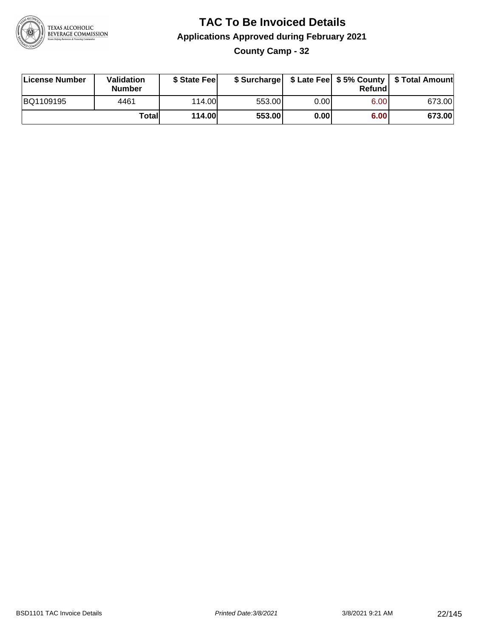

**County Camp - 32**

| License Number | Validation<br><b>Number</b> | \$ State Feel | \$ Surcharge |       | Refundl | \$ Late Fee   \$5% County   \$ Total Amount |
|----------------|-----------------------------|---------------|--------------|-------|---------|---------------------------------------------|
| BQ1109195      | 4461                        | 114.00        | 553.00       | 0.001 | 6.00    | 673.00                                      |
|                | Totall                      | <b>114.00</b> | 553.00       | 0.00  | 6.00    | 673.00                                      |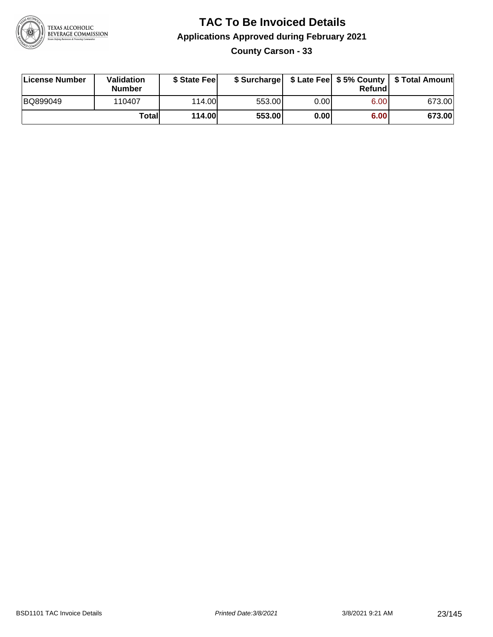

**County Carson - 33**

| License Number | Validation<br><b>Number</b> | \$ State Feel | \$ Surcharge |      | Refundl |        |
|----------------|-----------------------------|---------------|--------------|------|---------|--------|
| BQ899049       | 110407                      | 114.00        | 553.00       | 0.00 | 6.00    | 673.00 |
|                | Totall                      | <b>114.00</b> | 553.00       | 0.00 | 6.00    | 673.00 |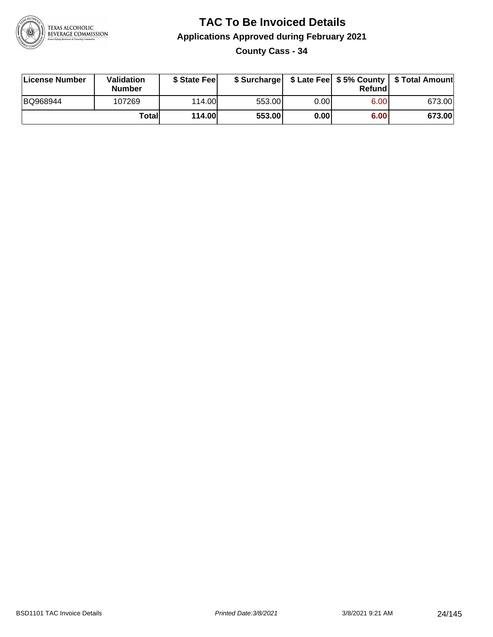

**County Cass - 34**

| License Number | Validation<br><b>Number</b> | \$ State Feel | \$ Surcharge |      | Refundl | \$ Late Fee   \$5% County   \$ Total Amount |
|----------------|-----------------------------|---------------|--------------|------|---------|---------------------------------------------|
| BQ968944       | 107269                      | 114.00        | 553.00       | 0.00 | 6.00    | 673.00                                      |
|                | Totall                      | <b>114.00</b> | 553.00       | 0.00 | 6.00    | 673.00                                      |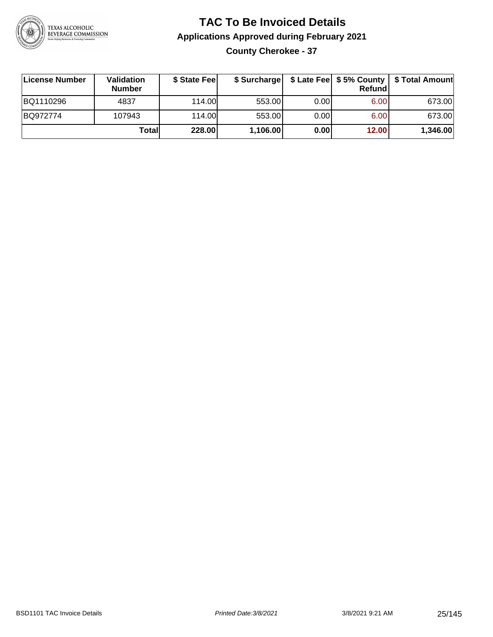

#### **TAC To Be Invoiced Details Applications Approved during February 2021 County Cherokee - 37**

| License Number | Validation<br><b>Number</b> | \$ State Fee |          |      | Refund | \$ Surcharge   \$ Late Fee   \$5% County   \$ Total Amount |
|----------------|-----------------------------|--------------|----------|------|--------|------------------------------------------------------------|
| BQ1110296      | 4837                        | 114.00L      | 553.00   | 0.00 | 6.00   | 673.00                                                     |
| BQ972774       | 107943                      | 114.00L      | 553.00   | 0.00 | 6.00   | 673.00                                                     |
|                | Totall                      | 228.00       | 1,106.00 | 0.00 | 12.00  | 1,346.00                                                   |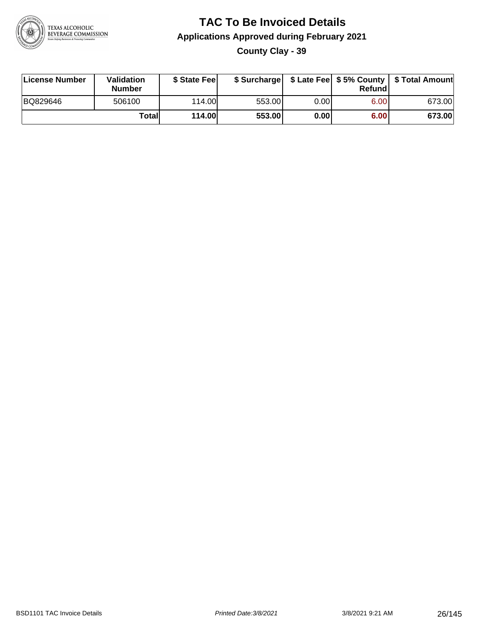

**County Clay - 39**

| License Number | Validation<br><b>Number</b> | \$ State Feel | \$ Surcharge |       | Refund | \$ Late Fee   \$5% County   \$ Total Amount |
|----------------|-----------------------------|---------------|--------------|-------|--------|---------------------------------------------|
| BQ829646       | 506100                      | 114.00        | 553.00       | 0.001 | 6.00   | 673.00                                      |
|                | Totall                      | 114.00        | 553.00       | 0.00  | 6.00   | 673.00                                      |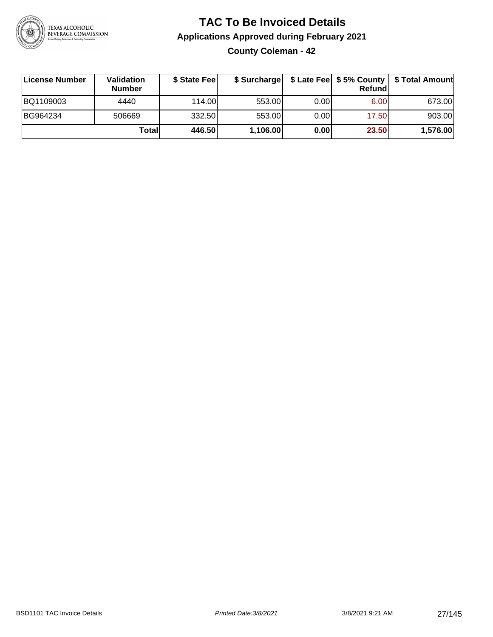

**County Coleman - 42**

| ∣License Number | <b>Validation</b><br><b>Number</b> | \$ State Fee |          |      | <b>Refund</b> | \$ Surcharge   \$ Late Fee   \$5% County   \$ Total Amount |
|-----------------|------------------------------------|--------------|----------|------|---------------|------------------------------------------------------------|
| BQ1109003       | 4440                               | 114.00L      | 553.00   | 0.00 | 6.00          | 673.00                                                     |
| BG964234        | 506669                             | 332.50       | 553.00   | 0.00 | 17.50         | 903.00                                                     |
|                 | Totall                             | 446.50       | 1,106.00 | 0.00 | 23.50         | 1,576.00                                                   |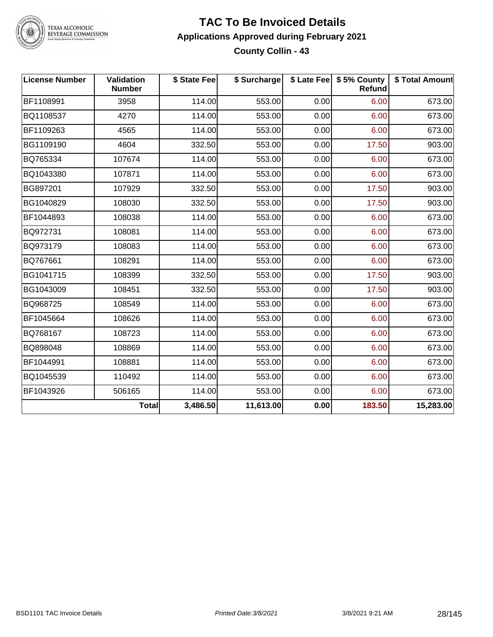

#### **TAC To Be Invoiced Details Applications Approved during February 2021 County Collin - 43**

| <b>License Number</b> | <b>Validation</b><br><b>Number</b> | \$ State Fee | \$ Surcharge |      | \$ Late Fee   \$5% County<br>Refund | \$ Total Amount |
|-----------------------|------------------------------------|--------------|--------------|------|-------------------------------------|-----------------|
| BF1108991             | 3958                               | 114.00       | 553.00       | 0.00 | 6.00                                | 673.00          |
| BQ1108537             | 4270                               | 114.00       | 553.00       | 0.00 | 6.00                                | 673.00          |
| BF1109263             | 4565                               | 114.00       | 553.00       | 0.00 | 6.00                                | 673.00          |
| BG1109190             | 4604                               | 332.50       | 553.00       | 0.00 | 17.50                               | 903.00          |
| BQ765334              | 107674                             | 114.00       | 553.00       | 0.00 | 6.00                                | 673.00          |
| BQ1043380             | 107871                             | 114.00       | 553.00       | 0.00 | 6.00                                | 673.00          |
| BG897201              | 107929                             | 332.50       | 553.00       | 0.00 | 17.50                               | 903.00          |
| BG1040829             | 108030                             | 332.50       | 553.00       | 0.00 | 17.50                               | 903.00          |
| BF1044893             | 108038                             | 114.00       | 553.00       | 0.00 | 6.00                                | 673.00          |
| BQ972731              | 108081                             | 114.00       | 553.00       | 0.00 | 6.00                                | 673.00          |
| BQ973179              | 108083                             | 114.00       | 553.00       | 0.00 | 6.00                                | 673.00          |
| BQ767661              | 108291                             | 114.00       | 553.00       | 0.00 | 6.00                                | 673.00          |
| BG1041715             | 108399                             | 332.50       | 553.00       | 0.00 | 17.50                               | 903.00          |
| BG1043009             | 108451                             | 332.50       | 553.00       | 0.00 | 17.50                               | 903.00          |
| BQ968725              | 108549                             | 114.00       | 553.00       | 0.00 | 6.00                                | 673.00          |
| BF1045664             | 108626                             | 114.00       | 553.00       | 0.00 | 6.00                                | 673.00          |
| BQ768167              | 108723                             | 114.00       | 553.00       | 0.00 | 6.00                                | 673.00          |
| BQ898048              | 108869                             | 114.00       | 553.00       | 0.00 | 6.00                                | 673.00          |
| BF1044991             | 108881                             | 114.00       | 553.00       | 0.00 | 6.00                                | 673.00          |
| BQ1045539             | 110492                             | 114.00       | 553.00       | 0.00 | 6.00                                | 673.00          |
| BF1043926             | 506165                             | 114.00       | 553.00       | 0.00 | 6.00                                | 673.00          |
|                       | <b>Total</b>                       | 3,486.50     | 11,613.00    | 0.00 | 183.50                              | 15,283.00       |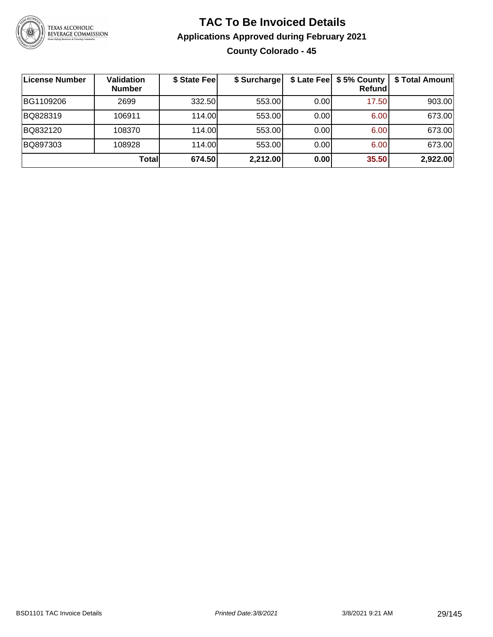

#### **TAC To Be Invoiced Details Applications Approved during February 2021 County Colorado - 45**

| License Number | <b>Validation</b><br><b>Number</b> | \$ State Fee | \$ Surcharge |       | \$ Late Fee   \$5% County  <br>Refundl | \$ Total Amount |
|----------------|------------------------------------|--------------|--------------|-------|----------------------------------------|-----------------|
| BG1109206      | 2699                               | 332.50       | 553.00       | 0.00  | 17.50                                  | 903.00          |
| BQ828319       | 106911                             | 114.00       | 553.00       | 0.001 | 6.00                                   | 673.00          |
| BQ832120       | 108370                             | 114.00       | 553.00       | 0.00  | 6.00                                   | 673.00          |
| BQ897303       | 108928                             | 114.00       | 553.00       | 0.00  | 6.00                                   | 673.00          |
|                | <b>Total</b>                       | 674.50       | 2,212.00     | 0.00  | 35.50                                  | 2,922.00        |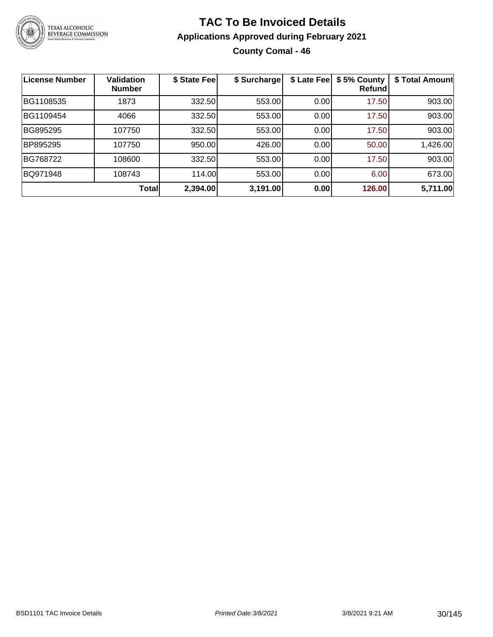

#### **TAC To Be Invoiced Details Applications Approved during February 2021 County Comal - 46**

| <b>License Number</b> | Validation<br><b>Number</b> | \$ State Fee | \$ Surcharge | \$ Late Fee | \$5% County<br>Refundl | \$ Total Amount |
|-----------------------|-----------------------------|--------------|--------------|-------------|------------------------|-----------------|
| BG1108535             | 1873                        | 332.50       | 553.00       | 0.00        | 17.50                  | 903.00          |
| BG1109454             | 4066                        | 332.50       | 553.00       | 0.00        | 17.50                  | 903.00          |
| BG895295              | 107750                      | 332.50       | 553.00       | 0.00        | 17.50                  | 903.00          |
| BP895295              | 107750                      | 950.00       | 426.00       | 0.00        | 50.00                  | 1,426.00        |
| BG768722              | 108600                      | 332.50       | 553.00       | 0.00        | 17.50                  | 903.00          |
| BQ971948              | 108743                      | 114.00       | 553.00       | 0.00        | 6.00                   | 673.00          |
|                       | <b>Total</b>                | 2,394.00     | 3,191.00     | 0.00        | 126.00                 | 5,711.00        |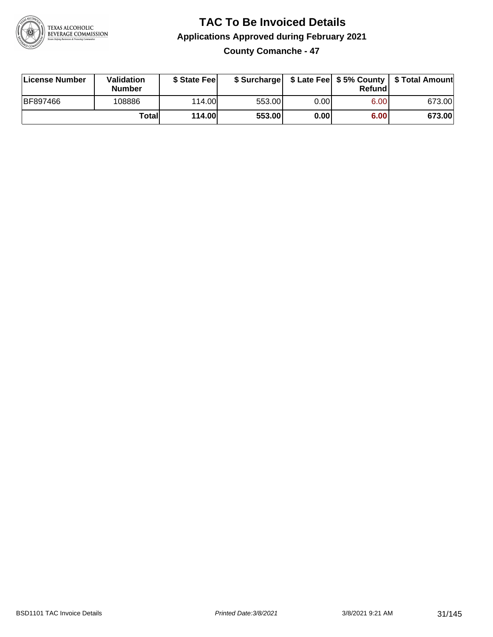

#### **TAC To Be Invoiced Details Applications Approved during February 2021 County Comanche - 47**

| Validation    | \$ State Fee |  | \$ Surcharge   \$ Late Fee   \$5% County   \$ |  |
|---------------|--------------|--|-----------------------------------------------|--|
| <b>Number</b> |              |  | Refundl                                       |  |

| License Number | <b>Validation</b><br><b>Number</b> | \$ State Feel |        |      | Refundl | \$ Surcharge   \$ Late Fee   \$5% County   \$ Total Amount |
|----------------|------------------------------------|---------------|--------|------|---------|------------------------------------------------------------|
| BF897466       | 108886                             | 114.00L       | 553.00 | 0.00 | 6.00    | 673.00                                                     |
|                | Totall                             | <b>114.00</b> | 553.00 | 0.00 | 6.00    | 673.00                                                     |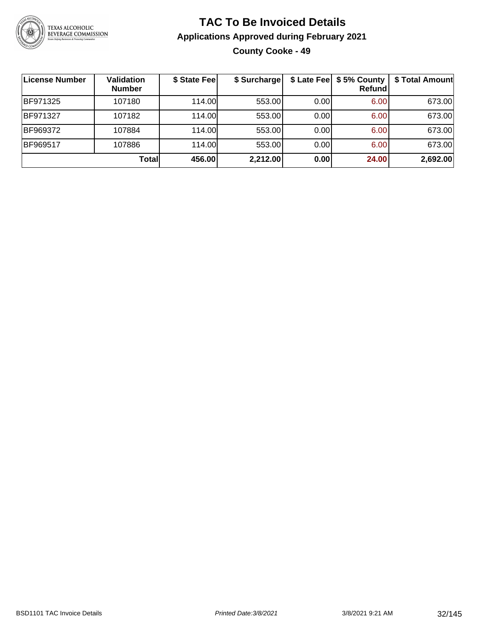

#### **TAC To Be Invoiced Details Applications Approved during February 2021 County Cooke - 49**

| License Number | <b>Validation</b><br><b>Number</b> | \$ State Fee | \$ Surcharge |      | \$ Late Fee   \$5% County  <br><b>Refund</b> | \$ Total Amount |
|----------------|------------------------------------|--------------|--------------|------|----------------------------------------------|-----------------|
| BF971325       | 107180                             | 114.00       | 553.00       | 0.00 | 6.00                                         | 673.00          |
| BF971327       | 107182                             | 114.00       | 553.00       | 0.00 | 6.00                                         | 673.00          |
| BF969372       | 107884                             | 114.00       | 553.00       | 0.00 | 6.00                                         | 673.00          |
| BF969517       | 107886                             | 114.00       | 553.00       | 0.00 | 6.00                                         | 673.00          |
|                | Total                              | 456.00       | 2,212.00     | 0.00 | 24.00                                        | 2,692.00        |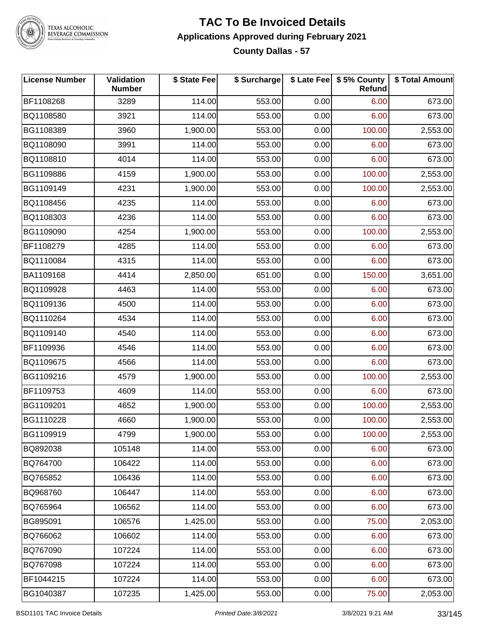

#### **TAC To Be Invoiced Details Applications Approved during February 2021 County Dallas - 57**

| <b>License Number</b> | Validation<br><b>Number</b> | \$ State Fee | \$ Surcharge |      | \$ Late Fee   \$5% County<br><b>Refund</b> | \$ Total Amount |
|-----------------------|-----------------------------|--------------|--------------|------|--------------------------------------------|-----------------|
| BF1108268             | 3289                        | 114.00       | 553.00       | 0.00 | 6.00                                       | 673.00          |
| BQ1108580             | 3921                        | 114.00       | 553.00       | 0.00 | 6.00                                       | 673.00          |
| BG1108389             | 3960                        | 1,900.00     | 553.00       | 0.00 | 100.00                                     | 2,553.00        |
| BQ1108090             | 3991                        | 114.00       | 553.00       | 0.00 | 6.00                                       | 673.00          |
| BQ1108810             | 4014                        | 114.00       | 553.00       | 0.00 | 6.00                                       | 673.00          |
| BG1109886             | 4159                        | 1,900.00     | 553.00       | 0.00 | 100.00                                     | 2,553.00        |
| BG1109149             | 4231                        | 1,900.00     | 553.00       | 0.00 | 100.00                                     | 2,553.00        |
| BQ1108456             | 4235                        | 114.00       | 553.00       | 0.00 | 6.00                                       | 673.00          |
| BQ1108303             | 4236                        | 114.00       | 553.00       | 0.00 | 6.00                                       | 673.00          |
| BG1109090             | 4254                        | 1,900.00     | 553.00       | 0.00 | 100.00                                     | 2,553.00        |
| BF1108279             | 4285                        | 114.00       | 553.00       | 0.00 | 6.00                                       | 673.00          |
| BQ1110084             | 4315                        | 114.00       | 553.00       | 0.00 | 6.00                                       | 673.00          |
| BA1109168             | 4414                        | 2,850.00     | 651.00       | 0.00 | 150.00                                     | 3,651.00        |
| BQ1109928             | 4463                        | 114.00       | 553.00       | 0.00 | 6.00                                       | 673.00          |
| BQ1109136             | 4500                        | 114.00       | 553.00       | 0.00 | 6.00                                       | 673.00          |
| BQ1110264             | 4534                        | 114.00       | 553.00       | 0.00 | 6.00                                       | 673.00          |
| BQ1109140             | 4540                        | 114.00       | 553.00       | 0.00 | 6.00                                       | 673.00          |
| BF1109936             | 4546                        | 114.00       | 553.00       | 0.00 | 6.00                                       | 673.00          |
| BQ1109675             | 4566                        | 114.00       | 553.00       | 0.00 | 6.00                                       | 673.00          |
| BG1109216             | 4579                        | 1,900.00     | 553.00       | 0.00 | 100.00                                     | 2,553.00        |
| BF1109753             | 4609                        | 114.00       | 553.00       | 0.00 | 6.00                                       | 673.00          |
| BG1109201             | 4652                        | 1,900.00     | 553.00       | 0.00 | 100.00                                     | 2,553.00        |
| BG1110228             | 4660                        | 1,900.00     | 553.00       | 0.00 | 100.00                                     | 2,553.00        |
| BG1109919             | 4799                        | 1,900.00     | 553.00       | 0.00 | 100.00                                     | 2,553.00        |
| BQ892038              | 105148                      | 114.00       | 553.00       | 0.00 | 6.00                                       | 673.00          |
| BQ764700              | 106422                      | 114.00       | 553.00       | 0.00 | 6.00                                       | 673.00          |
| BQ765852              | 106436                      | 114.00       | 553.00       | 0.00 | 6.00                                       | 673.00          |
| BQ968760              | 106447                      | 114.00       | 553.00       | 0.00 | 6.00                                       | 673.00          |
| BQ765964              | 106562                      | 114.00       | 553.00       | 0.00 | 6.00                                       | 673.00          |
| BG895091              | 106576                      | 1,425.00     | 553.00       | 0.00 | 75.00                                      | 2,053.00        |
| BQ766062              | 106602                      | 114.00       | 553.00       | 0.00 | 6.00                                       | 673.00          |
| BQ767090              | 107224                      | 114.00       | 553.00       | 0.00 | 6.00                                       | 673.00          |
| BQ767098              | 107224                      | 114.00       | 553.00       | 0.00 | 6.00                                       | 673.00          |
| BF1044215             | 107224                      | 114.00       | 553.00       | 0.00 | 6.00                                       | 673.00          |
| BG1040387             | 107235                      | 1,425.00     | 553.00       | 0.00 | 75.00                                      | 2,053.00        |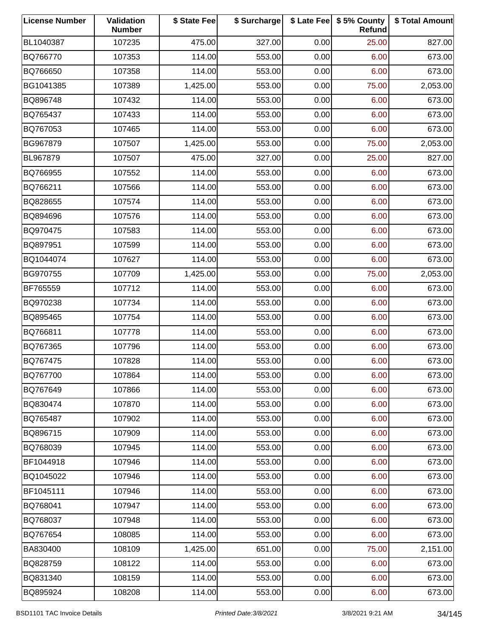| <b>License Number</b> | Validation<br><b>Number</b> | \$ State Fee | \$ Surcharge |      | \$ Late Fee   \$5% County<br>Refund | \$ Total Amount |
|-----------------------|-----------------------------|--------------|--------------|------|-------------------------------------|-----------------|
| BL1040387             | 107235                      | 475.00       | 327.00       | 0.00 | 25.00                               | 827.00          |
| BQ766770              | 107353                      | 114.00       | 553.00       | 0.00 | 6.00                                | 673.00          |
| BQ766650              | 107358                      | 114.00       | 553.00       | 0.00 | 6.00                                | 673.00          |
| BG1041385             | 107389                      | 1,425.00     | 553.00       | 0.00 | 75.00                               | 2,053.00        |
| BQ896748              | 107432                      | 114.00       | 553.00       | 0.00 | 6.00                                | 673.00          |
| BQ765437              | 107433                      | 114.00       | 553.00       | 0.00 | 6.00                                | 673.00          |
| BQ767053              | 107465                      | 114.00       | 553.00       | 0.00 | 6.00                                | 673.00          |
| BG967879              | 107507                      | 1,425.00     | 553.00       | 0.00 | 75.00                               | 2,053.00        |
| BL967879              | 107507                      | 475.00       | 327.00       | 0.00 | 25.00                               | 827.00          |
| BQ766955              | 107552                      | 114.00       | 553.00       | 0.00 | 6.00                                | 673.00          |
| BQ766211              | 107566                      | 114.00       | 553.00       | 0.00 | 6.00                                | 673.00          |
| BQ828655              | 107574                      | 114.00       | 553.00       | 0.00 | 6.00                                | 673.00          |
| BQ894696              | 107576                      | 114.00       | 553.00       | 0.00 | 6.00                                | 673.00          |
| BQ970475              | 107583                      | 114.00       | 553.00       | 0.00 | 6.00                                | 673.00          |
| BQ897951              | 107599                      | 114.00       | 553.00       | 0.00 | 6.00                                | 673.00          |
| BQ1044074             | 107627                      | 114.00       | 553.00       | 0.00 | 6.00                                | 673.00          |
| BG970755              | 107709                      | 1,425.00     | 553.00       | 0.00 | 75.00                               | 2,053.00        |
| BF765559              | 107712                      | 114.00       | 553.00       | 0.00 | 6.00                                | 673.00          |
| BQ970238              | 107734                      | 114.00       | 553.00       | 0.00 | 6.00                                | 673.00          |
| BQ895465              | 107754                      | 114.00       | 553.00       | 0.00 | 6.00                                | 673.00          |
| BQ766811              | 107778                      | 114.00       | 553.00       | 0.00 | 6.00                                | 673.00          |
| BQ767365              | 107796                      | 114.00       | 553.00       | 0.00 | 6.00                                | 673.00          |
| BQ767475              | 107828                      | 114.00       | 553.00       | 0.00 | 6.00                                | 673.00          |
| BQ767700              | 107864                      | 114.00       | 553.00       | 0.00 | 6.00                                | 673.00          |
| BQ767649              | 107866                      | 114.00       | 553.00       | 0.00 | 6.00                                | 673.00          |
| BQ830474              | 107870                      | 114.00       | 553.00       | 0.00 | 6.00                                | 673.00          |
| BQ765487              | 107902                      | 114.00       | 553.00       | 0.00 | 6.00                                | 673.00          |
| BQ896715              | 107909                      | 114.00       | 553.00       | 0.00 | 6.00                                | 673.00          |
| BQ768039              | 107945                      | 114.00       | 553.00       | 0.00 | 6.00                                | 673.00          |
| BF1044918             | 107946                      | 114.00       | 553.00       | 0.00 | 6.00                                | 673.00          |
| BQ1045022             | 107946                      | 114.00       | 553.00       | 0.00 | 6.00                                | 673.00          |
| BF1045111             | 107946                      | 114.00       | 553.00       | 0.00 | 6.00                                | 673.00          |
| BQ768041              | 107947                      | 114.00       | 553.00       | 0.00 | 6.00                                | 673.00          |
| BQ768037              | 107948                      | 114.00       | 553.00       | 0.00 | 6.00                                | 673.00          |
| BQ767654              | 108085                      | 114.00       | 553.00       | 0.00 | 6.00                                | 673.00          |
| BA830400              | 108109                      | 1,425.00     | 651.00       | 0.00 | 75.00                               | 2,151.00        |
| BQ828759              | 108122                      | 114.00       | 553.00       | 0.00 | 6.00                                | 673.00          |
| BQ831340              | 108159                      | 114.00       | 553.00       | 0.00 | 6.00                                | 673.00          |
| BQ895924              | 108208                      | 114.00       | 553.00       | 0.00 | 6.00                                | 673.00          |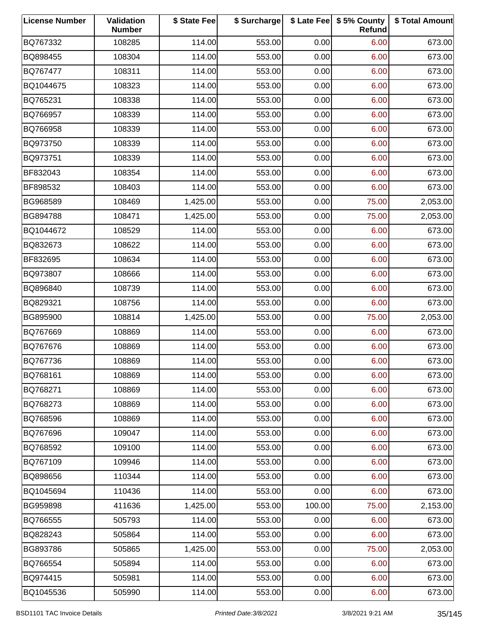| <b>License Number</b> | Validation<br><b>Number</b> | \$ State Fee | \$ Surcharge |        | \$ Late Fee   \$5% County<br>Refund | \$ Total Amount |
|-----------------------|-----------------------------|--------------|--------------|--------|-------------------------------------|-----------------|
| BQ767332              | 108285                      | 114.00       | 553.00       | 0.00   | 6.00                                | 673.00          |
| BQ898455              | 108304                      | 114.00       | 553.00       | 0.00   | 6.00                                | 673.00          |
| BQ767477              | 108311                      | 114.00       | 553.00       | 0.00   | 6.00                                | 673.00          |
| BQ1044675             | 108323                      | 114.00       | 553.00       | 0.00   | 6.00                                | 673.00          |
| BQ765231              | 108338                      | 114.00       | 553.00       | 0.00   | 6.00                                | 673.00          |
| BQ766957              | 108339                      | 114.00       | 553.00       | 0.00   | 6.00                                | 673.00          |
| BQ766958              | 108339                      | 114.00       | 553.00       | 0.00   | 6.00                                | 673.00          |
| BQ973750              | 108339                      | 114.00       | 553.00       | 0.00   | 6.00                                | 673.00          |
| BQ973751              | 108339                      | 114.00       | 553.00       | 0.00   | 6.00                                | 673.00          |
| BF832043              | 108354                      | 114.00       | 553.00       | 0.00   | 6.00                                | 673.00          |
| BF898532              | 108403                      | 114.00       | 553.00       | 0.00   | 6.00                                | 673.00          |
| BG968589              | 108469                      | 1,425.00     | 553.00       | 0.00   | 75.00                               | 2,053.00        |
| BG894788              | 108471                      | 1,425.00     | 553.00       | 0.00   | 75.00                               | 2,053.00        |
| BQ1044672             | 108529                      | 114.00       | 553.00       | 0.00   | 6.00                                | 673.00          |
| BQ832673              | 108622                      | 114.00       | 553.00       | 0.00   | 6.00                                | 673.00          |
| BF832695              | 108634                      | 114.00       | 553.00       | 0.00   | 6.00                                | 673.00          |
| BQ973807              | 108666                      | 114.00       | 553.00       | 0.00   | 6.00                                | 673.00          |
| BQ896840              | 108739                      | 114.00       | 553.00       | 0.00   | 6.00                                | 673.00          |
| BQ829321              | 108756                      | 114.00       | 553.00       | 0.00   | 6.00                                | 673.00          |
| BG895900              | 108814                      | 1,425.00     | 553.00       | 0.00   | 75.00                               | 2,053.00        |
| BQ767669              | 108869                      | 114.00       | 553.00       | 0.00   | 6.00                                | 673.00          |
| BQ767676              | 108869                      | 114.00       | 553.00       | 0.00   | 6.00                                | 673.00          |
| BQ767736              | 108869                      | 114.00       | 553.00       | 0.00   | 6.00                                | 673.00          |
| BQ768161              | 108869                      | 114.00       | 553.00       | 0.00   | 6.00                                | 673.00          |
| BQ768271              | 108869                      | 114.00       | 553.00       | 0.00   | 6.00                                | 673.00          |
| BQ768273              | 108869                      | 114.00       | 553.00       | 0.00   | 6.00                                | 673.00          |
| BQ768596              | 108869                      | 114.00       | 553.00       | 0.00   | 6.00                                | 673.00          |
| BQ767696              | 109047                      | 114.00       | 553.00       | 0.00   | 6.00                                | 673.00          |
| BQ768592              | 109100                      | 114.00       | 553.00       | 0.00   | 6.00                                | 673.00          |
| BQ767109              | 109946                      | 114.00       | 553.00       | 0.00   | 6.00                                | 673.00          |
| BQ898656              | 110344                      | 114.00       | 553.00       | 0.00   | 6.00                                | 673.00          |
| BQ1045694             | 110436                      | 114.00       | 553.00       | 0.00   | 6.00                                | 673.00          |
| BG959898              | 411636                      | 1,425.00     | 553.00       | 100.00 | 75.00                               | 2,153.00        |
| BQ766555              | 505793                      | 114.00       | 553.00       | 0.00   | 6.00                                | 673.00          |
| BQ828243              | 505864                      | 114.00       | 553.00       | 0.00   | 6.00                                | 673.00          |
| BG893786              | 505865                      | 1,425.00     | 553.00       | 0.00   | 75.00                               | 2,053.00        |
| BQ766554              | 505894                      | 114.00       | 553.00       | 0.00   | 6.00                                | 673.00          |
| BQ974415              | 505981                      | 114.00       | 553.00       | 0.00   | 6.00                                | 673.00          |
| BQ1045536             | 505990                      | 114.00       | 553.00       | 0.00   | 6.00                                | 673.00          |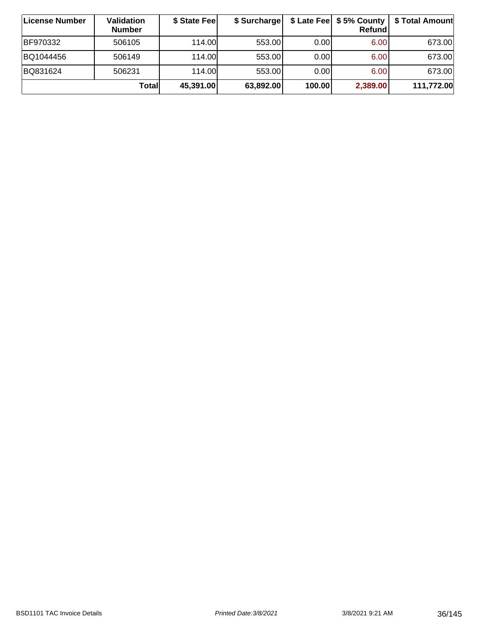| ∣License Number | Validation<br><b>Number</b> | \$ State Fee | \$ Surcharge |        | \$ Late Fee   \$5% County  <br>Refundl | \$ Total Amount |
|-----------------|-----------------------------|--------------|--------------|--------|----------------------------------------|-----------------|
| BF970332        | 506105                      | 114.00       | 553.00       | 0.001  | 6.00                                   | 673.00          |
| BQ1044456       | 506149                      | 114.00       | 553.00       | 0.00   | 6.00                                   | 673.00          |
| BQ831624        | 506231                      | 114.00       | 553.00       | 0.00   | 6.00                                   | 673.00          |
|                 | Total                       | 45,391.00    | 63,892.00    | 100.00 | 2,389.00                               | 111,772.00      |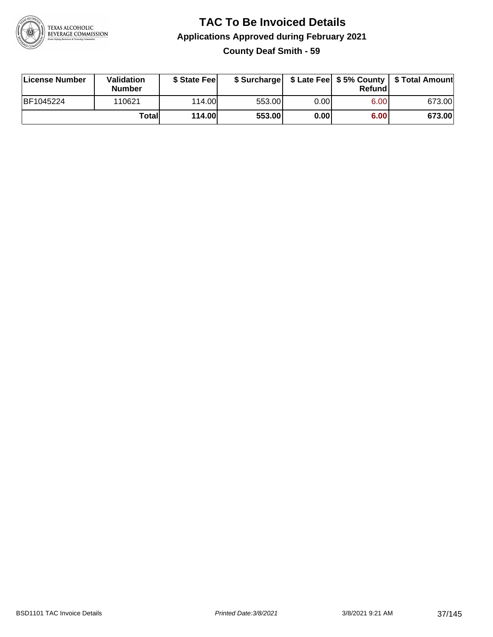

## **TAC To Be Invoiced Details Applications Approved during February 2021 County Deaf Smith - 59**

| License Number | <b>Validation</b><br><b>Number</b> | \$ State Feel |        |      | Refundl | \$ Surcharge   \$ Late Fee   \$5% County   \$ Total Amount |
|----------------|------------------------------------|---------------|--------|------|---------|------------------------------------------------------------|
| BF1045224      | 110621                             | 114.00        | 553.00 | 0.00 | 6.00    | 673.00                                                     |
|                | Totall                             | 114.00        | 553.00 | 0.00 | 6.00    | 673.00                                                     |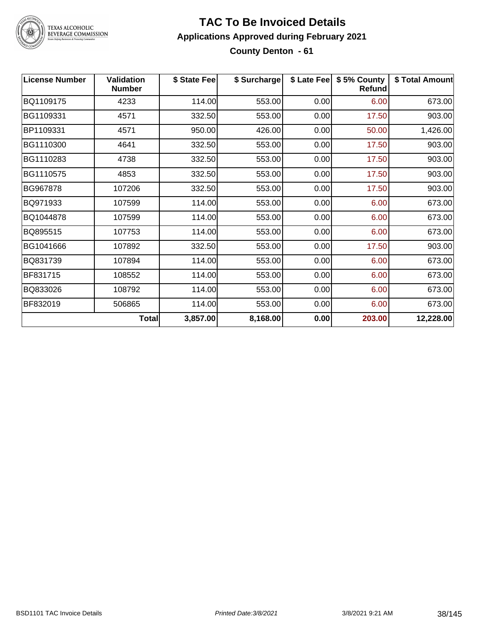

## **TAC To Be Invoiced Details Applications Approved during February 2021 County Denton - 61**

| <b>License Number</b> | <b>Validation</b><br><b>Number</b> | \$ State Fee | \$ Surcharge |      | \$ Late Fee   \$5% County<br><b>Refund</b> | \$ Total Amount |
|-----------------------|------------------------------------|--------------|--------------|------|--------------------------------------------|-----------------|
| BQ1109175             | 4233                               | 114.00       | 553.00       | 0.00 | 6.00                                       | 673.00          |
| BG1109331             | 4571                               | 332.50       | 553.00       | 0.00 | 17.50                                      | 903.00          |
| BP1109331             | 4571                               | 950.00       | 426.00       | 0.00 | 50.00                                      | 1,426.00        |
| BG1110300             | 4641                               | 332.50       | 553.00       | 0.00 | 17.50                                      | 903.00          |
| BG1110283             | 4738                               | 332.50       | 553.00       | 0.00 | 17.50                                      | 903.00          |
| BG1110575             | 4853                               | 332.50       | 553.00       | 0.00 | 17.50                                      | 903.00          |
| BG967878              | 107206                             | 332.50       | 553.00       | 0.00 | 17.50                                      | 903.00          |
| BQ971933              | 107599                             | 114.00       | 553.00       | 0.00 | 6.00                                       | 673.00          |
| BQ1044878             | 107599                             | 114.00       | 553.00       | 0.00 | 6.00                                       | 673.00          |
| BQ895515              | 107753                             | 114.00       | 553.00       | 0.00 | 6.00                                       | 673.00          |
| BG1041666             | 107892                             | 332.50       | 553.00       | 0.00 | 17.50                                      | 903.00          |
| BQ831739              | 107894                             | 114.00       | 553.00       | 0.00 | 6.00                                       | 673.00          |
| BF831715              | 108552                             | 114.00       | 553.00       | 0.00 | 6.00                                       | 673.00          |
| BQ833026              | 108792                             | 114.00       | 553.00       | 0.00 | 6.00                                       | 673.00          |
| BF832019              | 506865                             | 114.00       | 553.00       | 0.00 | 6.00                                       | 673.00          |
|                       | <b>Total</b>                       | 3,857.00     | 8,168.00     | 0.00 | 203.00                                     | 12,228.00       |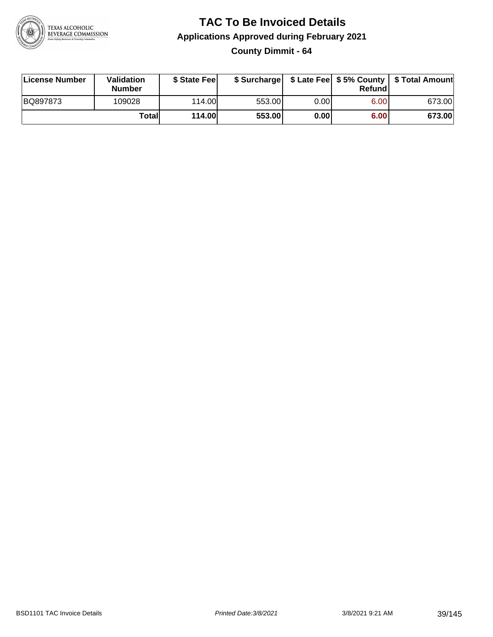

**County Dimmit - 64**

| License Number | Validation<br><b>Number</b> | \$ State Fee  | \$ Surcharge |       | Refund |        |
|----------------|-----------------------------|---------------|--------------|-------|--------|--------|
| BQ897873       | 109028                      | 114.00        | 553.00       | 0.001 | 6.00   | 673.00 |
|                | Totall                      | <b>114.00</b> | 553.00       | 0.00  | 6.00   | 673.00 |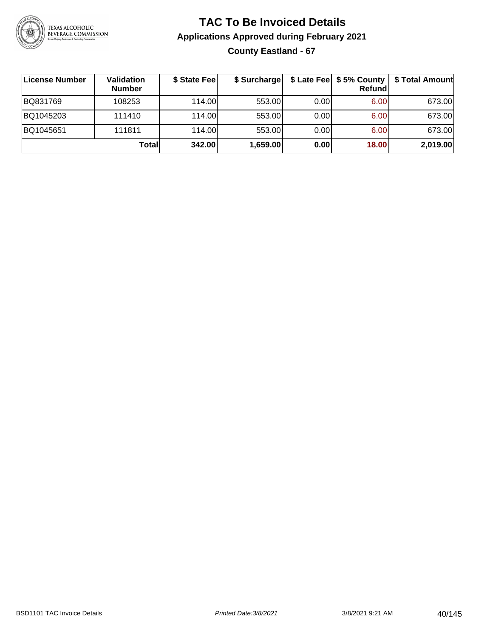

## **TAC To Be Invoiced Details Applications Approved during February 2021 County Eastland - 67**

| ∣License Number | Validation<br><b>Number</b> | \$ State Fee | \$ Surcharge |      | Refund | \$ Late Fee   \$5% County   \$ Total Amount |
|-----------------|-----------------------------|--------------|--------------|------|--------|---------------------------------------------|
| BQ831769        | 108253                      | 114.00L      | 553.00       | 0.00 | 6.00   | 673.00                                      |
| BQ1045203       | 111410                      | 114.00L      | 553.00       | 0.00 | 6.00   | 673.00                                      |
| BQ1045651       | 111811                      | 114.00L      | 553.00       | 0.00 | 6.00   | 673.00                                      |
|                 | Totall                      | 342.00       | 1,659.00     | 0.00 | 18.00  | 2,019.00                                    |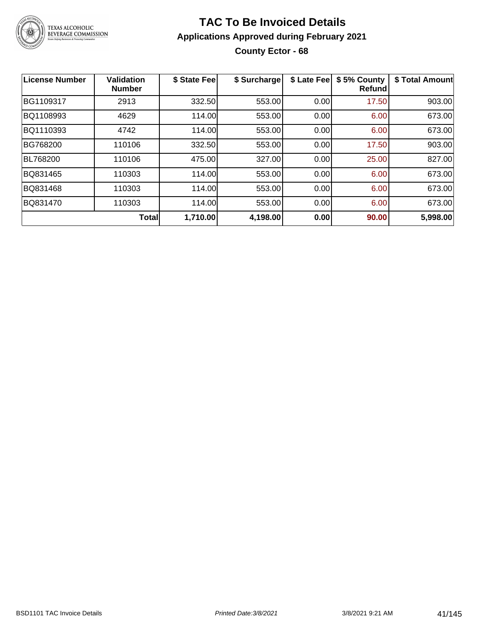

## **TAC To Be Invoiced Details Applications Approved during February 2021 County Ector - 68**

| License Number  | <b>Validation</b><br><b>Number</b> | \$ State Fee | \$ Surcharge | \$ Late Fee | \$5% County<br><b>Refund</b> | \$ Total Amount |
|-----------------|------------------------------------|--------------|--------------|-------------|------------------------------|-----------------|
| BG1109317       | 2913                               | 332.50       | 553.00       | 0.00        | 17.50                        | 903.00          |
| BQ1108993       | 4629                               | 114.00       | 553.00       | 0.00        | 6.00                         | 673.00          |
| BQ1110393       | 4742                               | 114.00       | 553.00       | 0.00        | 6.00                         | 673.00          |
| BG768200        | 110106                             | 332.50       | 553.00       | 0.00        | 17.50                        | 903.00          |
| <b>BL768200</b> | 110106                             | 475.00       | 327.00       | 0.00        | 25.00                        | 827.00          |
| BQ831465        | 110303                             | 114.00       | 553.00       | 0.00        | 6.00                         | 673.00          |
| BQ831468        | 110303                             | 114.00       | 553.00       | 0.00        | 6.00                         | 673.00          |
| BQ831470        | 110303                             | 114.00       | 553.00       | 0.00        | 6.00                         | 673.00          |
|                 | <b>Total</b>                       | 1,710.00     | 4,198.00     | 0.00        | 90.00                        | 5,998.00        |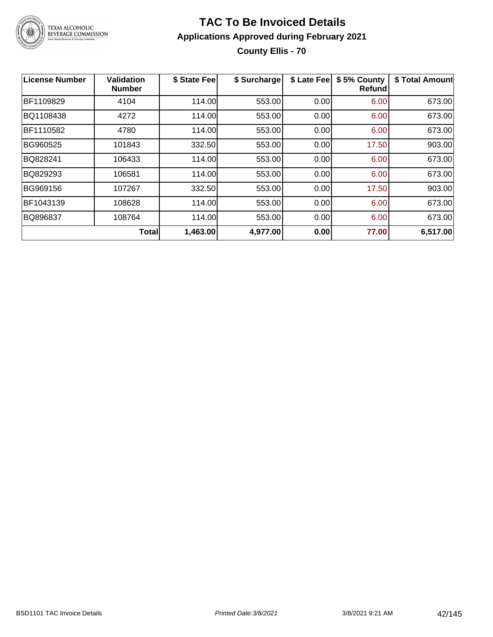

## **TAC To Be Invoiced Details Applications Approved during February 2021 County Ellis - 70**

| <b>License Number</b> | <b>Validation</b><br><b>Number</b> | \$ State Fee | \$ Surcharge | \$ Late Fee | \$5% County<br>Refund | \$ Total Amount |
|-----------------------|------------------------------------|--------------|--------------|-------------|-----------------------|-----------------|
| BF1109829             | 4104                               | 114.00       | 553.00       | 0.00        | 6.00                  | 673.00          |
| BQ1108438             | 4272                               | 114.00       | 553.00       | 0.00        | 6.00                  | 673.00          |
| BF1110582             | 4780                               | 114.00       | 553.00       | 0.00        | 6.00                  | 673.00          |
| BG960525              | 101843                             | 332.50       | 553.00       | 0.00        | 17.50                 | 903.00          |
| BQ828241              | 106433                             | 114.00       | 553.00       | 0.00        | 6.00                  | 673.00          |
| BQ829293              | 106581                             | 114.00       | 553.00       | 0.00        | 6.00                  | 673.00          |
| BG969156              | 107267                             | 332.50       | 553.00       | 0.00        | 17.50                 | 903.00          |
| BF1043139             | 108628                             | 114.00       | 553.00       | 0.00        | 6.00                  | 673.00          |
| BQ896837              | 108764                             | 114.00       | 553.00       | 0.00        | 6.00                  | 673.00          |
|                       | Total                              | 1,463.00     | 4,977.00     | 0.00        | 77.00                 | 6,517.00        |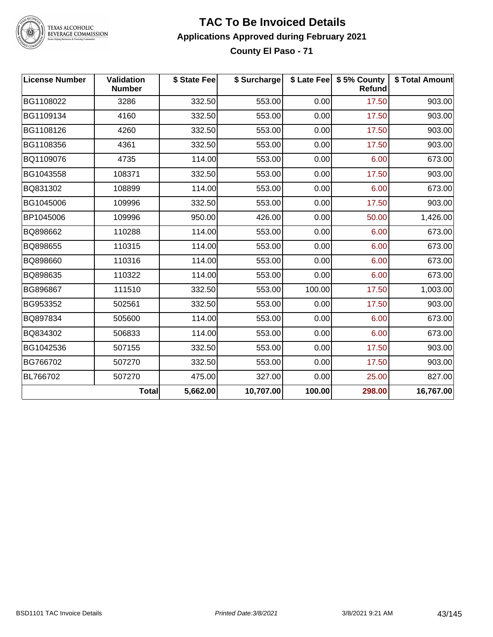

## **TAC To Be Invoiced Details Applications Approved during February 2021 County El Paso - 71**

| <b>License Number</b> | Validation<br><b>Number</b> | \$ State Fee | \$ Surcharge |        | \$ Late Fee   \$5% County  <br><b>Refund</b> | \$ Total Amount |
|-----------------------|-----------------------------|--------------|--------------|--------|----------------------------------------------|-----------------|
| BG1108022             | 3286                        | 332.50       | 553.00       | 0.00   | 17.50                                        | 903.00          |
| BG1109134             | 4160                        | 332.50       | 553.00       | 0.00   | 17.50                                        | 903.00          |
| BG1108126             | 4260                        | 332.50       | 553.00       | 0.00   | 17.50                                        | 903.00          |
| BG1108356             | 4361                        | 332.50       | 553.00       | 0.00   | 17.50                                        | 903.00          |
| BQ1109076             | 4735                        | 114.00       | 553.00       | 0.00   | 6.00                                         | 673.00          |
| BG1043558             | 108371                      | 332.50       | 553.00       | 0.00   | 17.50                                        | 903.00          |
| BQ831302              | 108899                      | 114.00       | 553.00       | 0.00   | 6.00                                         | 673.00          |
| BG1045006             | 109996                      | 332.50       | 553.00       | 0.00   | 17.50                                        | 903.00          |
| BP1045006             | 109996                      | 950.00       | 426.00       | 0.00   | 50.00                                        | 1,426.00        |
| BQ898662              | 110288                      | 114.00       | 553.00       | 0.00   | 6.00                                         | 673.00          |
| BQ898655              | 110315                      | 114.00       | 553.00       | 0.00   | 6.00                                         | 673.00          |
| BQ898660              | 110316                      | 114.00       | 553.00       | 0.00   | 6.00                                         | 673.00          |
| BQ898635              | 110322                      | 114.00       | 553.00       | 0.00   | 6.00                                         | 673.00          |
| BG896867              | 111510                      | 332.50       | 553.00       | 100.00 | 17.50                                        | 1,003.00        |
| BG953352              | 502561                      | 332.50       | 553.00       | 0.00   | 17.50                                        | 903.00          |
| BQ897834              | 505600                      | 114.00       | 553.00       | 0.00   | 6.00                                         | 673.00          |
| BQ834302              | 506833                      | 114.00       | 553.00       | 0.00   | 6.00                                         | 673.00          |
| BG1042536             | 507155                      | 332.50       | 553.00       | 0.00   | 17.50                                        | 903.00          |
| BG766702              | 507270                      | 332.50       | 553.00       | 0.00   | 17.50                                        | 903.00          |
| BL766702              | 507270                      | 475.00       | 327.00       | 0.00   | 25.00                                        | 827.00          |
|                       | <b>Total</b>                | 5,662.00     | 10,707.00    | 100.00 | 298.00                                       | 16,767.00       |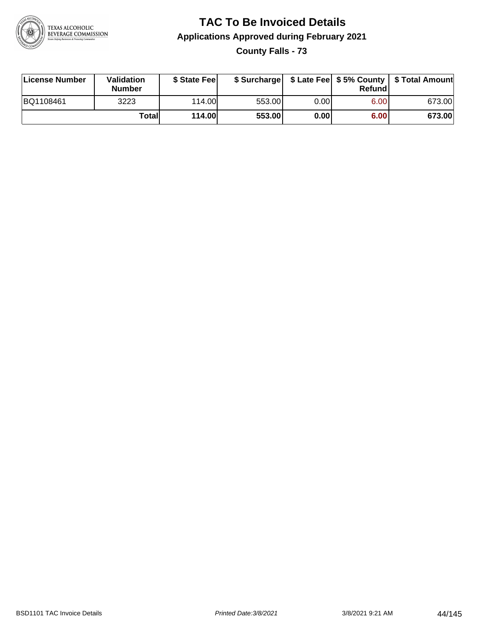

**County Falls - 73**

| License Number | <b>Validation</b><br><b>Number</b> | \$ State Feel | \$ Surcharge |       | Refundl | \$ Late Fee   \$5% County   \$ Total Amount |
|----------------|------------------------------------|---------------|--------------|-------|---------|---------------------------------------------|
| BQ1108461      | 3223                               | 114.00L       | 553.00       | 0.001 | 6.00    | 673.00                                      |
|                | Totall                             | <b>114.00</b> | 553.00       | 0.00  | 6.00    | 673.00                                      |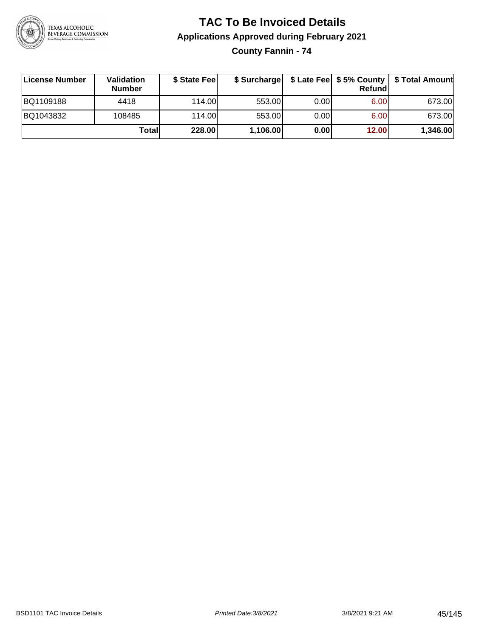

**County Fannin - 74**

| License Number | <b>Validation</b><br><b>Number</b> | \$ State Fee | \$ Surcharge |       | Refundl | \$ Late Fee   \$5% County   \$ Total Amount |
|----------------|------------------------------------|--------------|--------------|-------|---------|---------------------------------------------|
| BQ1109188      | 4418                               | 114.00       | 553.00       | 0.001 | 6.00    | 673.00                                      |
| BQ1043832      | 108485                             | 114.00       | 553.00       | 0.001 | 6.00    | 673.00                                      |
|                | Totall                             | 228.00       | 1,106.00     | 0.00  | 12.00   | 1,346.00                                    |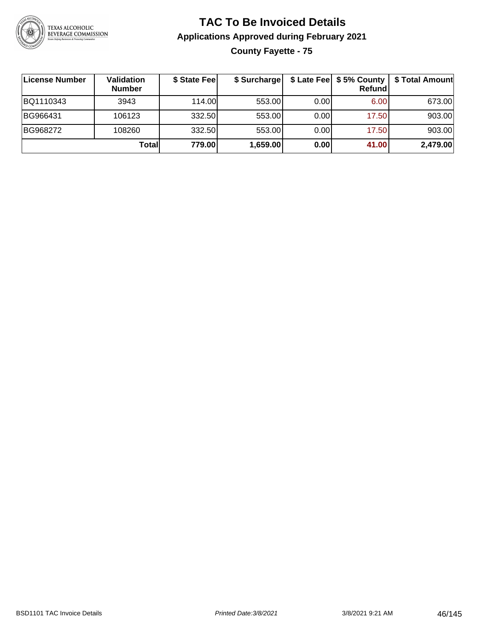

## **TAC To Be Invoiced Details Applications Approved during February 2021 County Fayette - 75**

| License Number | Validation<br><b>Number</b> | \$ State Fee | \$ Surcharge |      | \$ Late Fee   \$5% County  <br>Refundl | \$ Total Amount |
|----------------|-----------------------------|--------------|--------------|------|----------------------------------------|-----------------|
| BQ1110343      | 3943                        | 114.00       | 553.00       | 0.00 | 6.00 <sub>1</sub>                      | 673.00          |
| BG966431       | 106123                      | 332.50       | 553.00       | 0.00 | 17.50                                  | 903.00          |
| BG968272       | 108260                      | 332.50       | 553.00       | 0.00 | 17.50                                  | 903.00          |
|                | Totall                      | 779.00       | 1,659.00     | 0.00 | 41.00                                  | 2,479.00        |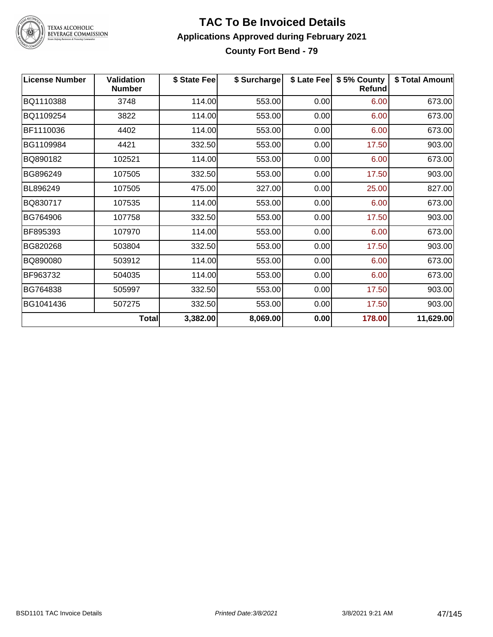

## **TAC To Be Invoiced Details Applications Approved during February 2021 County Fort Bend - 79**

| <b>License Number</b> | <b>Validation</b><br><b>Number</b> | \$ State Fee | \$ Surcharge |      | \$ Late Fee   \$5% County<br><b>Refund</b> | \$ Total Amount |
|-----------------------|------------------------------------|--------------|--------------|------|--------------------------------------------|-----------------|
| BQ1110388             | 3748                               | 114.00       | 553.00       | 0.00 | 6.00                                       | 673.00          |
| BQ1109254             | 3822                               | 114.00       | 553.00       | 0.00 | 6.00                                       | 673.00          |
| BF1110036             | 4402                               | 114.00       | 553.00       | 0.00 | 6.00                                       | 673.00          |
| BG1109984             | 4421                               | 332.50       | 553.00       | 0.00 | 17.50                                      | 903.00          |
| BQ890182              | 102521                             | 114.00       | 553.00       | 0.00 | 6.00                                       | 673.00          |
| BG896249              | 107505                             | 332.50       | 553.00       | 0.00 | 17.50                                      | 903.00          |
| BL896249              | 107505                             | 475.00       | 327.00       | 0.00 | 25.00                                      | 827.00          |
| BQ830717              | 107535                             | 114.00       | 553.00       | 0.00 | 6.00                                       | 673.00          |
| BG764906              | 107758                             | 332.50       | 553.00       | 0.00 | 17.50                                      | 903.00          |
| BF895393              | 107970                             | 114.00       | 553.00       | 0.00 | 6.00                                       | 673.00          |
| BG820268              | 503804                             | 332.50       | 553.00       | 0.00 | 17.50                                      | 903.00          |
| BQ890080              | 503912                             | 114.00       | 553.00       | 0.00 | 6.00                                       | 673.00          |
| BF963732              | 504035                             | 114.00       | 553.00       | 0.00 | 6.00                                       | 673.00          |
| BG764838              | 505997                             | 332.50       | 553.00       | 0.00 | 17.50                                      | 903.00          |
| BG1041436             | 507275                             | 332.50       | 553.00       | 0.00 | 17.50                                      | 903.00          |
|                       | <b>Total</b>                       | 3,382.00     | 8,069.00     | 0.00 | 178.00                                     | 11,629.00       |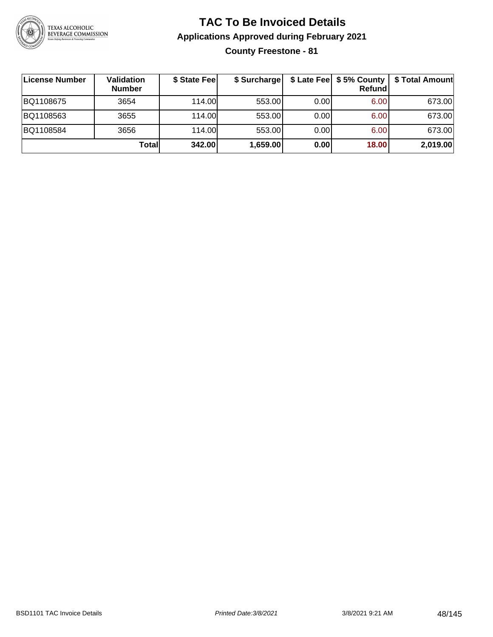

**County Freestone - 81**

| License Number | Validation<br><b>Number</b> | \$ State Fee | \$ Surcharge |      | Refundl | \$ Late Fee   \$5% County   \$ Total Amount |
|----------------|-----------------------------|--------------|--------------|------|---------|---------------------------------------------|
| BQ1108675      | 3654                        | 114.00       | 553.00       | 0.00 | 6.00    | 673.00                                      |
| BQ1108563      | 3655                        | 114.00       | 553.00       | 0.00 | 6.00    | 673.00                                      |
| BQ1108584      | 3656                        | 114.00L      | 553.00       | 0.00 | 6.00    | 673.00                                      |
|                | Totall                      | 342.00       | 1,659.00     | 0.00 | 18.00   | 2,019.00                                    |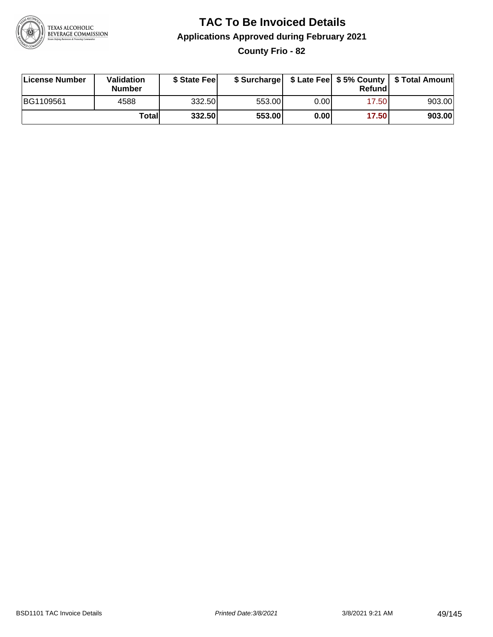

## **TAC To Be Invoiced Details Applications Approved during February 2021 County Frio - 82**

| License Number | Validation<br>Number | \$ State Fee |        |       | Refundl | \$ Surcharge   \$ Late Fee   \$5% County   \$ Total Amount |
|----------------|----------------------|--------------|--------|-------|---------|------------------------------------------------------------|
| BG1109561      | 4588                 | 332.50       | 553.00 | 0.001 | 17.50   | 903.00                                                     |
|                | Totall               | 332.50       | 553.00 | 0.00  | 17.50   | 903.00                                                     |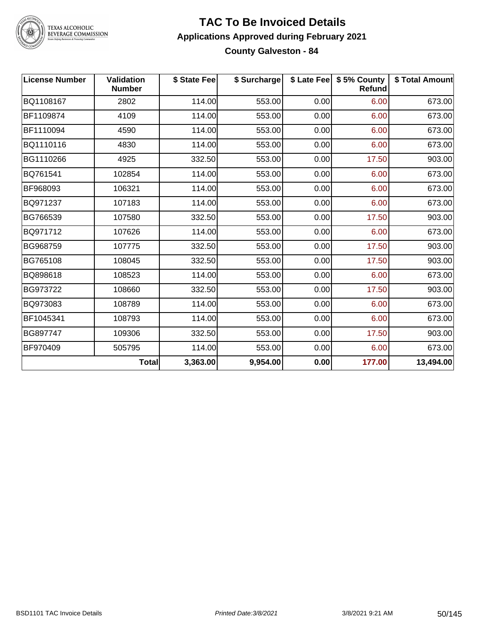

## **TAC To Be Invoiced Details Applications Approved during February 2021 County Galveston - 84**

| <b>License Number</b> | <b>Validation</b><br><b>Number</b> | \$ State Fee | \$ Surcharge |      | \$ Late Fee   \$5% County<br><b>Refund</b> | \$ Total Amount |
|-----------------------|------------------------------------|--------------|--------------|------|--------------------------------------------|-----------------|
| BQ1108167             | 2802                               | 114.00       | 553.00       | 0.00 | 6.00                                       | 673.00          |
| BF1109874             | 4109                               | 114.00       | 553.00       | 0.00 | 6.00                                       | 673.00          |
| BF1110094             | 4590                               | 114.00       | 553.00       | 0.00 | 6.00                                       | 673.00          |
| BQ1110116             | 4830                               | 114.00       | 553.00       | 0.00 | 6.00                                       | 673.00          |
| BG1110266             | 4925                               | 332.50       | 553.00       | 0.00 | 17.50                                      | 903.00          |
| BQ761541              | 102854                             | 114.00       | 553.00       | 0.00 | 6.00                                       | 673.00          |
| BF968093              | 106321                             | 114.00       | 553.00       | 0.00 | 6.00                                       | 673.00          |
| BQ971237              | 107183                             | 114.00       | 553.00       | 0.00 | 6.00                                       | 673.00          |
| BG766539              | 107580                             | 332.50       | 553.00       | 0.00 | 17.50                                      | 903.00          |
| BQ971712              | 107626                             | 114.00       | 553.00       | 0.00 | 6.00                                       | 673.00          |
| BG968759              | 107775                             | 332.50       | 553.00       | 0.00 | 17.50                                      | 903.00          |
| BG765108              | 108045                             | 332.50       | 553.00       | 0.00 | 17.50                                      | 903.00          |
| BQ898618              | 108523                             | 114.00       | 553.00       | 0.00 | 6.00                                       | 673.00          |
| BG973722              | 108660                             | 332.50       | 553.00       | 0.00 | 17.50                                      | 903.00          |
| BQ973083              | 108789                             | 114.00       | 553.00       | 0.00 | 6.00                                       | 673.00          |
| BF1045341             | 108793                             | 114.00       | 553.00       | 0.00 | 6.00                                       | 673.00          |
| BG897747              | 109306                             | 332.50       | 553.00       | 0.00 | 17.50                                      | 903.00          |
| BF970409              | 505795                             | 114.00       | 553.00       | 0.00 | 6.00                                       | 673.00          |
|                       | <b>Total</b>                       | 3,363.00     | 9,954.00     | 0.00 | 177.00                                     | 13,494.00       |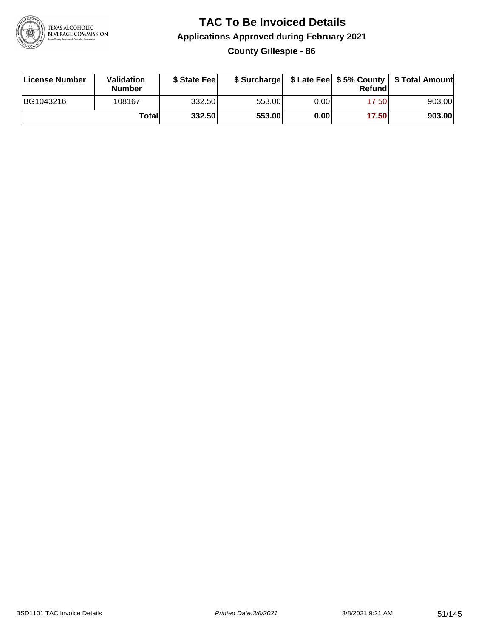

## **TAC To Be Invoiced Details Applications Approved during February 2021 County Gillespie - 86**

| License Number | <b>Validation</b><br><b>Number</b> | \$ State Feel |        |      | Refund | \$ Surcharge   \$ Late Fee   \$5% County   \$ Total Amount |
|----------------|------------------------------------|---------------|--------|------|--------|------------------------------------------------------------|
| BG1043216      | 108167                             | 332.50l       | 553.00 | 0.00 | 17.50  | 903.00                                                     |
|                | Totall                             | 332.50        | 553.00 | 0.00 | 17.50  | 903.00                                                     |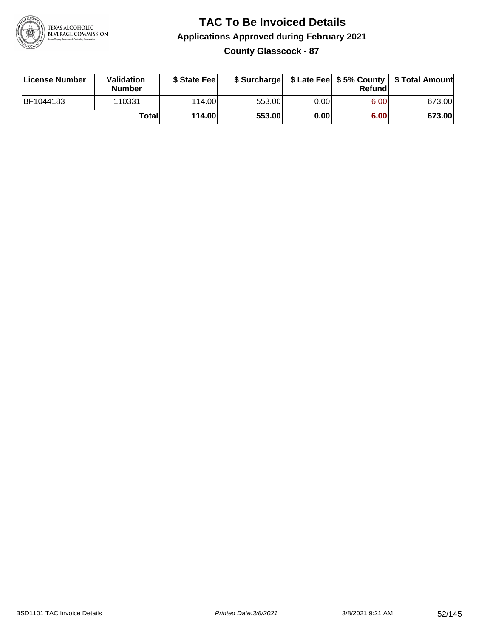

## **TAC To Be Invoiced Details Applications Approved during February 2021 County Glasscock - 87**

| <b>License Number</b> | Validation<br><b>Number</b> | \$ State Fee |        |       | Refund | \$ Surcharge   \$ Late Fee   \$5% County   \$ Total Amount |
|-----------------------|-----------------------------|--------------|--------|-------|--------|------------------------------------------------------------|
| BF1044183             | 110331                      | 114.00L      | 553.00 | 0.001 | 6.00   | 673.00                                                     |
|                       | Totall                      | 114.00       | 553.00 | 0.00  | 6.00   | 673.00                                                     |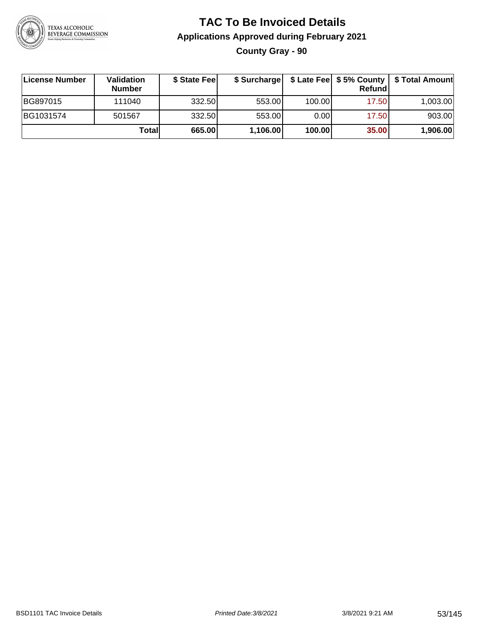

## **TAC To Be Invoiced Details Applications Approved during February 2021 County Gray - 90**

| License Number | <b>Validation</b><br><b>Number</b> | \$ State Fee | \$ Surcharge |        | <b>Refund</b> | \$ Late Fee   \$5% County   \$ Total Amount |
|----------------|------------------------------------|--------------|--------------|--------|---------------|---------------------------------------------|
| BG897015       | 111040                             | 332.50       | 553.00       | 100.00 | 17.50         | 1,003.00                                    |
| BG1031574      | 501567                             | 332.50       | 553.00       | 0.00   | 17.50         | 903.00                                      |
|                | Totall                             | 665.00       | 1,106.00     | 100.00 | 35.00         | 1,906.00                                    |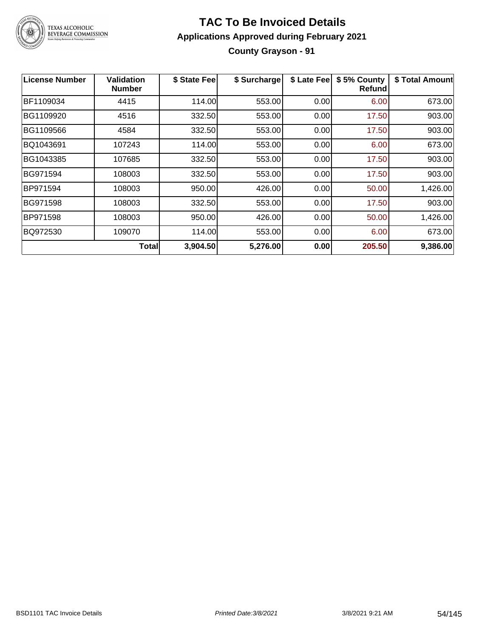

## **TAC To Be Invoiced Details Applications Approved during February 2021 County Grayson - 91**

| License Number | Validation<br><b>Number</b> | \$ State Fee | \$ Surcharge | \$ Late Fee | \$5% County<br><b>Refund</b> | \$ Total Amount |
|----------------|-----------------------------|--------------|--------------|-------------|------------------------------|-----------------|
| BF1109034      | 4415                        | 114.00       | 553.00       | 0.00        | 6.00                         | 673.00          |
| BG1109920      | 4516                        | 332.50       | 553.00       | 0.00        | 17.50                        | 903.00          |
| BG1109566      | 4584                        | 332.50       | 553.00       | 0.00        | 17.50                        | 903.00          |
| BQ1043691      | 107243                      | 114.00       | 553.00       | 0.00        | 6.00                         | 673.00          |
| BG1043385      | 107685                      | 332.50       | 553.00       | 0.00        | 17.50                        | 903.00          |
| BG971594       | 108003                      | 332.50       | 553.00       | 0.00        | 17.50                        | 903.00          |
| BP971594       | 108003                      | 950.00       | 426.00       | 0.00        | 50.00                        | 1,426.00        |
| BG971598       | 108003                      | 332.50       | 553.00       | 0.00        | 17.50                        | 903.00          |
| BP971598       | 108003                      | 950.00       | 426.00       | 0.00        | 50.00                        | 1,426.00        |
| BQ972530       | 109070                      | 114.00       | 553.00       | 0.00        | 6.00                         | 673.00          |
|                | Total∣                      | 3,904.50     | 5,276.00     | 0.00        | 205.50                       | 9,386.00        |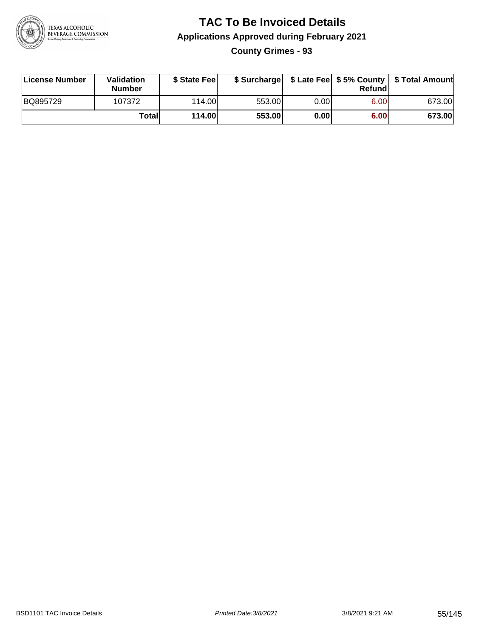

**County Grimes - 93**

| License Number | Validation<br><b>Number</b> | \$ State Fee  | \$ Surcharge |      | Refund | \$ Late Fee   \$5% County   \$ Total Amount |
|----------------|-----------------------------|---------------|--------------|------|--------|---------------------------------------------|
| BQ895729       | 107372                      | 114.00        | 553.00       | 0.00 | 6.00   | 673.00                                      |
|                | Totall                      | <b>114.00</b> | 553.00       | 0.00 | 6.00   | 673.00                                      |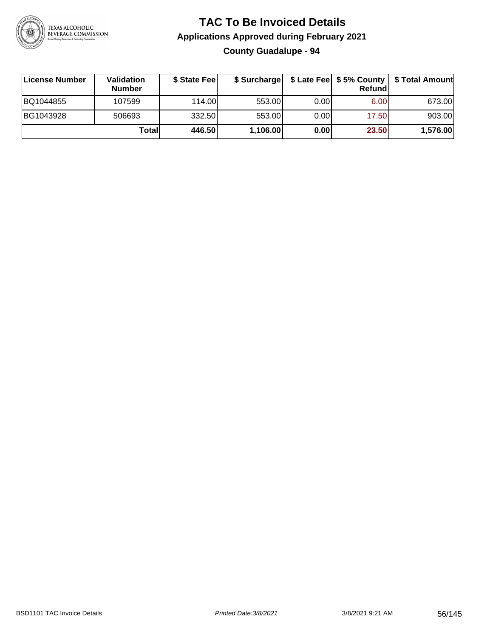

## **TAC To Be Invoiced Details Applications Approved during February 2021 County Guadalupe - 94**

| License Number | <b>Validation</b><br><b>Number</b> | \$ State Feel | \$ Surcharge |      | Refund | \$ Late Fee   \$5% County   \$ Total Amount |
|----------------|------------------------------------|---------------|--------------|------|--------|---------------------------------------------|
| BQ1044855      | 107599                             | 114.00L       | 553.00       | 0.00 | 6.00   | 673.00                                      |
| BG1043928      | 506693                             | 332.50        | 553.00       | 0.00 | 17.50  | 903.00                                      |
|                | Totall                             | 446.50        | 1,106.00     | 0.00 | 23.50  | 1,576.00                                    |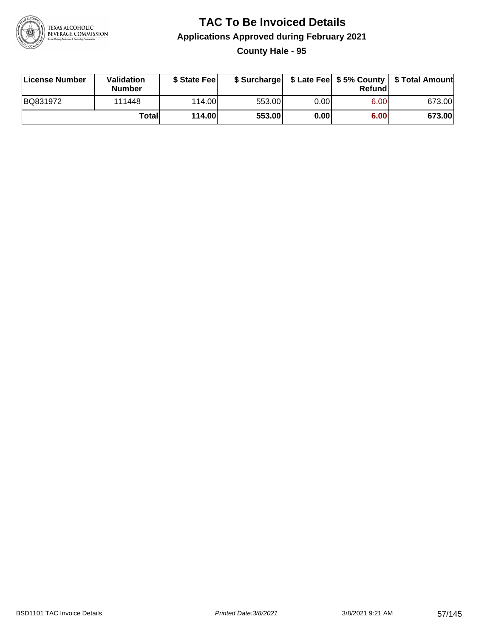

**County Hale - 95**

| License Number | Validation<br><b>Number</b> | \$ State Fee  | \$ Surcharge |      | Refundl | \$ Late Fee   \$5% County   \$ Total Amount |
|----------------|-----------------------------|---------------|--------------|------|---------|---------------------------------------------|
| BQ831972       | 111448                      | 114.00        | 553.00       | 0.00 | 6.00    | 673.00                                      |
|                | Totall                      | <b>114.00</b> | 553.00       | 0.00 | 6.00    | 673.00                                      |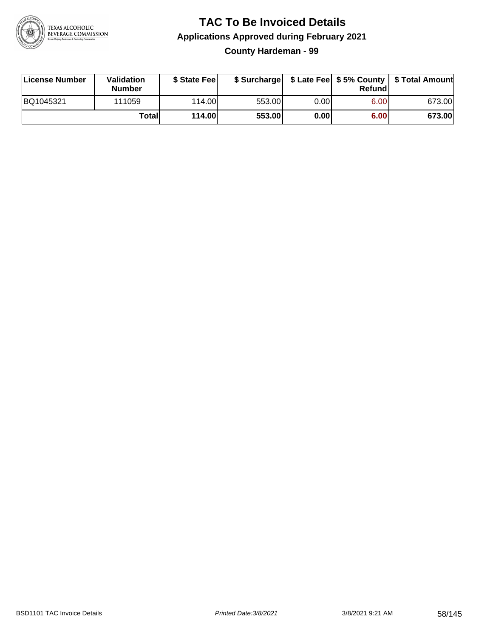

**County Hardeman - 99**

| License Number | Validation<br><b>Number</b> | \$ State Fee  | \$ Surcharge |      | Refundl | \$ Late Fee   \$5% County   \$ Total Amount |
|----------------|-----------------------------|---------------|--------------|------|---------|---------------------------------------------|
| BQ1045321      | 111059                      | 114.00        | 553.00       | 0.00 | 6.00    | 673.00                                      |
|                | Totall                      | <b>114.00</b> | 553.00       | 0.00 | 6.00    | 673.00                                      |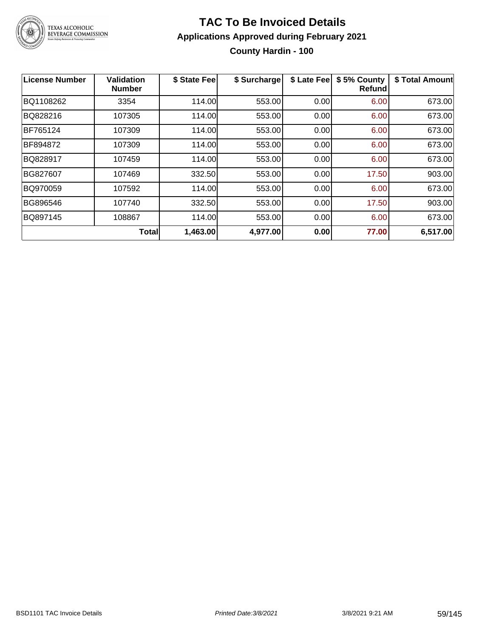

## **TAC To Be Invoiced Details Applications Approved during February 2021 County Hardin - 100**

| <b>License Number</b> | <b>Validation</b><br><b>Number</b> | \$ State Fee | \$ Surcharge | \$ Late Fee | \$5% County<br><b>Refund</b> | \$ Total Amount |
|-----------------------|------------------------------------|--------------|--------------|-------------|------------------------------|-----------------|
| BQ1108262             | 3354                               | 114.00       | 553.00       | 0.00        | 6.00                         | 673.00          |
| BQ828216              | 107305                             | 114.00       | 553.00       | 0.00        | 6.00                         | 673.00          |
| BF765124              | 107309                             | 114.00       | 553.00       | 0.00        | 6.00                         | 673.00          |
| BF894872              | 107309                             | 114.00       | 553.00       | 0.00        | 6.00                         | 673.00          |
| BQ828917              | 107459                             | 114.00       | 553.00       | 0.00        | 6.00                         | 673.00          |
| BG827607              | 107469                             | 332.50       | 553.00       | 0.00        | 17.50                        | 903.00          |
| BQ970059              | 107592                             | 114.00       | 553.00       | 0.00        | 6.00                         | 673.00          |
| BG896546              | 107740                             | 332.50       | 553.00       | 0.00        | 17.50                        | 903.00          |
| BQ897145              | 108867                             | 114.00       | 553.00       | 0.00        | 6.00                         | 673.00          |
|                       | <b>Total</b>                       | 1,463.00     | 4,977.00     | 0.00        | 77.00                        | 6,517.00        |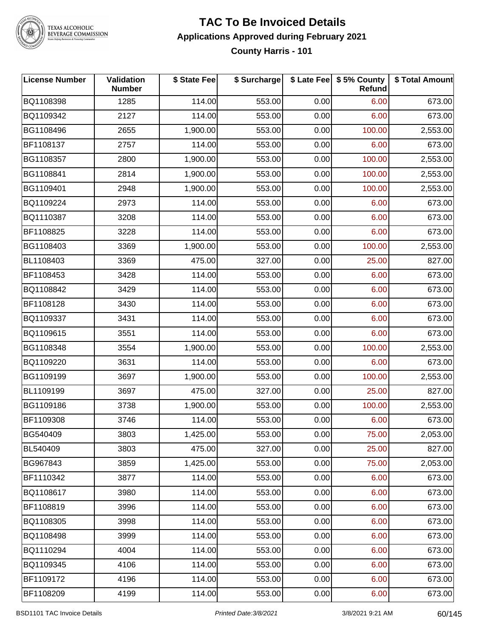

## **TAC To Be Invoiced Details Applications Approved during February 2021 County Harris - 101**

| <b>License Number</b> | <b>Validation</b><br><b>Number</b> | \$ State Fee | \$ Surcharge |      | \$ Late Fee   \$5% County<br>Refund | \$ Total Amount |
|-----------------------|------------------------------------|--------------|--------------|------|-------------------------------------|-----------------|
| BQ1108398             | 1285                               | 114.00       | 553.00       | 0.00 | 6.00                                | 673.00          |
| BQ1109342             | 2127                               | 114.00       | 553.00       | 0.00 | 6.00                                | 673.00          |
| BG1108496             | 2655                               | 1,900.00     | 553.00       | 0.00 | 100.00                              | 2,553.00        |
| BF1108137             | 2757                               | 114.00       | 553.00       | 0.00 | 6.00                                | 673.00          |
| BG1108357             | 2800                               | 1,900.00     | 553.00       | 0.00 | 100.00                              | 2,553.00        |
| BG1108841             | 2814                               | 1,900.00     | 553.00       | 0.00 | 100.00                              | 2,553.00        |
| BG1109401             | 2948                               | 1,900.00     | 553.00       | 0.00 | 100.00                              | 2,553.00        |
| BQ1109224             | 2973                               | 114.00       | 553.00       | 0.00 | 6.00                                | 673.00          |
| BQ1110387             | 3208                               | 114.00       | 553.00       | 0.00 | 6.00                                | 673.00          |
| BF1108825             | 3228                               | 114.00       | 553.00       | 0.00 | 6.00                                | 673.00          |
| BG1108403             | 3369                               | 1,900.00     | 553.00       | 0.00 | 100.00                              | 2,553.00        |
| BL1108403             | 3369                               | 475.00       | 327.00       | 0.00 | 25.00                               | 827.00          |
| BF1108453             | 3428                               | 114.00       | 553.00       | 0.00 | 6.00                                | 673.00          |
| BQ1108842             | 3429                               | 114.00       | 553.00       | 0.00 | 6.00                                | 673.00          |
| BF1108128             | 3430                               | 114.00       | 553.00       | 0.00 | 6.00                                | 673.00          |
| BQ1109337             | 3431                               | 114.00       | 553.00       | 0.00 | 6.00                                | 673.00          |
| BQ1109615             | 3551                               | 114.00       | 553.00       | 0.00 | 6.00                                | 673.00          |
| BG1108348             | 3554                               | 1,900.00     | 553.00       | 0.00 | 100.00                              | 2,553.00        |
| BQ1109220             | 3631                               | 114.00       | 553.00       | 0.00 | 6.00                                | 673.00          |
| BG1109199             | 3697                               | 1,900.00     | 553.00       | 0.00 | 100.00                              | 2,553.00        |
| BL1109199             | 3697                               | 475.00       | 327.00       | 0.00 | 25.00                               | 827.00          |
| BG1109186             | 3738                               | 1,900.00     | 553.00       | 0.00 | 100.00                              | 2,553.00        |
| BF1109308             | 3746                               | 114.00       | 553.00       | 0.00 | 6.00                                | 673.00          |
| BG540409              | 3803                               | 1,425.00     | 553.00       | 0.00 | 75.00                               | 2,053.00        |
| BL540409              | 3803                               | 475.00       | 327.00       | 0.00 | 25.00                               | 827.00          |
| BG967843              | 3859                               | 1,425.00     | 553.00       | 0.00 | 75.00                               | 2,053.00        |
| BF1110342             | 3877                               | 114.00       | 553.00       | 0.00 | 6.00                                | 673.00          |
| BQ1108617             | 3980                               | 114.00       | 553.00       | 0.00 | 6.00                                | 673.00          |
| BF1108819             | 3996                               | 114.00       | 553.00       | 0.00 | 6.00                                | 673.00          |
| BQ1108305             | 3998                               | 114.00       | 553.00       | 0.00 | 6.00                                | 673.00          |
| BQ1108498             | 3999                               | 114.00       | 553.00       | 0.00 | 6.00                                | 673.00          |
| BQ1110294             | 4004                               | 114.00       | 553.00       | 0.00 | 6.00                                | 673.00          |
| BQ1109345             | 4106                               | 114.00       | 553.00       | 0.00 | 6.00                                | 673.00          |
| BF1109172             | 4196                               | 114.00       | 553.00       | 0.00 | 6.00                                | 673.00          |
| BF1108209             | 4199                               | 114.00       | 553.00       | 0.00 | 6.00                                | 673.00          |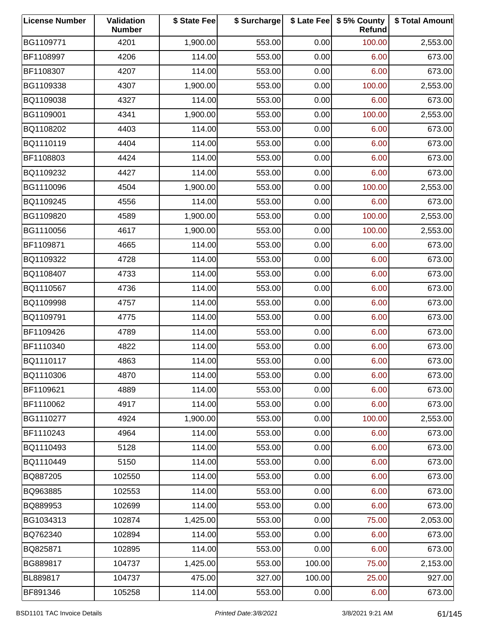| <b>License Number</b> | Validation<br><b>Number</b> | \$ State Fee | \$ Surcharge |        | \$ Late Fee   \$5% County<br>Refund | \$ Total Amount |
|-----------------------|-----------------------------|--------------|--------------|--------|-------------------------------------|-----------------|
| BG1109771             | 4201                        | 1,900.00     | 553.00       | 0.00   | 100.00                              | 2,553.00        |
| BF1108997             | 4206                        | 114.00       | 553.00       | 0.00   | 6.00                                | 673.00          |
| BF1108307             | 4207                        | 114.00       | 553.00       | 0.00   | 6.00                                | 673.00          |
| BG1109338             | 4307                        | 1,900.00     | 553.00       | 0.00   | 100.00                              | 2,553.00        |
| BQ1109038             | 4327                        | 114.00       | 553.00       | 0.00   | 6.00                                | 673.00          |
| BG1109001             | 4341                        | 1,900.00     | 553.00       | 0.00   | 100.00                              | 2,553.00        |
| BQ1108202             | 4403                        | 114.00       | 553.00       | 0.00   | 6.00                                | 673.00          |
| BQ1110119             | 4404                        | 114.00       | 553.00       | 0.00   | 6.00                                | 673.00          |
| BF1108803             | 4424                        | 114.00       | 553.00       | 0.00   | 6.00                                | 673.00          |
| BQ1109232             | 4427                        | 114.00       | 553.00       | 0.00   | 6.00                                | 673.00          |
| BG1110096             | 4504                        | 1,900.00     | 553.00       | 0.00   | 100.00                              | 2,553.00        |
| BQ1109245             | 4556                        | 114.00       | 553.00       | 0.00   | 6.00                                | 673.00          |
| BG1109820             | 4589                        | 1,900.00     | 553.00       | 0.00   | 100.00                              | 2,553.00        |
| BG1110056             | 4617                        | 1,900.00     | 553.00       | 0.00   | 100.00                              | 2,553.00        |
| BF1109871             | 4665                        | 114.00       | 553.00       | 0.00   | 6.00                                | 673.00          |
| BQ1109322             | 4728                        | 114.00       | 553.00       | 0.00   | 6.00                                | 673.00          |
| BQ1108407             | 4733                        | 114.00       | 553.00       | 0.00   | 6.00                                | 673.00          |
| BQ1110567             | 4736                        | 114.00       | 553.00       | 0.00   | 6.00                                | 673.00          |
| BQ1109998             | 4757                        | 114.00       | 553.00       | 0.00   | 6.00                                | 673.00          |
| BQ1109791             | 4775                        | 114.00       | 553.00       | 0.00   | 6.00                                | 673.00          |
| BF1109426             | 4789                        | 114.00       | 553.00       | 0.00   | 6.00                                | 673.00          |
| BF1110340             | 4822                        | 114.00       | 553.00       | 0.00   | 6.00                                | 673.00          |
| BQ1110117             | 4863                        | 114.00       | 553.00       | 0.00   | 6.00                                | 673.00          |
| BQ1110306             | 4870                        | 114.00       | 553.00       | 0.00   | 6.00                                | 673.00          |
| BF1109621             | 4889                        | 114.00       | 553.00       | 0.00   | 6.00                                | 673.00          |
| BF1110062             | 4917                        | 114.00       | 553.00       | 0.00   | 6.00                                | 673.00          |
| BG1110277             | 4924                        | 1,900.00     | 553.00       | 0.00   | 100.00                              | 2,553.00        |
| BF1110243             | 4964                        | 114.00       | 553.00       | 0.00   | 6.00                                | 673.00          |
| BQ1110493             | 5128                        | 114.00       | 553.00       | 0.00   | 6.00                                | 673.00          |
| BQ1110449             | 5150                        | 114.00       | 553.00       | 0.00   | 6.00                                | 673.00          |
| BQ887205              | 102550                      | 114.00       | 553.00       | 0.00   | 6.00                                | 673.00          |
| BQ963885              | 102553                      | 114.00       | 553.00       | 0.00   | 6.00                                | 673.00          |
| BQ889953              | 102699                      | 114.00       | 553.00       | 0.00   | 6.00                                | 673.00          |
| BG1034313             | 102874                      | 1,425.00     | 553.00       | 0.00   | 75.00                               | 2,053.00        |
| BQ762340              | 102894                      | 114.00       | 553.00       | 0.00   | 6.00                                | 673.00          |
| BQ825871              | 102895                      | 114.00       | 553.00       | 0.00   | 6.00                                | 673.00          |
| BG889817              | 104737                      | 1,425.00     | 553.00       | 100.00 | 75.00                               | 2,153.00        |
| BL889817              | 104737                      | 475.00       | 327.00       | 100.00 | 25.00                               | 927.00          |
| BF891346              | 105258                      | 114.00       | 553.00       | 0.00   | 6.00                                | 673.00          |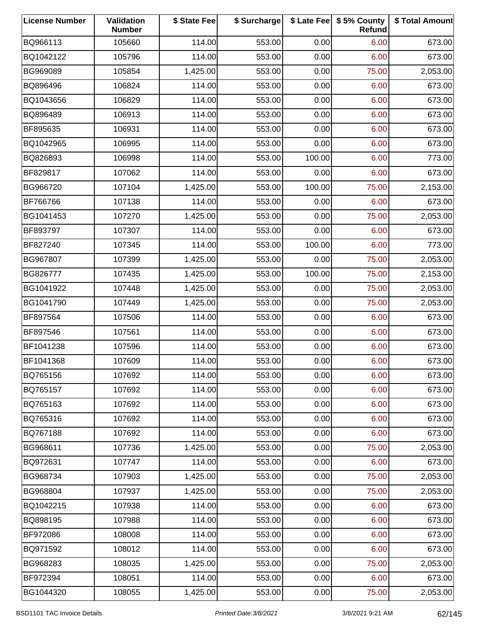| <b>License Number</b> | Validation<br><b>Number</b> | \$ State Fee | \$ Surcharge |        | \$ Late Fee   \$5% County<br>Refund | \$ Total Amount |
|-----------------------|-----------------------------|--------------|--------------|--------|-------------------------------------|-----------------|
| BQ966113              | 105660                      | 114.00       | 553.00       | 0.00   | 6.00                                | 673.00          |
| BQ1042122             | 105796                      | 114.00       | 553.00       | 0.00   | 6.00                                | 673.00          |
| BG969089              | 105854                      | 1,425.00     | 553.00       | 0.00   | 75.00                               | 2,053.00        |
| BQ896496              | 106824                      | 114.00       | 553.00       | 0.00   | 6.00                                | 673.00          |
| BQ1043656             | 106829                      | 114.00       | 553.00       | 0.00   | 6.00                                | 673.00          |
| BQ896489              | 106913                      | 114.00       | 553.00       | 0.00   | 6.00                                | 673.00          |
| BF895635              | 106931                      | 114.00       | 553.00       | 0.00   | 6.00                                | 673.00          |
| BQ1042965             | 106995                      | 114.00       | 553.00       | 0.00   | 6.00                                | 673.00          |
| BQ826893              | 106998                      | 114.00       | 553.00       | 100.00 | 6.00                                | 773.00          |
| BF829817              | 107062                      | 114.00       | 553.00       | 0.00   | 6.00                                | 673.00          |
| BG966720              | 107104                      | 1,425.00     | 553.00       | 100.00 | 75.00                               | 2,153.00        |
| BF766766              | 107138                      | 114.00       | 553.00       | 0.00   | 6.00                                | 673.00          |
| BG1041453             | 107270                      | 1,425.00     | 553.00       | 0.00   | 75.00                               | 2,053.00        |
| BF893797              | 107307                      | 114.00       | 553.00       | 0.00   | 6.00                                | 673.00          |
| BF827240              | 107345                      | 114.00       | 553.00       | 100.00 | 6.00                                | 773.00          |
| BG967807              | 107399                      | 1,425.00     | 553.00       | 0.00   | 75.00                               | 2,053.00        |
| BG826777              | 107435                      | 1,425.00     | 553.00       | 100.00 | 75.00                               | 2,153.00        |
| BG1041922             | 107448                      | 1,425.00     | 553.00       | 0.00   | 75.00                               | 2,053.00        |
| BG1041790             | 107449                      | 1,425.00     | 553.00       | 0.00   | 75.00                               | 2,053.00        |
| BF897564              | 107506                      | 114.00       | 553.00       | 0.00   | 6.00                                | 673.00          |
| BF897546              | 107561                      | 114.00       | 553.00       | 0.00   | 6.00                                | 673.00          |
| BF1041238             | 107596                      | 114.00       | 553.00       | 0.00   | 6.00                                | 673.00          |
| BF1041368             | 107609                      | 114.00       | 553.00       | 0.00   | 6.00                                | 673.00          |
| BQ765156              | 107692                      | 114.00       | 553.00       | 0.00   | 6.00                                | 673.00          |
| BQ765157              | 107692                      | 114.00       | 553.00       | 0.00   | 6.00                                | 673.00          |
| BQ765163              | 107692                      | 114.00       | 553.00       | 0.00   | 6.00                                | 673.00          |
| BQ765316              | 107692                      | 114.00       | 553.00       | 0.00   | 6.00                                | 673.00          |
| BQ767188              | 107692                      | 114.00       | 553.00       | 0.00   | 6.00                                | 673.00          |
| BG968611              | 107736                      | 1,425.00     | 553.00       | 0.00   | 75.00                               | 2,053.00        |
| BQ972631              | 107747                      | 114.00       | 553.00       | 0.00   | 6.00                                | 673.00          |
| BG968734              | 107903                      | 1,425.00     | 553.00       | 0.00   | 75.00                               | 2,053.00        |
| BG968804              | 107937                      | 1,425.00     | 553.00       | 0.00   | 75.00                               | 2,053.00        |
| BQ1042215             | 107938                      | 114.00       | 553.00       | 0.00   | 6.00                                | 673.00          |
| BQ898195              | 107988                      | 114.00       | 553.00       | 0.00   | 6.00                                | 673.00          |
| BF972086              | 108008                      | 114.00       | 553.00       | 0.00   | 6.00                                | 673.00          |
| BQ971592              | 108012                      | 114.00       | 553.00       | 0.00   | 6.00                                | 673.00          |
| BG968283              | 108035                      | 1,425.00     | 553.00       | 0.00   | 75.00                               | 2,053.00        |
| BF972394              | 108051                      | 114.00       | 553.00       | 0.00   | 6.00                                | 673.00          |
| BG1044320             | 108055                      | 1,425.00     | 553.00       | 0.00   | 75.00                               | 2,053.00        |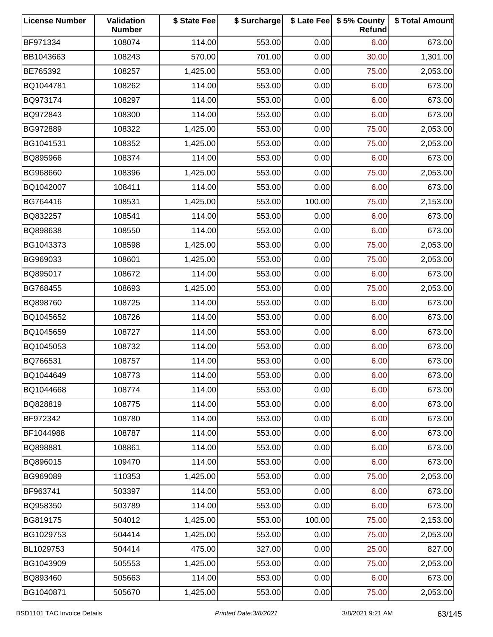| <b>License Number</b> | Validation<br><b>Number</b> | \$ State Fee | \$ Surcharge |        | \$ Late Fee   \$5% County<br>Refund | \$ Total Amount |
|-----------------------|-----------------------------|--------------|--------------|--------|-------------------------------------|-----------------|
| BF971334              | 108074                      | 114.00       | 553.00       | 0.00   | 6.00                                | 673.00          |
| BB1043663             | 108243                      | 570.00       | 701.00       | 0.00   | 30.00                               | 1,301.00        |
| BE765392              | 108257                      | 1,425.00     | 553.00       | 0.00   | 75.00                               | 2,053.00        |
| BQ1044781             | 108262                      | 114.00       | 553.00       | 0.00   | 6.00                                | 673.00          |
| BQ973174              | 108297                      | 114.00       | 553.00       | 0.00   | 6.00                                | 673.00          |
| BQ972843              | 108300                      | 114.00       | 553.00       | 0.00   | 6.00                                | 673.00          |
| BG972889              | 108322                      | 1,425.00     | 553.00       | 0.00   | 75.00                               | 2,053.00        |
| BG1041531             | 108352                      | 1,425.00     | 553.00       | 0.00   | 75.00                               | 2,053.00        |
| BQ895966              | 108374                      | 114.00       | 553.00       | 0.00   | 6.00                                | 673.00          |
| BG968660              | 108396                      | 1,425.00     | 553.00       | 0.00   | 75.00                               | 2,053.00        |
| BQ1042007             | 108411                      | 114.00       | 553.00       | 0.00   | 6.00                                | 673.00          |
| BG764416              | 108531                      | 1,425.00     | 553.00       | 100.00 | 75.00                               | 2,153.00        |
| BQ832257              | 108541                      | 114.00       | 553.00       | 0.00   | 6.00                                | 673.00          |
| BQ898638              | 108550                      | 114.00       | 553.00       | 0.00   | 6.00                                | 673.00          |
| BG1043373             | 108598                      | 1,425.00     | 553.00       | 0.00   | 75.00                               | 2,053.00        |
| BG969033              | 108601                      | 1,425.00     | 553.00       | 0.00   | 75.00                               | 2,053.00        |
| BQ895017              | 108672                      | 114.00       | 553.00       | 0.00   | 6.00                                | 673.00          |
| BG768455              | 108693                      | 1,425.00     | 553.00       | 0.00   | 75.00                               | 2,053.00        |
| BQ898760              | 108725                      | 114.00       | 553.00       | 0.00   | 6.00                                | 673.00          |
| BQ1045652             | 108726                      | 114.00       | 553.00       | 0.00   | 6.00                                | 673.00          |
| BQ1045659             | 108727                      | 114.00       | 553.00       | 0.00   | 6.00                                | 673.00          |
| BQ1045053             | 108732                      | 114.00       | 553.00       | 0.00   | 6.00                                | 673.00          |
| BQ766531              | 108757                      | 114.00       | 553.00       | 0.00   | 6.00                                | 673.00          |
| BQ1044649             | 108773                      | 114.00       | 553.00       | 0.00   | 6.00                                | 673.00          |
| BQ1044668             | 108774                      | 114.00       | 553.00       | 0.00   | 6.00                                | 673.00          |
| BQ828819              | 108775                      | 114.00       | 553.00       | 0.00   | 6.00                                | 673.00          |
| BF972342              | 108780                      | 114.00       | 553.00       | 0.00   | 6.00                                | 673.00          |
| BF1044988             | 108787                      | 114.00       | 553.00       | 0.00   | 6.00                                | 673.00          |
| BQ898881              | 108861                      | 114.00       | 553.00       | 0.00   | 6.00                                | 673.00          |
| BQ896015              | 109470                      | 114.00       | 553.00       | 0.00   | 6.00                                | 673.00          |
| BG969089              | 110353                      | 1,425.00     | 553.00       | 0.00   | 75.00                               | 2,053.00        |
| BF963741              | 503397                      | 114.00       | 553.00       | 0.00   | 6.00                                | 673.00          |
| BQ958350              | 503789                      | 114.00       | 553.00       | 0.00   | 6.00                                | 673.00          |
| BG819175              | 504012                      | 1,425.00     | 553.00       | 100.00 | 75.00                               | 2,153.00        |
| BG1029753             | 504414                      | 1,425.00     | 553.00       | 0.00   | 75.00                               | 2,053.00        |
| BL1029753             | 504414                      | 475.00       | 327.00       | 0.00   | 25.00                               | 827.00          |
| BG1043909             | 505553                      | 1,425.00     | 553.00       | 0.00   | 75.00                               | 2,053.00        |
| BQ893460              | 505663                      | 114.00       | 553.00       | 0.00   | 6.00                                | 673.00          |
| BG1040871             | 505670                      | 1,425.00     | 553.00       | 0.00   | 75.00                               | 2,053.00        |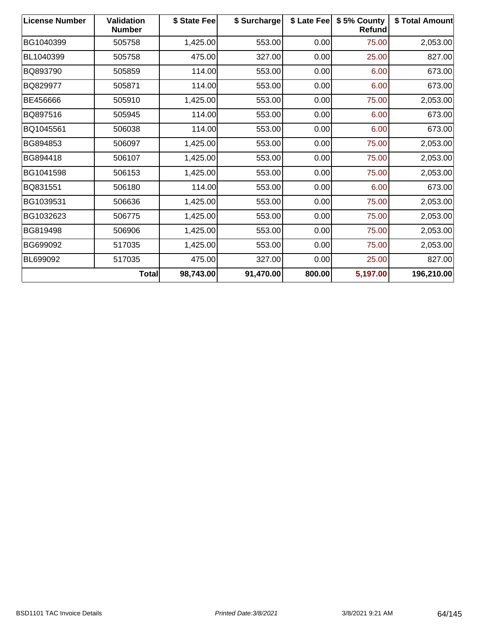| <b>License Number</b> | <b>Validation</b><br><b>Number</b> | \$ State Fee | \$ Surcharge | \$ Late Fee | \$5% County<br>Refund | <b>\$Total Amount</b> |
|-----------------------|------------------------------------|--------------|--------------|-------------|-----------------------|-----------------------|
| BG1040399             | 505758                             | 1,425.00     | 553.00       | 0.00        | 75.00                 | 2,053.00              |
| BL1040399             | 505758                             | 475.00       | 327.00       | 0.00        | 25.00                 | 827.00                |
| BQ893790              | 505859                             | 114.00       | 553.00       | 0.00        | 6.00                  | 673.00                |
| BQ829977              | 505871                             | 114.00       | 553.00       | 0.00        | 6.00                  | 673.00                |
| BE456666              | 505910                             | 1,425.00     | 553.00       | 0.00        | 75.00                 | 2,053.00              |
| BQ897516              | 505945                             | 114.00       | 553.00       | 0.00        | 6.00                  | 673.00                |
| BQ1045561             | 506038                             | 114.00       | 553.00       | 0.00        | 6.00                  | 673.00                |
| BG894853              | 506097                             | 1,425.00     | 553.00       | 0.00        | 75.00                 | 2,053.00              |
| BG894418              | 506107                             | 1,425.00     | 553.00       | 0.00        | 75.00                 | 2,053.00              |
| BG1041598             | 506153                             | 1,425.00     | 553.00       | 0.00        | 75.00                 | 2,053.00              |
| BQ831551              | 506180                             | 114.00       | 553.00       | 0.00        | 6.00                  | 673.00                |
| BG1039531             | 506636                             | 1,425.00     | 553.00       | 0.00        | 75.00                 | 2,053.00              |
| BG1032623             | 506775                             | 1,425.00     | 553.00       | 0.00        | 75.00                 | 2,053.00              |
| BG819498              | 506906                             | 1,425.00     | 553.00       | 0.00        | 75.00                 | 2,053.00              |
| BG699092              | 517035                             | 1,425.00     | 553.00       | 0.00        | 75.00                 | 2,053.00              |
| BL699092              | 517035                             | 475.00       | 327.00       | 0.00        | 25.00                 | 827.00                |
|                       | Total                              | 98,743.00    | 91,470.00    | 800.00      | 5,197.00              | 196,210.00            |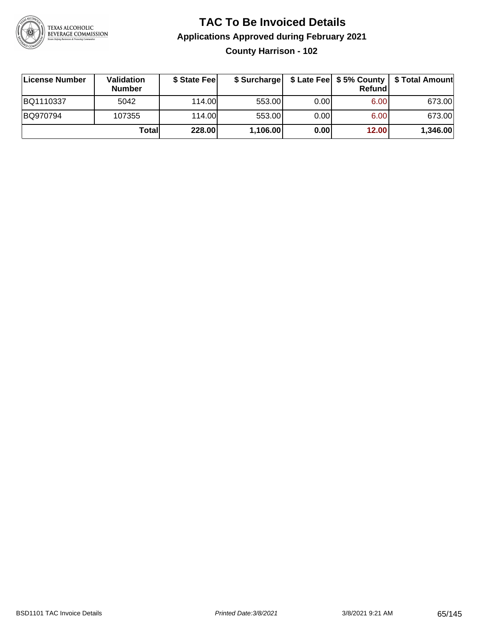

**County Harrison - 102**

| ∣License Number | Validation<br><b>Number</b> | \$ State Fee | \$ Surcharge |       | Refundl | \$ Late Fee   \$5% County   \$ Total Amount |
|-----------------|-----------------------------|--------------|--------------|-------|---------|---------------------------------------------|
| BQ1110337       | 5042                        | 114.00       | 553.00       | 0.001 | 6.00    | 673.00                                      |
| BQ970794        | 107355                      | 114.00       | 553.00       | 0.001 | 6.00    | 673.00                                      |
|                 | Totall                      | 228.00       | 1,106.00     | 0.00  | 12.00   | 1,346.00                                    |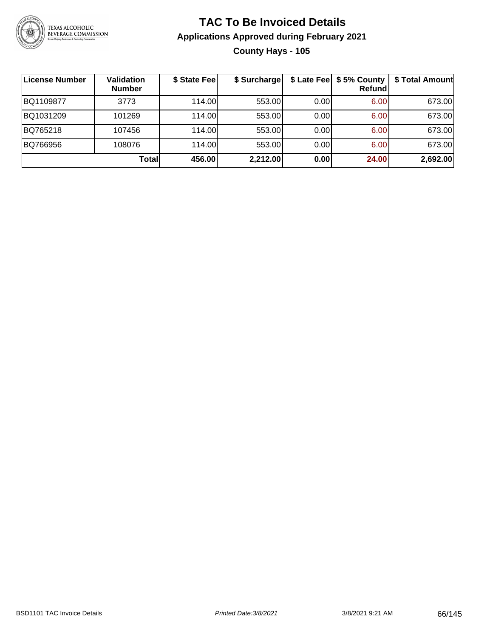

## **TAC To Be Invoiced Details Applications Approved during February 2021 County Hays - 105**

| License Number | Validation<br><b>Number</b> | \$ State Fee | \$ Surcharge |      | \$ Late Fee   \$5% County<br><b>Refund</b> | \$ Total Amount |
|----------------|-----------------------------|--------------|--------------|------|--------------------------------------------|-----------------|
| BQ1109877      | 3773                        | 114.00       | 553.00       | 0.00 | 6.00                                       | 673.00          |
| BQ1031209      | 101269                      | 114.00       | 553.00       | 0.00 | 6.00                                       | 673.00          |
| BQ765218       | 107456                      | 114.00L      | 553.00       | 0.00 | 6.00                                       | 673.00          |
| BQ766956       | 108076                      | 114.00       | 553.00       | 0.00 | 6.00                                       | 673.00          |
|                | Totall                      | 456.00       | 2,212.00     | 0.00 | 24.00                                      | 2,692.00        |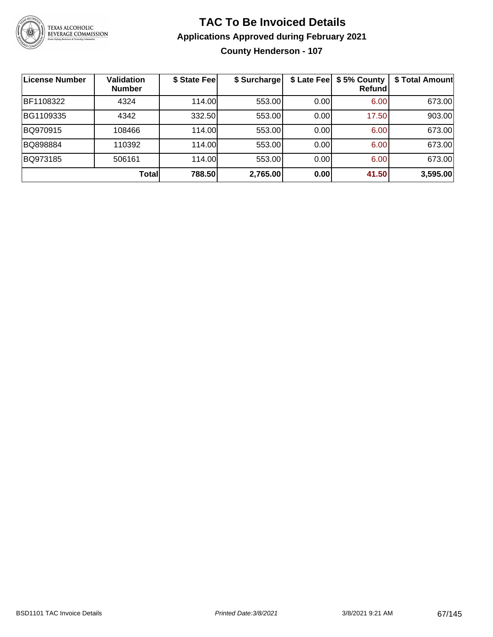

## **TAC To Be Invoiced Details Applications Approved during February 2021 County Henderson - 107**

| License Number | <b>Validation</b><br><b>Number</b> | \$ State Fee | \$ Surcharge | \$ Late Fee | \$5% County<br>Refund | \$ Total Amount |
|----------------|------------------------------------|--------------|--------------|-------------|-----------------------|-----------------|
| BF1108322      | 4324                               | 114.00       | 553.00       | 0.00        | 6.00                  | 673.00          |
| BG1109335      | 4342                               | 332.50       | 553.00       | 0.00        | 17.50                 | 903.00          |
| BQ970915       | 108466                             | 114.00       | 553.00       | 0.00        | 6.00                  | 673.00          |
| BQ898884       | 110392                             | 114.00       | 553.00       | 0.00        | 6.00                  | 673.00          |
| BQ973185       | 506161                             | 114.00       | 553.00       | 0.00        | 6.00                  | 673.00          |
|                | Total                              | 788.50       | 2,765.00     | 0.00        | 41.50                 | 3,595.00        |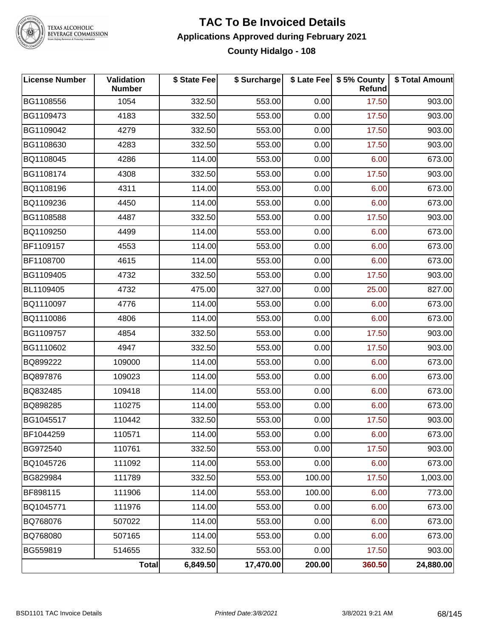

## **TAC To Be Invoiced Details Applications Approved during February 2021 County Hidalgo - 108**

| <b>License Number</b> | Validation<br><b>Number</b> | \$ State Fee | \$ Surcharge |        | \$ Late Fee   \$5% County<br>Refund | \$ Total Amount |
|-----------------------|-----------------------------|--------------|--------------|--------|-------------------------------------|-----------------|
| BG1108556             | 1054                        | 332.50       | 553.00       | 0.00   | 17.50                               | 903.00          |
| BG1109473             | 4183                        | 332.50       | 553.00       | 0.00   | 17.50                               | 903.00          |
| BG1109042             | 4279                        | 332.50       | 553.00       | 0.00   | 17.50                               | 903.00          |
| BG1108630             | 4283                        | 332.50       | 553.00       | 0.00   | 17.50                               | 903.00          |
| BQ1108045             | 4286                        | 114.00       | 553.00       | 0.00   | 6.00                                | 673.00          |
| BG1108174             | 4308                        | 332.50       | 553.00       | 0.00   | 17.50                               | 903.00          |
| BQ1108196             | 4311                        | 114.00       | 553.00       | 0.00   | 6.00                                | 673.00          |
| BQ1109236             | 4450                        | 114.00       | 553.00       | 0.00   | 6.00                                | 673.00          |
| BG1108588             | 4487                        | 332.50       | 553.00       | 0.00   | 17.50                               | 903.00          |
| BQ1109250             | 4499                        | 114.00       | 553.00       | 0.00   | 6.00                                | 673.00          |
| BF1109157             | 4553                        | 114.00       | 553.00       | 0.00   | 6.00                                | 673.00          |
| BF1108700             | 4615                        | 114.00       | 553.00       | 0.00   | 6.00                                | 673.00          |
| BG1109405             | 4732                        | 332.50       | 553.00       | 0.00   | 17.50                               | 903.00          |
| BL1109405             | 4732                        | 475.00       | 327.00       | 0.00   | 25.00                               | 827.00          |
| BQ1110097             | 4776                        | 114.00       | 553.00       | 0.00   | 6.00                                | 673.00          |
| BQ1110086             | 4806                        | 114.00       | 553.00       | 0.00   | 6.00                                | 673.00          |
| BG1109757             | 4854                        | 332.50       | 553.00       | 0.00   | 17.50                               | 903.00          |
| BG1110602             | 4947                        | 332.50       | 553.00       | 0.00   | 17.50                               | 903.00          |
| BQ899222              | 109000                      | 114.00       | 553.00       | 0.00   | 6.00                                | 673.00          |
| BQ897876              | 109023                      | 114.00       | 553.00       | 0.00   | 6.00                                | 673.00          |
| BQ832485              | 109418                      | 114.00       | 553.00       | 0.00   | 6.00                                | 673.00          |
| BQ898285              | 110275                      | 114.00       | 553.00       | 0.00   | 6.00                                | 673.00          |
| BG1045517             | 110442                      | 332.50       | 553.00       | 0.00   | 17.50                               | 903.00          |
| BF1044259             | 110571                      | 114.00       | 553.00       | 0.00   | 6.00                                | 673.00          |
| BG972540              | 110761                      | 332.50       | 553.00       | 0.00   | 17.50                               | 903.00          |
| BQ1045726             | 111092                      | 114.00       | 553.00       | 0.00   | 6.00                                | 673.00          |
| BG829984              | 111789                      | 332.50       | 553.00       | 100.00 | 17.50                               | 1,003.00        |
| BF898115              | 111906                      | 114.00       | 553.00       | 100.00 | 6.00                                | 773.00          |
| BQ1045771             | 111976                      | 114.00       | 553.00       | 0.00   | 6.00                                | 673.00          |
| BQ768076              | 507022                      | 114.00       | 553.00       | 0.00   | 6.00                                | 673.00          |
| BQ768080              | 507165                      | 114.00       | 553.00       | 0.00   | 6.00                                | 673.00          |
| BG559819              | 514655                      | 332.50       | 553.00       | 0.00   | 17.50                               | 903.00          |
|                       | Total                       | 6,849.50     | 17,470.00    | 200.00 | 360.50                              | 24,880.00       |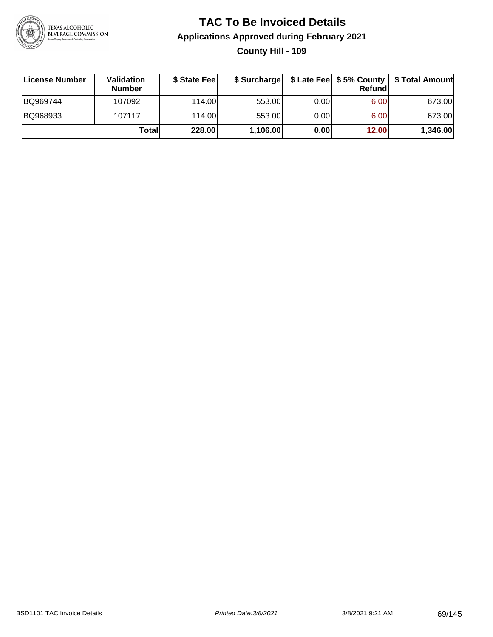

## **TAC To Be Invoiced Details Applications Approved during February 2021 County Hill - 109**

| License Number | <b>Validation</b><br><b>Number</b> | \$ State Fee | \$ Surcharge |      | <b>Refund</b> | \$ Late Fee   \$5% County   \$ Total Amount |
|----------------|------------------------------------|--------------|--------------|------|---------------|---------------------------------------------|
| BQ969744       | 107092                             | 114.00L      | 553.00       | 0.00 | 6.00          | 673.00                                      |
| BQ968933       | 107117                             | 114.00L      | 553.00       | 0.00 | 6.00          | 673.00                                      |
|                | Totall                             | 228.00       | 1,106.00     | 0.00 | 12.00         | 1,346.00                                    |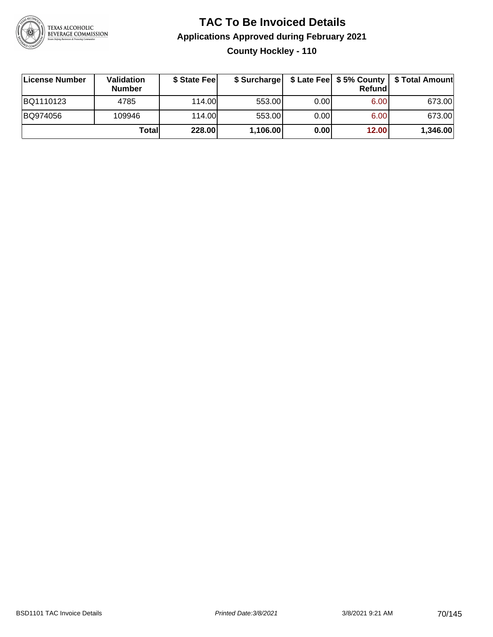

## **TAC To Be Invoiced Details Applications Approved during February 2021 County Hockley - 110**

| License Number | Validation<br><b>Number</b> | \$ State Fee |          |       | <b>Refund</b> | \$ Surcharge   \$ Late Fee   \$5% County   \$ Total Amount |
|----------------|-----------------------------|--------------|----------|-------|---------------|------------------------------------------------------------|
| BQ1110123      | 4785                        | 114.00       | 553.00   | 0.001 | 6.00          | 673.00                                                     |
| BQ974056       | 109946                      | 114.00       | 553.00   | 0.00  | 6.00          | 673.00                                                     |
|                | Totall                      | 228.00       | 1,106.00 | 0.00  | 12.00         | 1,346.00                                                   |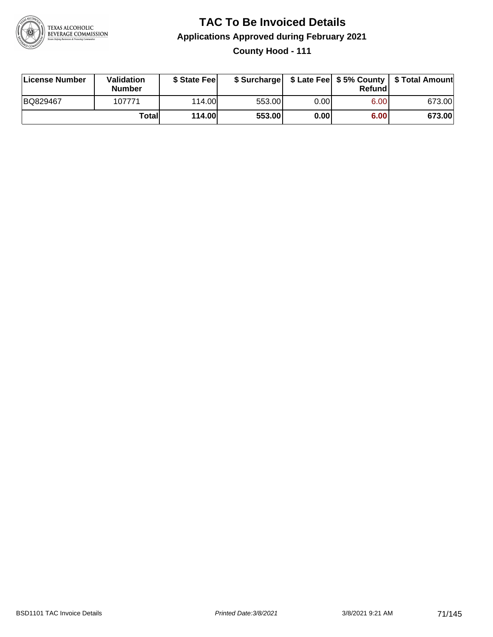

## **TAC To Be Invoiced Details Applications Approved during February 2021 County Hood - 111**

| License Number | Validation<br><b>Number</b> | \$ State Feel |        |       | Refund | \$ Surcharge   \$ Late Fee   \$5% County   \$ Total Amount |
|----------------|-----------------------------|---------------|--------|-------|--------|------------------------------------------------------------|
| BQ829467       | 107771                      | 114.00        | 553.00 | 0.001 | 6.00   | 673.00                                                     |
|                | Totall                      | 114.00        | 553.00 | 0.00  | 6.00   | 673.00                                                     |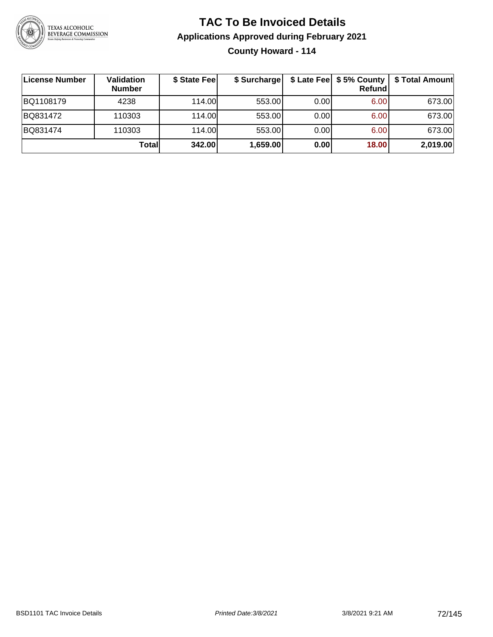

## **TAC To Be Invoiced Details Applications Approved during February 2021 County Howard - 114**

| License Number | Validation<br><b>Number</b> | \$ State Fee | \$ Surcharge |      | \$ Late Fee   \$5% County<br>Refundl | \$ Total Amount |
|----------------|-----------------------------|--------------|--------------|------|--------------------------------------|-----------------|
| BQ1108179      | 4238                        | 114.00       | 553.00       | 0.00 | 6.00                                 | 673.00          |
| BQ831472       | 110303                      | 114.00       | 553.00       | 0.00 | 6.00                                 | 673.00          |
| BQ831474       | 110303                      | 114.00       | 553.00       | 0.00 | 6.00                                 | 673.00          |
|                | Totall                      | 342.00       | 1,659.00     | 0.00 | 18.00                                | 2,019.00        |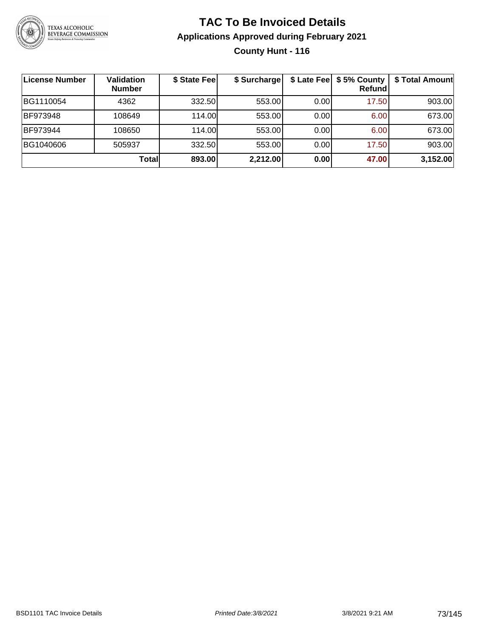

#### **TAC To Be Invoiced Details Applications Approved during February 2021 County Hunt - 116**

| License Number  | Validation<br><b>Number</b> | \$ State Fee | \$ Surcharge |      | \$ Late Fee   \$5% County<br><b>Refund</b> | \$ Total Amount |
|-----------------|-----------------------------|--------------|--------------|------|--------------------------------------------|-----------------|
| BG1110054       | 4362                        | 332.50       | 553.00       | 0.00 | 17.50                                      | 903.00          |
| <b>BF973948</b> | 108649                      | 114.00       | 553.00       | 0.00 | 6.00                                       | 673.00          |
| BF973944        | 108650                      | 114.00L      | 553.00       | 0.00 | 6.00                                       | 673.00          |
| BG1040606       | 505937                      | 332.50       | 553.00       | 0.00 | 17.50                                      | 903.00          |
|                 | Totall                      | 893.00       | 2,212.00     | 0.00 | 47.00                                      | 3,152.00        |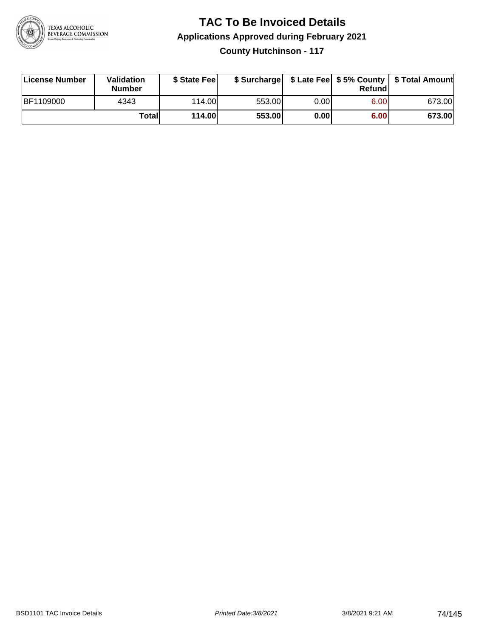

**County Hutchinson - 117**

| License Number | <b>Validation</b><br><b>Number</b> | \$ State Fee  | \$ Surcharge |      | Refundl |        |
|----------------|------------------------------------|---------------|--------------|------|---------|--------|
| BF1109000      | 4343                               | 114.00        | 553.00       | 0.00 | 6.00    | 673.00 |
|                | Totall                             | <b>114.00</b> | 553.00       | 0.00 | 6.00    | 673.00 |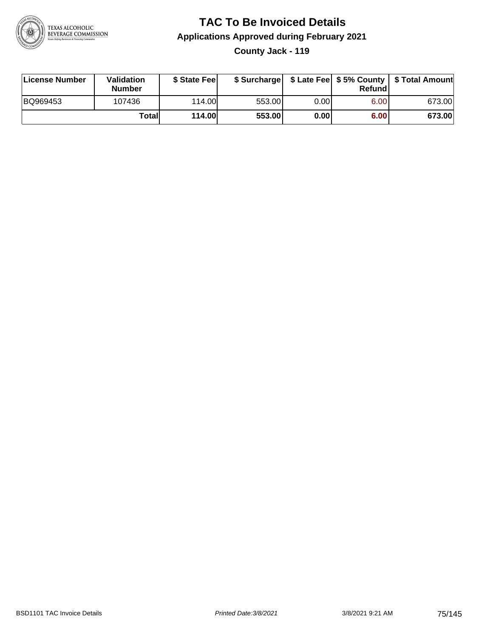

#### **TAC To Be Invoiced Details Applications Approved during February 2021 County Jack - 119**

| License Number | Validation<br><b>Number</b> | \$ State Feel |        |       | Refund | \$ Surcharge   \$ Late Fee   \$5% County   \$ Total Amount |
|----------------|-----------------------------|---------------|--------|-------|--------|------------------------------------------------------------|
| BQ969453       | 107436                      | 114.00L       | 553.00 | 0.001 | 6.00   | 673.00                                                     |
|                | Totall                      | 114.00        | 553.00 | 0.00  | 6.00   | 673.00                                                     |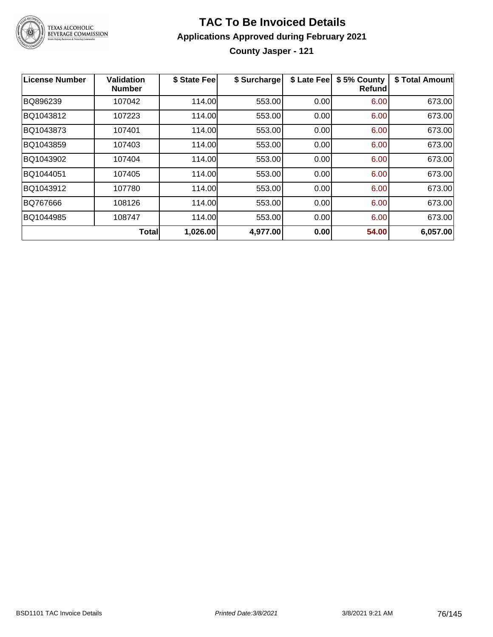

**County Jasper - 121**

| License Number | Validation<br><b>Number</b> | \$ State Fee | \$ Surcharge | \$ Late Fee | \$5% County<br>Refundl | \$ Total Amount |
|----------------|-----------------------------|--------------|--------------|-------------|------------------------|-----------------|
| BQ896239       | 107042                      | 114.00       | 553.00       | 0.00        | 6.00                   | 673.00          |
| BQ1043812      | 107223                      | 114.00       | 553.00       | 0.00        | 6.00                   | 673.00          |
| BQ1043873      | 107401                      | 114.00       | 553.00       | 0.00        | 6.00                   | 673.00          |
| BQ1043859      | 107403                      | 114.00       | 553.00       | 0.00        | 6.00                   | 673.00          |
| BQ1043902      | 107404                      | 114.00       | 553.00       | 0.00        | 6.00                   | 673.00          |
| BQ1044051      | 107405                      | 114.00       | 553.00       | 0.00        | 6.00                   | 673.00          |
| BQ1043912      | 107780                      | 114.00       | 553.00       | 0.00        | 6.00                   | 673.00          |
| BQ767666       | 108126                      | 114.00       | 553.00       | 0.00        | 6.00                   | 673.00          |
| BQ1044985      | 108747                      | 114.00       | 553.00       | 0.00        | 6.00                   | 673.00          |
|                | Total                       | 1,026.00     | 4,977.00     | 0.00        | 54.00                  | 6,057.00        |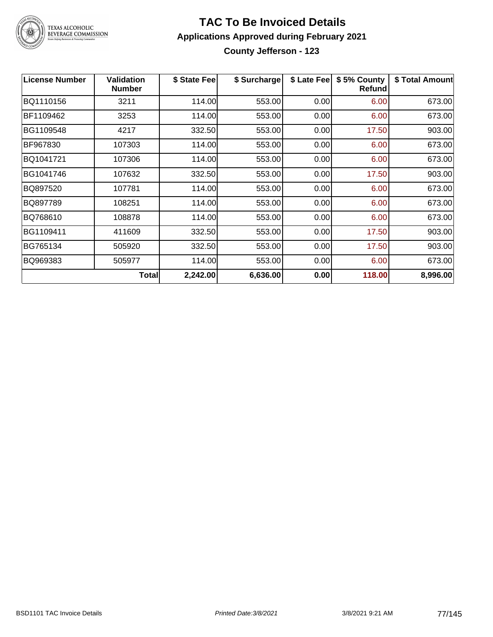

TEXAS ALCOHOLIC<br>BEVERAGE COMMISSION

#### **TAC To Be Invoiced Details Applications Approved during February 2021 County Jefferson - 123**

| <b>License Number</b> | <b>Validation</b><br><b>Number</b> | \$ State Fee | \$ Surcharge | \$ Late Fee | \$5% County<br>Refundl | \$ Total Amount |
|-----------------------|------------------------------------|--------------|--------------|-------------|------------------------|-----------------|
| BQ1110156             | 3211                               | 114.00       | 553.00       | 0.00        | 6.00                   | 673.00          |
| BF1109462             | 3253                               | 114.00       | 553.00       | 0.00        | 6.00                   | 673.00          |
| BG1109548             | 4217                               | 332.50       | 553.00       | 0.00        | 17.50                  | 903.00          |
| BF967830              | 107303                             | 114.00       | 553.00       | 0.00        | 6.00                   | 673.00          |
| BQ1041721             | 107306                             | 114.00       | 553.00       | 0.00        | 6.00                   | 673.00          |
| BG1041746             | 107632                             | 332.50       | 553.00       | 0.00        | 17.50                  | 903.00          |
| BQ897520              | 107781                             | 114.00       | 553.00       | 0.00        | 6.00                   | 673.00          |
| BQ897789              | 108251                             | 114.00       | 553.00       | 0.00        | 6.00                   | 673.00          |
| BQ768610              | 108878                             | 114.00       | 553.00       | 0.00        | 6.00                   | 673.00          |
| BG1109411             | 411609                             | 332.50       | 553.00       | 0.00        | 17.50                  | 903.00          |
| BG765134              | 505920                             | 332.50       | 553.00       | 0.00        | 17.50                  | 903.00          |
| BQ969383              | 505977                             | 114.00       | 553.00       | 0.00        | 6.00                   | 673.00          |
|                       | <b>Total</b>                       | 2,242.00     | 6,636.00     | 0.00        | 118.00                 | 8,996.00        |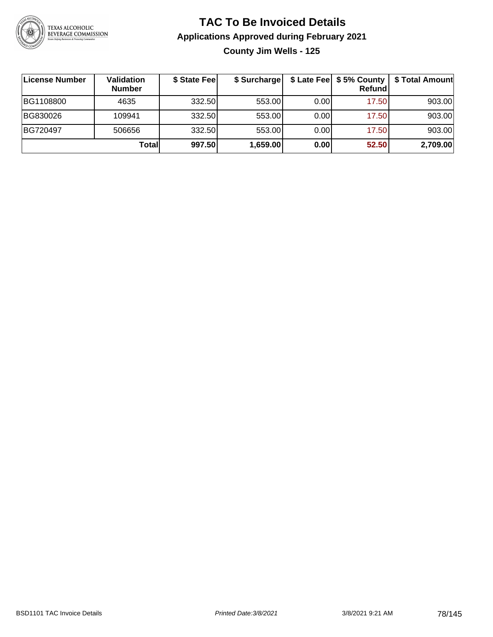

**County Jim Wells - 125**

| License Number | Validation<br><b>Number</b> | \$ State Feel | \$ Surcharge |       | Refundl | \$ Late Fee   \$5% County   \$ Total Amount |
|----------------|-----------------------------|---------------|--------------|-------|---------|---------------------------------------------|
| BG1108800      | 4635                        | 332.50        | 553.00       | 0.001 | 17.50   | 903.00                                      |
| BG830026       | 109941                      | 332.50        | 553.00       | 0.001 | 17.50   | 903.00                                      |
| BG720497       | 506656                      | 332.50        | 553.00       | 0.001 | 17.50   | 903.00                                      |
|                | Totall                      | 997.50        | 1,659.00     | 0.00  | 52.50   | 2,709.00                                    |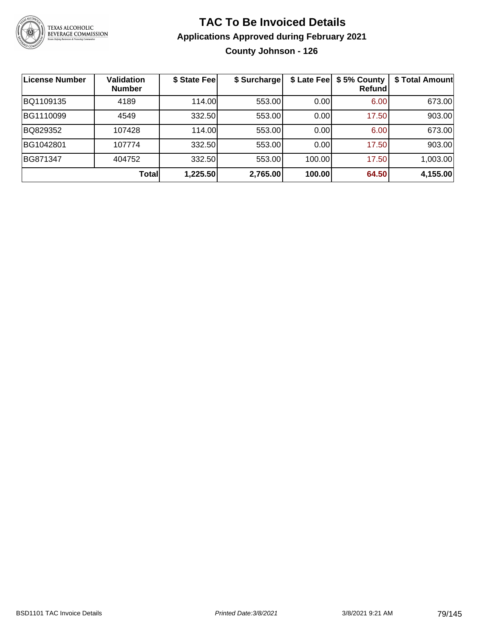

#### **TAC To Be Invoiced Details Applications Approved during February 2021 County Johnson - 126**

| License Number  | <b>Validation</b><br><b>Number</b> | \$ State Fee | \$ Surcharge |        | \$ Late Fee   \$5% County<br><b>Refund</b> | \$ Total Amount |
|-----------------|------------------------------------|--------------|--------------|--------|--------------------------------------------|-----------------|
| BQ1109135       | 4189                               | 114.00       | 553.00       | 0.00   | 6.00                                       | 673.00          |
| BG1110099       | 4549                               | 332.50       | 553.00       | 0.00   | 17.50                                      | 903.00          |
| BQ829352        | 107428                             | 114.00       | 553.00       | 0.00   | 6.00                                       | 673.00          |
| BG1042801       | 107774                             | 332.50       | 553.00       | 0.00   | 17.50                                      | 903.00          |
| <b>BG871347</b> | 404752                             | 332.50       | 553.00       | 100.00 | 17.50                                      | 1,003.00        |
|                 | Total                              | 1,225.50     | 2,765.00     | 100.00 | 64.50                                      | 4,155.00        |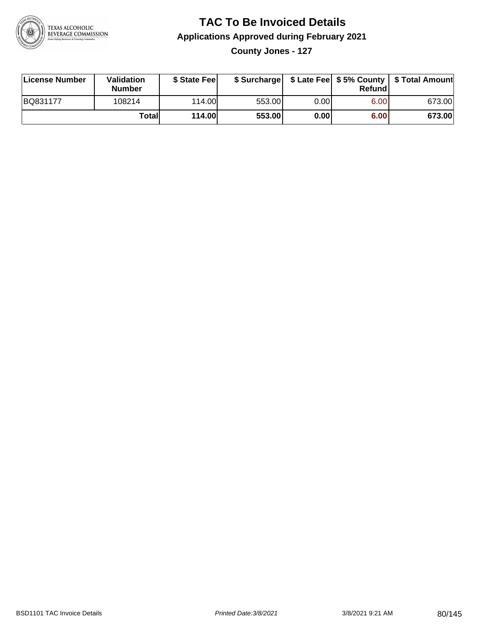

**County Jones - 127**

| License Number | Validation<br><b>Number</b> | \$ State Fee  | \$ Surcharge |      | Refundl |        |
|----------------|-----------------------------|---------------|--------------|------|---------|--------|
| BQ831177       | 108214                      | 114.00        | 553.00       | 0.00 | 6.00    | 673.00 |
|                | Totall                      | <b>114.00</b> | 553.00       | 0.00 | 6.00    | 673.00 |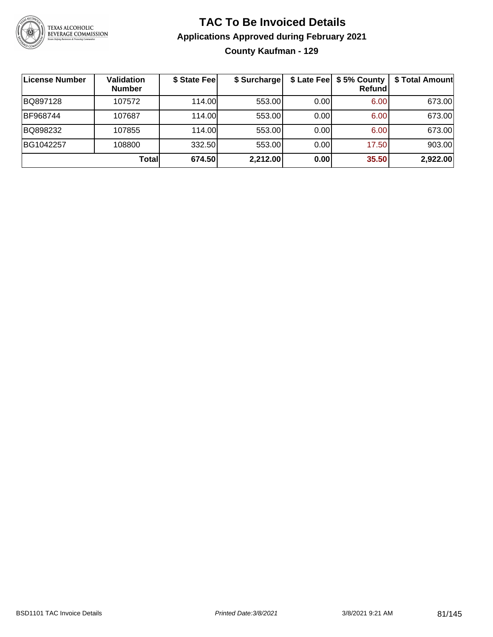

#### **TAC To Be Invoiced Details Applications Approved during February 2021 County Kaufman - 129**

| License Number | <b>Validation</b><br><b>Number</b> | \$ State Fee | \$ Surcharge |       | \$ Late Fee   \$5% County  <br><b>Refund</b> | \$ Total Amount |
|----------------|------------------------------------|--------------|--------------|-------|----------------------------------------------|-----------------|
| BQ897128       | 107572                             | 114.00       | 553.00       | 0.00  | 6.00                                         | 673.00          |
| BF968744       | 107687                             | 114.00       | 553.00       | 0.00  | 6.00                                         | 673.00          |
| BQ898232       | 107855                             | 114.00       | 553.00       | 0.001 | 6.00                                         | 673.00          |
| BG1042257      | 108800                             | 332.50       | 553.00       | 0.00  | 17.50                                        | 903.00          |
|                | <b>Total</b>                       | 674.50       | 2,212.00     | 0.00  | 35.50                                        | 2,922.00        |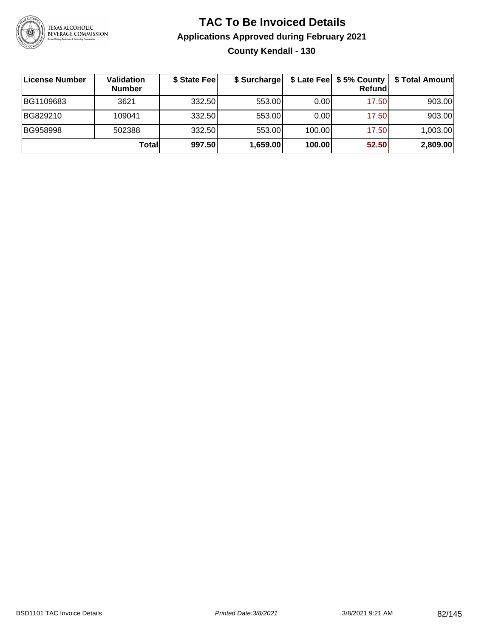

#### **TAC To Be Invoiced Details Applications Approved during February 2021 County Kendall - 130**

| License Number | Validation<br><b>Number</b> | \$ State Fee | \$ Surcharge |        | Refundl | \$ Late Fee   \$5% County   \$ Total Amount |
|----------------|-----------------------------|--------------|--------------|--------|---------|---------------------------------------------|
| BG1109683      | 3621                        | 332.50       | 553.00       | 0.001  | 17.50   | 903.00                                      |
| BG829210       | 109041                      | 332.50       | 553.00       | 0.00   | 17.50   | 903.00                                      |
| BG958998       | 502388                      | 332.50       | 553.00       | 100.00 | 17.50   | 1,003.00                                    |
|                | Totall                      | 997.50       | 1,659.00     | 100.00 | 52.50   | 2,809.00                                    |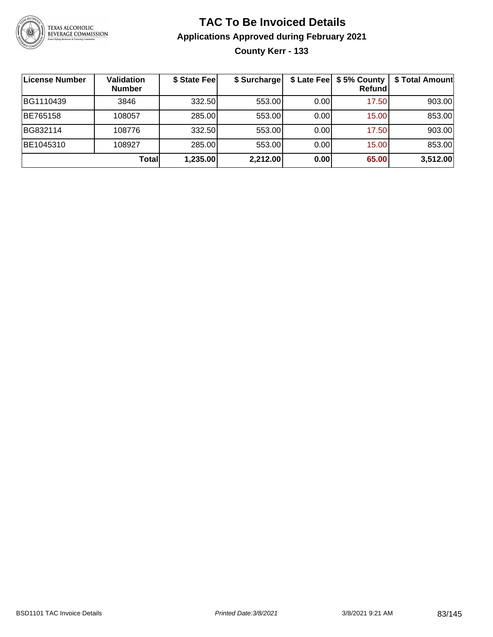

#### **TAC To Be Invoiced Details Applications Approved during February 2021 County Kerr - 133**

| License Number | <b>Validation</b><br><b>Number</b> | \$ State Fee | \$ Surcharge |      | \$ Late Fee   \$5% County<br><b>Refund</b> | \$ Total Amount |
|----------------|------------------------------------|--------------|--------------|------|--------------------------------------------|-----------------|
| BG1110439      | 3846                               | 332.50       | 553.00       | 0.00 | 17.50                                      | 903.00          |
| BE765158       | 108057                             | 285.00       | 553.00       | 0.00 | 15.00                                      | 853.00          |
| BG832114       | 108776                             | 332.50       | 553.00       | 0.00 | 17.50                                      | 903.00          |
| BE1045310      | 108927                             | 285.00       | 553.00       | 0.00 | 15.00                                      | 853.00          |
|                | Total                              | 1,235.00     | 2,212.00     | 0.00 | 65.00                                      | 3,512.00        |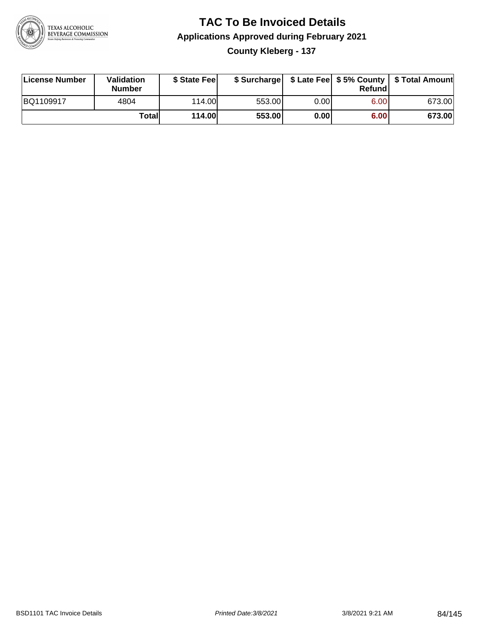

#### **TAC To Be Invoiced Details Applications Approved during February 2021 County Kleberg - 137**

| License Number | Validation<br><b>Number</b> | \$ State Fee  |        |      | Refundl | \$ Surcharge   \$ Late Fee   \$5% County   \$ Total Amount |
|----------------|-----------------------------|---------------|--------|------|---------|------------------------------------------------------------|
| BQ1109917      | 4804                        | 114.00L       | 553.00 | 0.00 | 6.00    | 673.00                                                     |
|                | Totall                      | <b>114.00</b> | 553.00 | 0.00 | 6.00    | 673.00                                                     |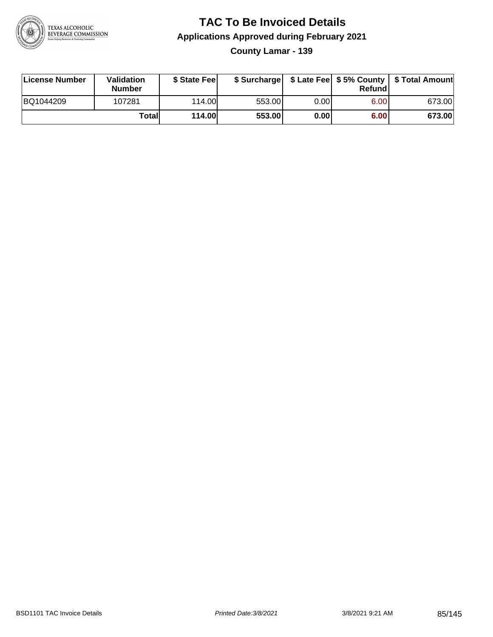

**County Lamar - 139**

| License Number | <b>Validation</b><br><b>Number</b> | \$ State Feel |        |      | Refundl | \$ Surcharge   \$ Late Fee   \$5% County   \$ Total Amount |
|----------------|------------------------------------|---------------|--------|------|---------|------------------------------------------------------------|
| BQ1044209      | 107281                             | 114.00L       | 553.00 | 0.00 | 6.00    | 673.00                                                     |
|                | Totall                             | <b>114.00</b> | 553.00 | 0.00 | 6.00    | 673.00                                                     |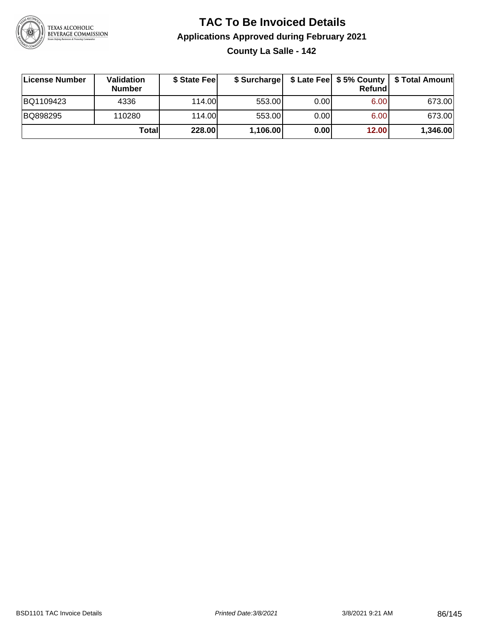

**County La Salle - 142**

| ∣License Number | <b>Validation</b><br><b>Number</b> | \$ State Fee |          |      | <b>Refund</b> | \$ Surcharge   \$ Late Fee   \$5% County   \$ Total Amount |
|-----------------|------------------------------------|--------------|----------|------|---------------|------------------------------------------------------------|
| BQ1109423       | 4336                               | 114.00L      | 553.00   | 0.00 | 6.00          | 673.00                                                     |
| BQ898295        | 110280                             | 114.00L      | 553.00   | 0.00 | 6.00          | 673.00                                                     |
|                 | Totall                             | 228.00       | 1,106.00 | 0.00 | 12.00         | 1,346.00                                                   |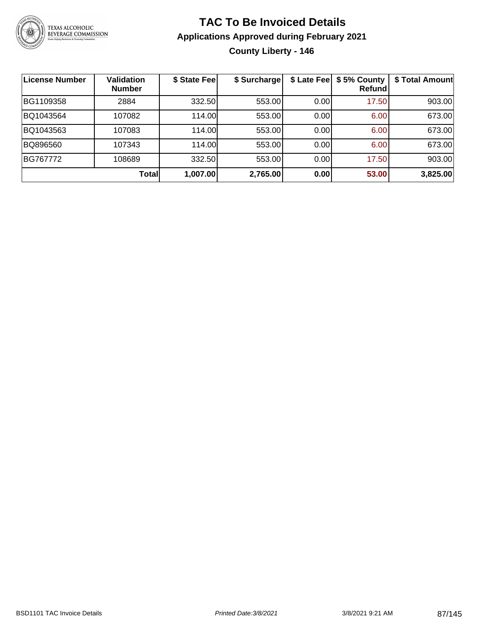

#### **TAC To Be Invoiced Details Applications Approved during February 2021 County Liberty - 146**

| <b>License Number</b> | <b>Validation</b><br><b>Number</b> | \$ State Fee | \$ Surcharge |      | \$ Late Fee   \$5% County<br>Refund | \$ Total Amount |
|-----------------------|------------------------------------|--------------|--------------|------|-------------------------------------|-----------------|
| BG1109358             | 2884                               | 332.50       | 553.00       | 0.00 | 17.50                               | 903.00          |
| BQ1043564             | 107082                             | 114.00       | 553.00       | 0.00 | 6.00                                | 673.00          |
| BQ1043563             | 107083                             | 114.00       | 553.00       | 0.00 | 6.00                                | 673.00          |
| BQ896560              | 107343                             | 114.00       | 553.00       | 0.00 | 6.00                                | 673.00          |
| BG767772              | 108689                             | 332.50       | 553.00       | 0.00 | 17.50                               | 903.00          |
|                       | Total                              | 1,007.00     | 2,765.00     | 0.00 | 53.00                               | 3,825.00        |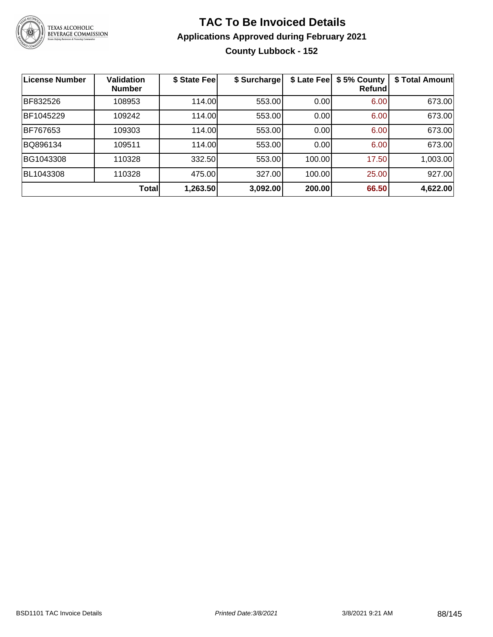

#### **TAC To Be Invoiced Details Applications Approved during February 2021 County Lubbock - 152**

| <b>License Number</b> | <b>Validation</b><br><b>Number</b> | \$ State Fee | \$ Surcharge | \$ Late Fee | \$5% County<br>Refundl | \$ Total Amount |
|-----------------------|------------------------------------|--------------|--------------|-------------|------------------------|-----------------|
| BF832526              | 108953                             | 114.00       | 553.00       | 0.00        | 6.00                   | 673.00          |
| BF1045229             | 109242                             | 114.00       | 553.00       | 0.00        | 6.00                   | 673.00          |
| BF767653              | 109303                             | 114.00       | 553.00       | 0.00        | 6.00                   | 673.00          |
| BQ896134              | 109511                             | 114.00       | 553.00       | 0.00        | 6.00                   | 673.00          |
| BG1043308             | 110328                             | 332.50       | 553.00       | 100.00      | 17.50                  | 1,003.00        |
| BL1043308             | 110328                             | 475.00       | 327.00       | 100.00      | 25.00                  | 927.00          |
|                       | <b>Total</b>                       | 1,263.50     | 3,092.00     | 200.00      | 66.50                  | 4,622.00        |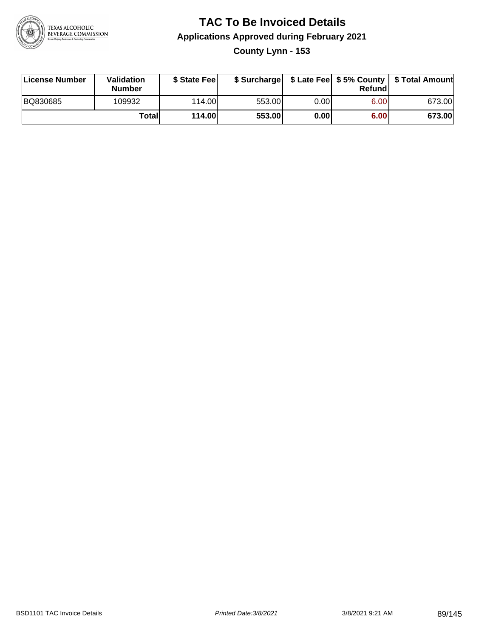

#### **TAC To Be Invoiced Details Applications Approved during February 2021 County Lynn - 153**

| License Number | Validation<br><b>Number</b> | \$ State Fee  |        |      | Refund | \$ Surcharge   \$ Late Fee   \$5% County   \$ Total Amount |
|----------------|-----------------------------|---------------|--------|------|--------|------------------------------------------------------------|
| BQ830685       | 109932                      | 114.00        | 553.00 | 0.00 | 6.00   | 673.00                                                     |
|                | Totall                      | <b>114.00</b> | 553.00 | 0.00 | 6.00   | 673.00                                                     |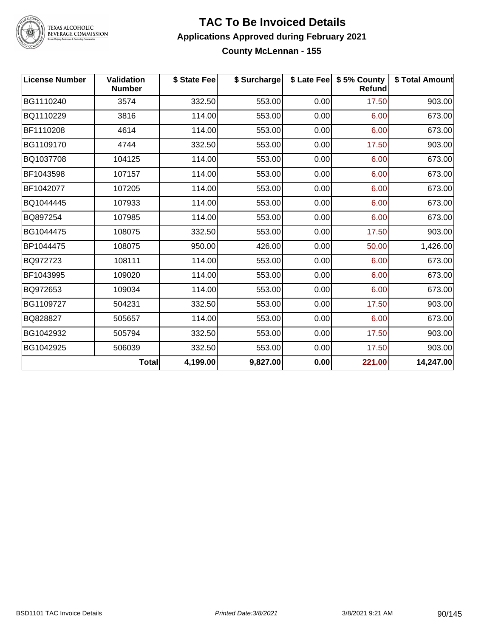

TEXAS ALCOHOLIC<br>BEVERAGE COMMISSION

#### **TAC To Be Invoiced Details Applications Approved during February 2021 County McLennan - 155**

| <b>License Number</b> | <b>Validation</b><br><b>Number</b> | \$ State Fee | \$ Surcharge |      | \$ Late Fee   \$5% County<br><b>Refund</b> | \$ Total Amount |
|-----------------------|------------------------------------|--------------|--------------|------|--------------------------------------------|-----------------|
| BG1110240             | 3574                               | 332.50       | 553.00       | 0.00 | 17.50                                      | 903.00          |
| BQ1110229             | 3816                               | 114.00       | 553.00       | 0.00 | 6.00                                       | 673.00          |
| BF1110208             | 4614                               | 114.00       | 553.00       | 0.00 | 6.00                                       | 673.00          |
| BG1109170             | 4744                               | 332.50       | 553.00       | 0.00 | 17.50                                      | 903.00          |
| BQ1037708             | 104125                             | 114.00       | 553.00       | 0.00 | 6.00                                       | 673.00          |
| BF1043598             | 107157                             | 114.00       | 553.00       | 0.00 | 6.00                                       | 673.00          |
| BF1042077             | 107205                             | 114.00       | 553.00       | 0.00 | 6.00                                       | 673.00          |
| BQ1044445             | 107933                             | 114.00       | 553.00       | 0.00 | 6.00                                       | 673.00          |
| BQ897254              | 107985                             | 114.00       | 553.00       | 0.00 | 6.00                                       | 673.00          |
| BG1044475             | 108075                             | 332.50       | 553.00       | 0.00 | 17.50                                      | 903.00          |
| BP1044475             | 108075                             | 950.00       | 426.00       | 0.00 | 50.00                                      | 1,426.00        |
| BQ972723              | 108111                             | 114.00       | 553.00       | 0.00 | 6.00                                       | 673.00          |
| BF1043995             | 109020                             | 114.00       | 553.00       | 0.00 | 6.00                                       | 673.00          |
| BQ972653              | 109034                             | 114.00       | 553.00       | 0.00 | 6.00                                       | 673.00          |
| BG1109727             | 504231                             | 332.50       | 553.00       | 0.00 | 17.50                                      | 903.00          |
| BQ828827              | 505657                             | 114.00       | 553.00       | 0.00 | 6.00                                       | 673.00          |
| BG1042932             | 505794                             | 332.50       | 553.00       | 0.00 | 17.50                                      | 903.00          |
| BG1042925             | 506039                             | 332.50       | 553.00       | 0.00 | 17.50                                      | 903.00          |
|                       | <b>Total</b>                       | 4,199.00     | 9,827.00     | 0.00 | 221.00                                     | 14,247.00       |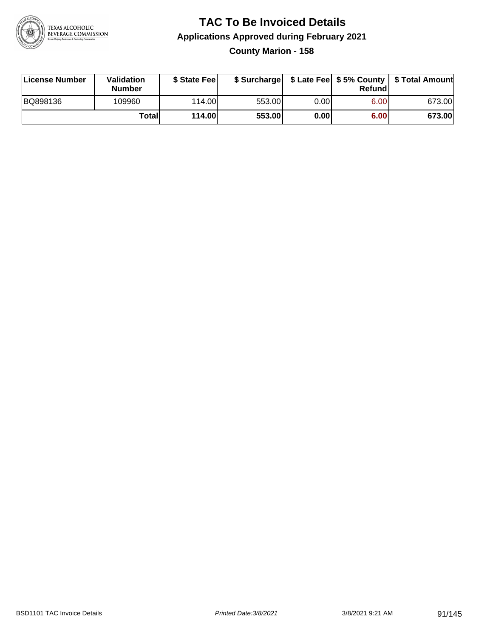

#### **TAC To Be Invoiced Details Applications Approved during February 2021 County Marion - 158**

| License Number | Validation<br><b>Number</b> | \$ State Fee |        |       | Refundl | \$ Surcharge   \$ Late Fee   \$5% County   \$ Total Amount |
|----------------|-----------------------------|--------------|--------|-------|---------|------------------------------------------------------------|
| BQ898136       | 109960                      | 114.00       | 553.00 | 0.00  | 6.00    | 673.00                                                     |
|                | Totall                      | 114.00       | 553.00 | 0.001 | 6.00    | 673.00                                                     |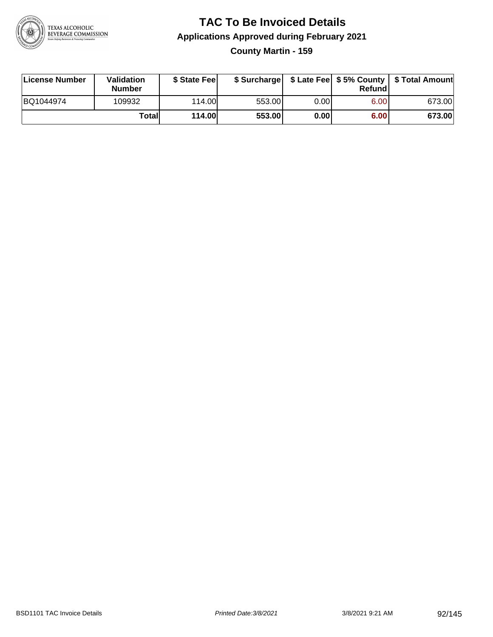

**County Martin - 159**

| License Number | Validation<br><b>Number</b> | \$ State Fee  | \$ Surcharge |      | Refundl | \$ Late Fee   \$5% County   \$ Total Amount |
|----------------|-----------------------------|---------------|--------------|------|---------|---------------------------------------------|
| BQ1044974      | 109932                      | 114.00        | 553.00       | 0.00 | 6.00    | 673.00                                      |
|                | Totall                      | <b>114.00</b> | 553.00       | 0.00 | 6.00    | 673.00                                      |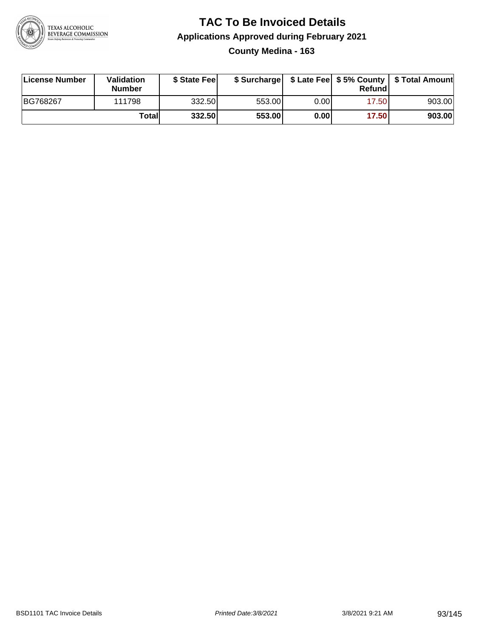

#### **TAC To Be Invoiced Details Applications Approved during February 2021 County Medina - 163**

| License Number | <b>Validation</b><br><b>Number</b> | \$ State Fee |        |       | Refundl | \$ Surcharge   \$ Late Fee   \$5% County   \$ Total Amount |
|----------------|------------------------------------|--------------|--------|-------|---------|------------------------------------------------------------|
| BG768267       | 111798                             | 332.50       | 553.00 | 0.00I | 17.50   | 903.00                                                     |
|                | Totall                             | 332.50       | 553.00 | 0.00  | 17.50   | 903.00                                                     |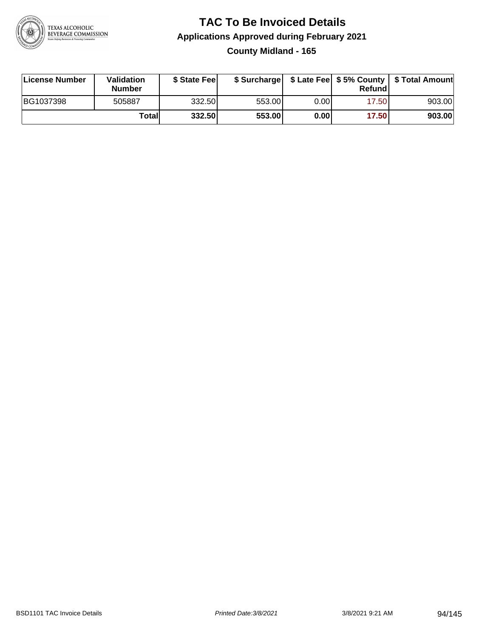

#### **TAC To Be Invoiced Details Applications Approved during February 2021 County Midland - 165**

| License Number | <b>Validation</b><br><b>Number</b> | \$ State Feel |        |       | Refund | \$ Surcharge   \$ Late Fee   \$5% County   \$ Total Amount |
|----------------|------------------------------------|---------------|--------|-------|--------|------------------------------------------------------------|
| BG1037398      | 505887                             | 332.50        | 553.00 | 0.001 | 17.50  | 903.00                                                     |
|                | Totall                             | 332.50        | 553.00 | 0.00  | 17.50  | 903.00                                                     |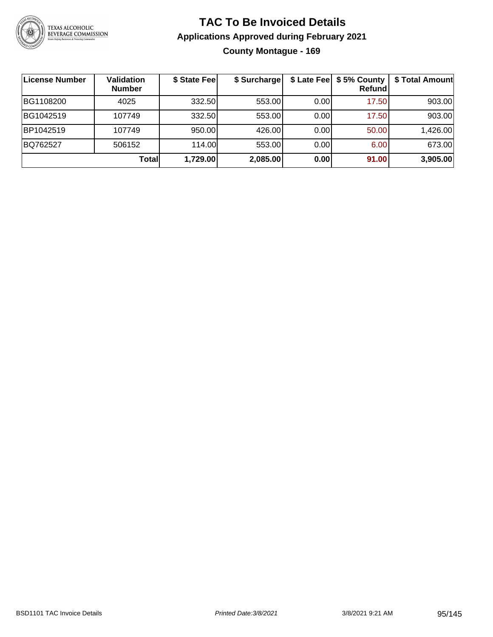

#### **TAC To Be Invoiced Details Applications Approved during February 2021 County Montague - 169**

| License Number | <b>Validation</b><br><b>Number</b> | \$ State Fee | \$ Surcharge |       | \$ Late Fee   \$5% County  <br><b>Refund</b> | \$ Total Amount |
|----------------|------------------------------------|--------------|--------------|-------|----------------------------------------------|-----------------|
| BG1108200      | 4025                               | 332.50       | 553.00       | 0.00  | 17.50                                        | 903.00          |
| BG1042519      | 107749                             | 332.50       | 553.00       | 0.00  | 17.50                                        | 903.00          |
| BP1042519      | 107749                             | 950.00       | 426.00       | 0.001 | 50.00                                        | 1,426.00        |
| BQ762527       | 506152                             | 114.00       | 553.00       | 0.00  | 6.00                                         | 673.00          |
|                | <b>Total</b>                       | 1,729.00     | 2,085.00     | 0.00  | 91.00                                        | 3,905.00        |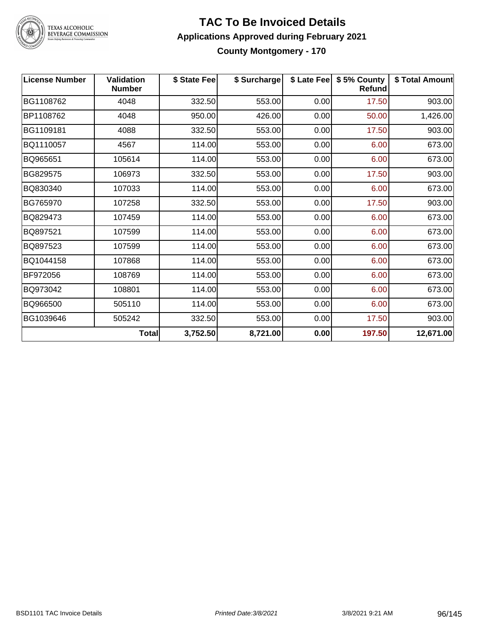

### TEXAS ALCOHOLIC<br>BEVERAGE COMMISSION

#### **TAC To Be Invoiced Details Applications Approved during February 2021 County Montgomery - 170**

| <b>License Number</b> | <b>Validation</b><br><b>Number</b> | \$ State Fee | \$ Surcharge |      | \$ Late Fee   \$5% County<br><b>Refund</b> | \$ Total Amount |
|-----------------------|------------------------------------|--------------|--------------|------|--------------------------------------------|-----------------|
| BG1108762             | 4048                               | 332.50       | 553.00       | 0.00 | 17.50                                      | 903.00          |
| BP1108762             | 4048                               | 950.00       | 426.00       | 0.00 | 50.00                                      | 1,426.00        |
| BG1109181             | 4088                               | 332.50       | 553.00       | 0.00 | 17.50                                      | 903.00          |
| BQ1110057             | 4567                               | 114.00       | 553.00       | 0.00 | 6.00                                       | 673.00          |
| BQ965651              | 105614                             | 114.00       | 553.00       | 0.00 | 6.00                                       | 673.00          |
| BG829575              | 106973                             | 332.50       | 553.00       | 0.00 | 17.50                                      | 903.00          |
| BQ830340              | 107033                             | 114.00       | 553.00       | 0.00 | 6.00                                       | 673.00          |
| BG765970              | 107258                             | 332.50       | 553.00       | 0.00 | 17.50                                      | 903.00          |
| BQ829473              | 107459                             | 114.00       | 553.00       | 0.00 | 6.00                                       | 673.00          |
| BQ897521              | 107599                             | 114.00       | 553.00       | 0.00 | 6.00                                       | 673.00          |
| BQ897523              | 107599                             | 114.00       | 553.00       | 0.00 | 6.00                                       | 673.00          |
| BQ1044158             | 107868                             | 114.00       | 553.00       | 0.00 | 6.00                                       | 673.00          |
| BF972056              | 108769                             | 114.00       | 553.00       | 0.00 | 6.00                                       | 673.00          |
| BQ973042              | 108801                             | 114.00       | 553.00       | 0.00 | 6.00                                       | 673.00          |
| BQ966500              | 505110                             | 114.00       | 553.00       | 0.00 | 6.00                                       | 673.00          |
| BG1039646             | 505242                             | 332.50       | 553.00       | 0.00 | 17.50                                      | 903.00          |
|                       | Total                              | 3,752.50     | 8,721.00     | 0.00 | 197.50                                     | 12,671.00       |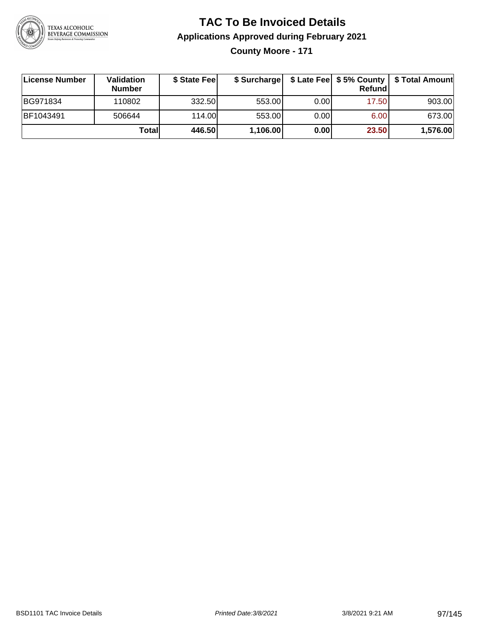

**County Moore - 171**

| ∣License Number  | Validation<br><b>Number</b> | \$ State Fee |          |       | Refundl | \$ Surcharge   \$ Late Fee   \$5% County   \$ Total Amount |
|------------------|-----------------------------|--------------|----------|-------|---------|------------------------------------------------------------|
| BG971834         | 110802                      | 332.50       | 553.00   | 0.001 | 17.50   | 903.00                                                     |
| <b>BF1043491</b> | 506644                      | 114.00       | 553.00   | 0.00  | 6.00    | 673.00                                                     |
|                  | Totall                      | 446.50       | 1,106.00 | 0.00  | 23.50   | 1,576.00                                                   |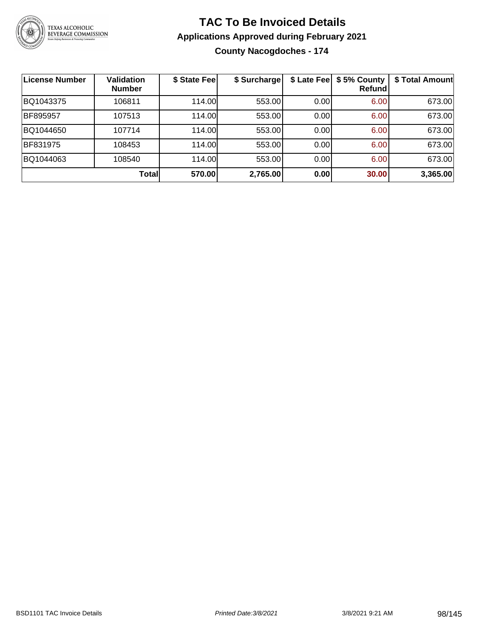

**County Nacogdoches - 174**

| License Number | <b>Validation</b><br><b>Number</b> | \$ State Fee | \$ Surcharge |      | \$ Late Fee   \$5% County<br>Refundl | \$ Total Amount |
|----------------|------------------------------------|--------------|--------------|------|--------------------------------------|-----------------|
| BQ1043375      | 106811                             | 114.00       | 553.00       | 0.00 | 6.00                                 | 673.00          |
| BF895957       | 107513                             | 114.00L      | 553.00       | 0.00 | 6.00                                 | 673.00          |
| BQ1044650      | 107714                             | 114.00L      | 553.00       | 0.00 | 6.00                                 | 673.00          |
| BF831975       | 108453                             | 114.00       | 553.00       | 0.00 | 6.00                                 | 673.00          |
| BQ1044063      | 108540                             | 114.00L      | 553.00       | 0.00 | 6.00                                 | 673.00          |
|                | <b>Total</b>                       | 570.00       | 2,765.00     | 0.00 | 30.00                                | 3,365.00        |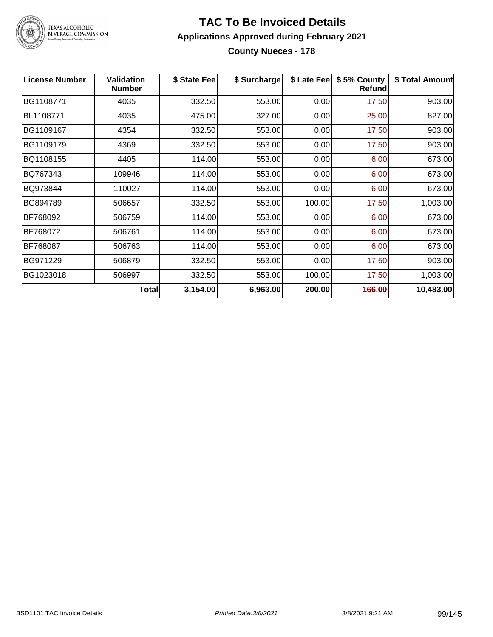

TEXAS ALCOHOLIC<br>BEVERAGE COMMISSION

#### **TAC To Be Invoiced Details Applications Approved during February 2021 County Nueces - 178**

| <b>License Number</b> | <b>Validation</b><br><b>Number</b> | \$ State Fee | \$ Surcharge | \$ Late Fee | \$5% County<br><b>Refund</b> | \$ Total Amount |
|-----------------------|------------------------------------|--------------|--------------|-------------|------------------------------|-----------------|
| BG1108771             | 4035                               | 332.50       | 553.00       | 0.00        | 17.50                        | 903.00          |
| BL1108771             | 4035                               | 475.00       | 327.00       | 0.00        | 25.00                        | 827.00          |
| BG1109167             | 4354                               | 332.50       | 553.00       | 0.00        | 17.50                        | 903.00          |
| BG1109179             | 4369                               | 332.50       | 553.00       | 0.00        | 17.50                        | 903.00          |
| BQ1108155             | 4405                               | 114.00       | 553.00       | 0.00        | 6.00                         | 673.00          |
| BQ767343              | 109946                             | 114.00       | 553.00       | 0.00        | 6.00                         | 673.00          |
| BQ973844              | 110027                             | 114.00       | 553.00       | 0.00        | 6.00                         | 673.00          |
| BG894789              | 506657                             | 332.50       | 553.00       | 100.00      | 17.50                        | 1,003.00        |
| BF768092              | 506759                             | 114.00       | 553.00       | 0.00        | 6.00                         | 673.00          |
| BF768072              | 506761                             | 114.00       | 553.00       | 0.00        | 6.00                         | 673.00          |
| BF768087              | 506763                             | 114.00       | 553.00       | 0.00        | 6.00                         | 673.00          |
| BG971229              | 506879                             | 332.50       | 553.00       | 0.00        | 17.50                        | 903.00          |
| BG1023018             | 506997                             | 332.50       | 553.00       | 100.00      | 17.50                        | 1,003.00        |
|                       | Total                              | 3,154.00     | 6,963.00     | 200.00      | 166.00                       | 10,483.00       |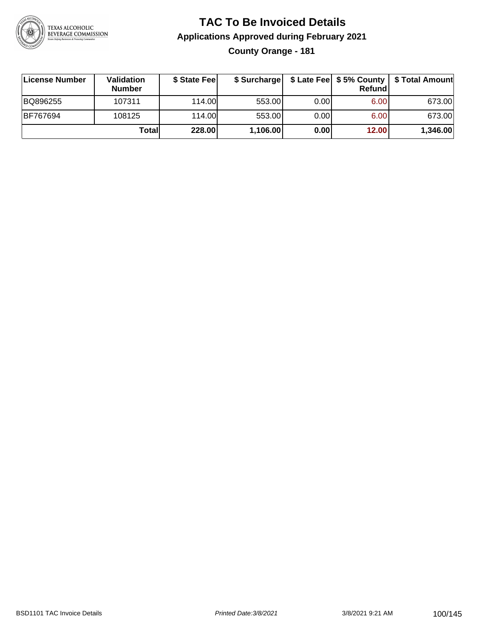

#### **TAC To Be Invoiced Details Applications Approved during February 2021 County Orange - 181**

| License Number | <b>Validation</b><br><b>Number</b> | \$ State Fee |          |       | Refundl | \$ Surcharge   \$ Late Fee   \$5% County   \$ Total Amount |
|----------------|------------------------------------|--------------|----------|-------|---------|------------------------------------------------------------|
| BQ896255       | 107311                             | 114.00       | 553.00   | 0.001 | 6.00    | 673.00                                                     |
| BF767694       | 108125                             | 114.00       | 553.00   | 0.00  | 6.00    | 673.00                                                     |
|                | Totall                             | 228.00       | 1,106.00 | 0.00  | 12.00   | 1,346.00                                                   |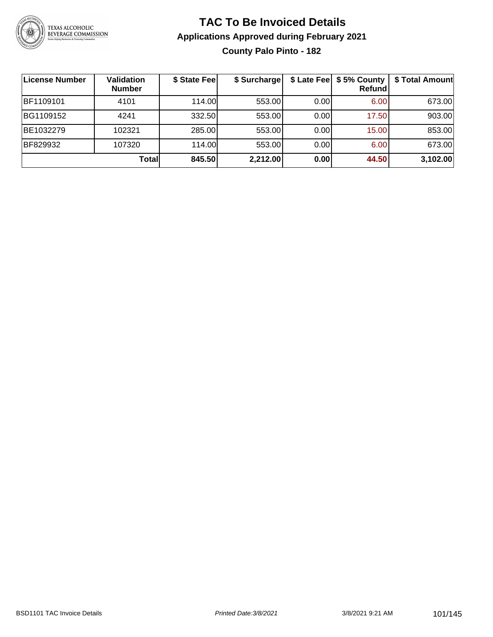

#### **TAC To Be Invoiced Details Applications Approved during February 2021 County Palo Pinto - 182**

| <b>License Number</b> | Validation<br><b>Number</b> | \$ State Fee | \$ Surcharge |      | \$ Late Fee   \$5% County<br><b>Refund</b> | \$ Total Amount |
|-----------------------|-----------------------------|--------------|--------------|------|--------------------------------------------|-----------------|
| BF1109101             | 4101                        | 114.00       | 553.00       | 0.00 | 6.00                                       | 673.00          |
| BG1109152             | 4241                        | 332.50       | 553.00       | 0.00 | 17.50                                      | 903.00          |
| BE1032279             | 102321                      | 285.00       | 553.00       | 0.00 | 15.00                                      | 853.00          |
| BF829932              | 107320                      | 114.00L      | 553.00       | 0.00 | 6.00                                       | 673.00          |
|                       | Totall                      | 845.50       | 2,212.00     | 0.00 | 44.50                                      | 3,102.00        |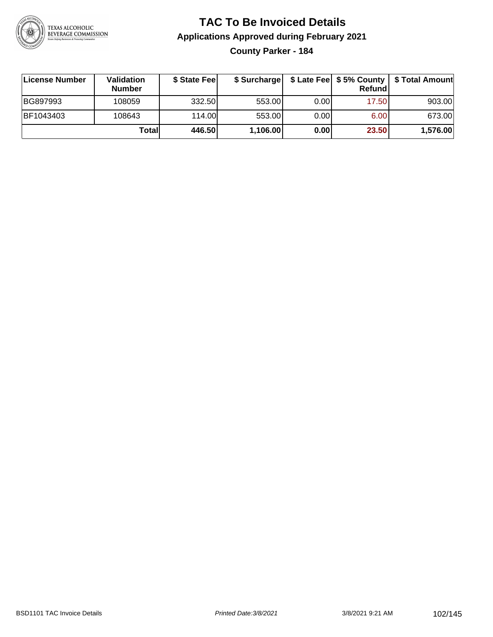

**County Parker - 184**

| ∣License Number | <b>Validation</b><br><b>Number</b> | \$ State Fee | \$ Surcharge |       | <b>Refund</b> | \$ Late Fee   \$5% County   \$ Total Amount |
|-----------------|------------------------------------|--------------|--------------|-------|---------------|---------------------------------------------|
| BG897993        | 108059                             | 332.50       | 553.00       | 0.001 | 17.50         | 903.00                                      |
| BF1043403       | 108643                             | 114.00       | 553.00       | 0.001 | 6.00          | 673.00                                      |
|                 | Totall                             | 446.50       | 1,106.00     | 0.00  | 23.50         | 1,576.00                                    |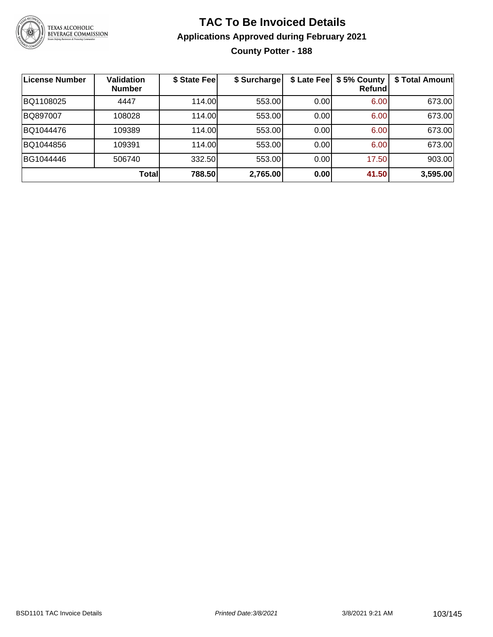

#### **TAC To Be Invoiced Details Applications Approved during February 2021 County Potter - 188**

| License Number | <b>Validation</b><br><b>Number</b> | \$ State Fee | \$ Surcharge |      | \$ Late Fee   \$5% County<br>Refundl | \$ Total Amount |
|----------------|------------------------------------|--------------|--------------|------|--------------------------------------|-----------------|
| BQ1108025      | 4447                               | 114.00       | 553.00       | 0.00 | 6.00                                 | 673.00          |
| BQ897007       | 108028                             | 114.00       | 553.00       | 0.00 | 6.00                                 | 673.00          |
| BQ1044476      | 109389                             | 114.00       | 553.00       | 0.00 | 6.00                                 | 673.00          |
| BQ1044856      | 109391                             | 114.00       | 553.00       | 0.00 | 6.00                                 | 673.00          |
| BG1044446      | 506740                             | 332.50       | 553.00       | 0.00 | 17.50                                | 903.00          |
|                | <b>Total</b>                       | 788.50       | 2,765.00     | 0.00 | 41.50                                | 3,595.00        |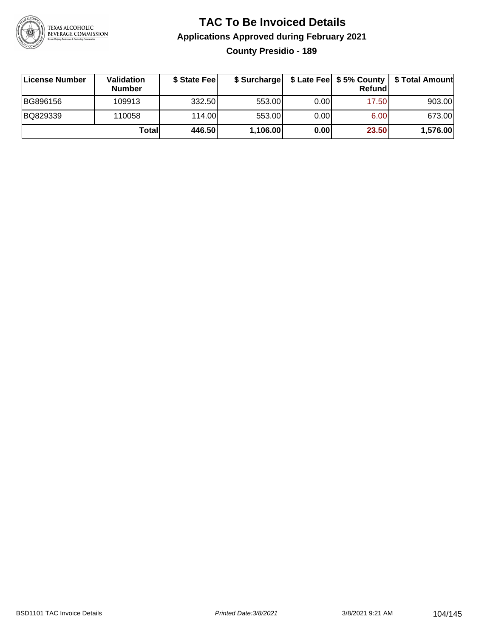

#### **TAC To Be Invoiced Details Applications Approved during February 2021 County Presidio - 189**

| ∣License Number | <b>Validation</b><br><b>Number</b> | \$ State Fee | \$ Surcharge |      | Refundl |          |
|-----------------|------------------------------------|--------------|--------------|------|---------|----------|
| BG896156        | 109913                             | 332.50       | 553.00       | 0.00 | 17.50   | 903.00   |
| BQ829339        | 110058                             | 114.00       | 553.00       | 0.00 | 6.00    | 673.00   |
|                 | Totall                             | 446.50       | 1,106.00     | 0.00 | 23.50   | 1,576.00 |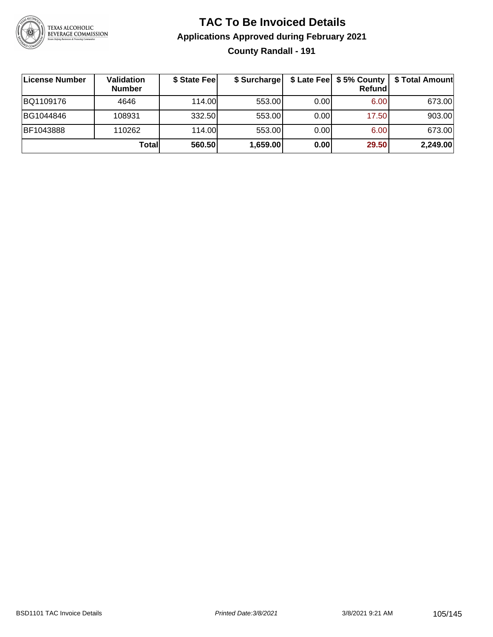

#### **TAC To Be Invoiced Details Applications Approved during February 2021 County Randall - 191**

| License Number | Validation<br><b>Number</b> | \$ State Fee | \$ Surcharge |      | $$$ Late Fee $$5%$ County<br>Refund | \$ Total Amount |
|----------------|-----------------------------|--------------|--------------|------|-------------------------------------|-----------------|
| BQ1109176      | 4646                        | 114.00L      | 553.00       | 0.00 | 6.00                                | 673.00          |
| BG1044846      | 108931                      | 332.50       | 553.00       | 0.00 | 17.50                               | 903.00          |
| BF1043888      | 110262                      | 114.00L      | 553.00       | 0.00 | 6.00                                | 673.00          |
|                | Totall                      | 560.50       | 1,659.00     | 0.00 | 29.50                               | 2,249.00        |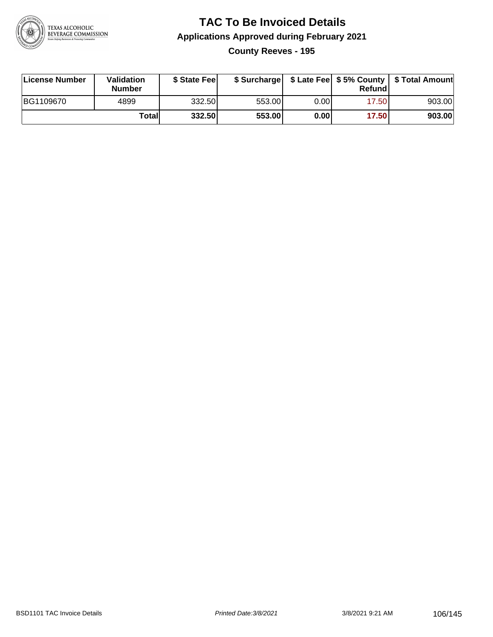

#### **TAC To Be Invoiced Details Applications Approved during February 2021 County Reeves - 195**

| License Number | <b>Validation</b><br><b>Number</b> | \$ State Fee |        |      | Refund | \$ Surcharge   \$ Late Fee   \$5% County   \$ Total Amount |
|----------------|------------------------------------|--------------|--------|------|--------|------------------------------------------------------------|
| BG1109670      | 4899                               | 332.50       | 553.00 | 0.00 | 17.50  | 903.00                                                     |
|                | Totall                             | 332.50       | 553.00 | 0.00 | 17.50  | 903.00                                                     |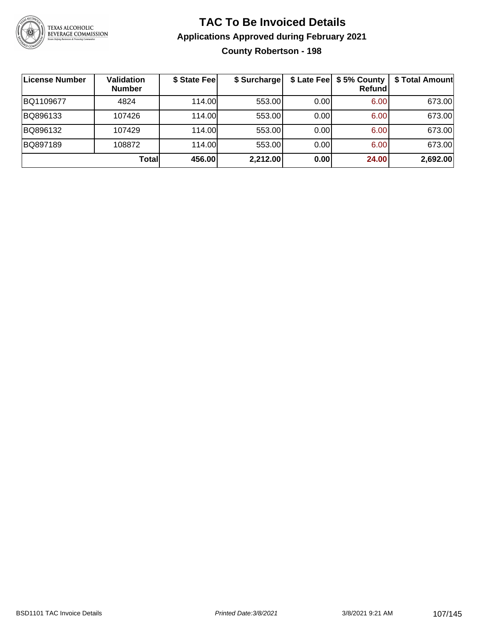

#### **TAC To Be Invoiced Details Applications Approved during February 2021 County Robertson - 198**

| <b>License Number</b> | Validation<br><b>Number</b> | \$ State Fee | \$ Surcharge |      | \$ Late Fee   \$5% County  <br><b>Refund</b> | \$ Total Amount |
|-----------------------|-----------------------------|--------------|--------------|------|----------------------------------------------|-----------------|
| BQ1109677             | 4824                        | 114.00L      | 553.00       | 0.00 | 6.00                                         | 673.00          |
| BQ896133              | 107426                      | 114.00L      | 553.00       | 0.00 | 6.00                                         | 673.00          |
| BQ896132              | 107429                      | 114.00L      | 553.00       | 0.00 | 6.00                                         | 673.00          |
| BQ897189              | 108872                      | 114.00       | 553.00       | 0.00 | 6.00                                         | 673.00          |
|                       | Total                       | 456.00       | 2,212.00     | 0.00 | 24.00                                        | 2,692.00        |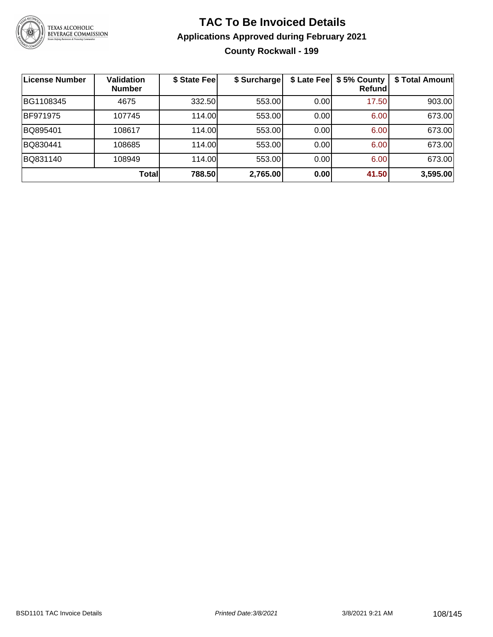

#### **TAC To Be Invoiced Details Applications Approved during February 2021 County Rockwall - 199**

| <b>License Number</b> | <b>Validation</b><br><b>Number</b> | \$ State Fee | \$ Surcharge |      | \$ Late Fee   \$5% County<br>Refund | \$ Total Amount |
|-----------------------|------------------------------------|--------------|--------------|------|-------------------------------------|-----------------|
| BG1108345             | 4675                               | 332.50       | 553.00       | 0.00 | 17.50                               | 903.00          |
| BF971975              | 107745                             | 114.00       | 553.00       | 0.00 | 6.00                                | 673.00          |
| BQ895401              | 108617                             | 114.00       | 553.00       | 0.00 | 6.00                                | 673.00          |
| BQ830441              | 108685                             | 114.00       | 553.00       | 0.00 | 6.00                                | 673.00          |
| BQ831140              | 108949                             | 114.00       | 553.00       | 0.00 | 6.00                                | 673.00          |
|                       | Total                              | 788.50       | 2,765.00     | 0.00 | 41.50                               | 3,595.00        |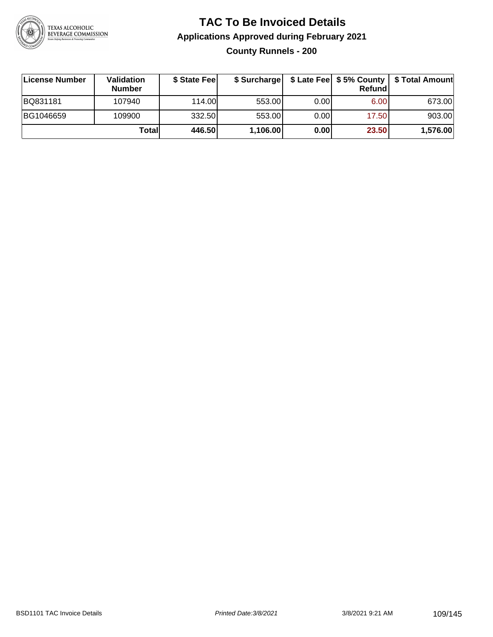

#### **TAC To Be Invoiced Details Applications Approved during February 2021 County Runnels - 200**

| ∣License Number | <b>Validation</b><br><b>Number</b> | \$ State Fee | \$ Surcharge |       | <b>Refund</b> |          |
|-----------------|------------------------------------|--------------|--------------|-------|---------------|----------|
| BQ831181        | 107940                             | 114.00L      | 553.00       | 0.001 | 6.00          | 673.00   |
| BG1046659       | 109900                             | 332.50       | 553.00       | 0.001 | 17.50         | 903.00   |
|                 | Totall                             | 446.50       | 1,106.00     | 0.00  | 23.50         | 1,576.00 |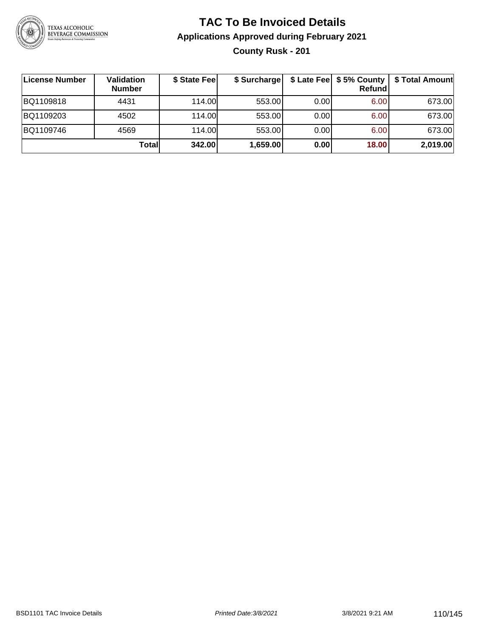

#### **TAC To Be Invoiced Details Applications Approved during February 2021 County Rusk - 201**

| License Number | Validation<br><b>Number</b> | \$ State Fee | \$ Surcharge |       | Refund | \$ Late Fee   \$5% County   \$ Total Amount |
|----------------|-----------------------------|--------------|--------------|-------|--------|---------------------------------------------|
| BQ1109818      | 4431                        | 114.00       | 553.00       | 0.001 | 6.00   | 673.00                                      |
| BQ1109203      | 4502                        | 114.00       | 553.00       | 0.001 | 6.00   | 673.00                                      |
| BQ1109746      | 4569                        | 114.00       | 553.00       | 0.001 | 6.00   | 673.00                                      |
|                | Totall                      | 342.00       | 1,659.00     | 0.00  | 18.00  | 2,019.00                                    |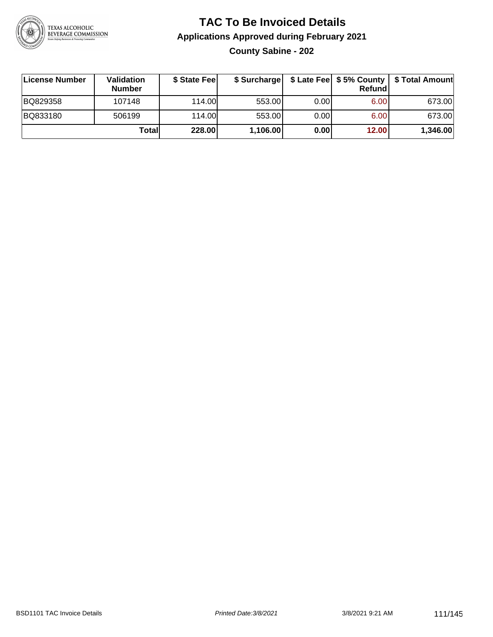

#### **TAC To Be Invoiced Details Applications Approved during February 2021 County Sabine - 202**

| License Number | Validation<br><b>Number</b> | \$ State Fee | \$ Surcharge |      | Refund | \$ Late Fee   \$5% County   \$ Total Amount |
|----------------|-----------------------------|--------------|--------------|------|--------|---------------------------------------------|
| BQ829358       | 107148                      | 114.00       | 553.00       | 0.00 | 6.00   | 673.00                                      |
| BQ833180       | 506199                      | 114.00       | 553.00       | 0.00 | 6.00   | 673.00                                      |
|                | Totall                      | 228.00       | 1,106.00     | 0.00 | 12.00  | 1,346.00                                    |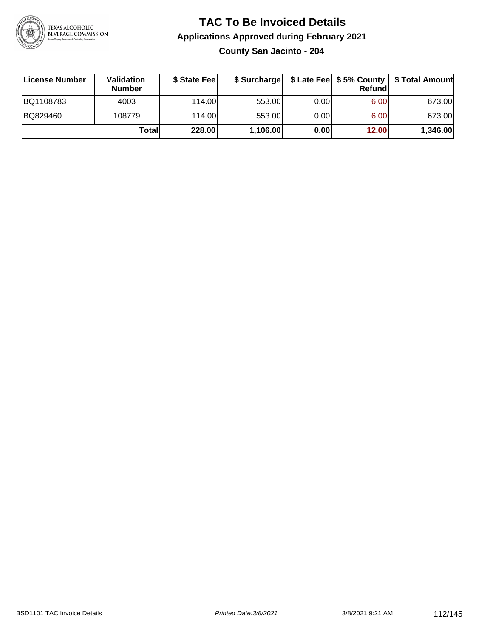

**County San Jacinto - 204**

| License Number | Validation<br><b>Number</b> | \$ State Fee | \$ Surcharge |       | Refundl | \$ Late Fee   \$5% County   \$ Total Amount |
|----------------|-----------------------------|--------------|--------------|-------|---------|---------------------------------------------|
| BQ1108783      | 4003                        | 114.00       | 553.00       | 0.00  | 6.00    | 673.00                                      |
| BQ829460       | 108779                      | 114.00L      | 553.00       | 0.001 | 6.00    | 673.00                                      |
|                | Totall                      | 228.00       | 1,106.00     | 0.00  | 12.00   | 1,346.00                                    |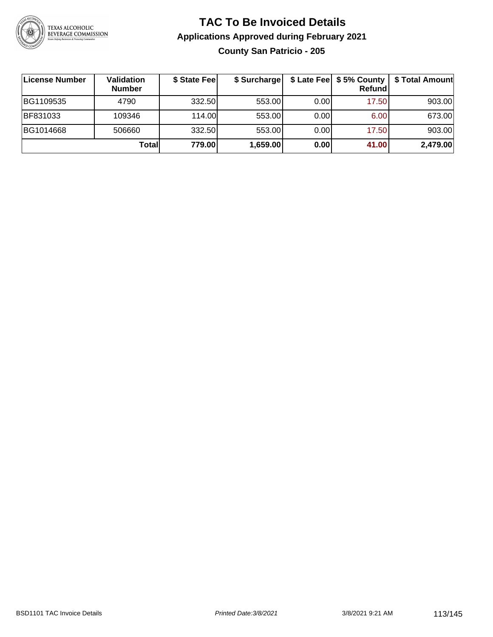

#### **TAC To Be Invoiced Details Applications Approved during February 2021 County San Patricio - 205**

| <b>License Number</b> | <b>Validation</b><br><b>Number</b> | \$ State Fee | \$ Surcharge |       | Refund | \$ Late Fee   \$5% County   \$ Total Amount |
|-----------------------|------------------------------------|--------------|--------------|-------|--------|---------------------------------------------|
| BG1109535             | 4790                               | 332.50       | 553.00       | 0.00  | 17.50  | 903.00                                      |
| BF831033              | 109346                             | 114.00       | 553.00       | 0.00  | 6.00   | 673.00                                      |
| BG1014668             | 506660                             | 332.50       | 553.00       | 0.001 | 17.50  | 903.00                                      |
|                       | Totall                             | 779.00       | 1,659.00     | 0.00  | 41.00  | 2,479.00                                    |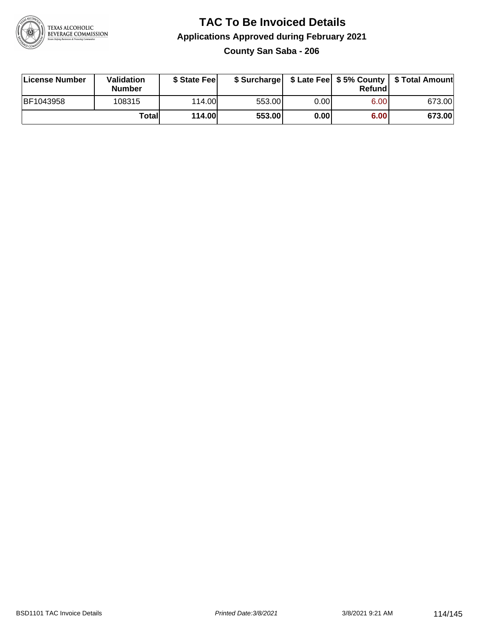

#### **TAC To Be Invoiced Details Applications Approved during February 2021 County San Saba - 206**

| License Number | <b>Validation</b><br><b>Number</b> | \$ State Feel |        |       | Refundl | \$ Surcharge   \$ Late Fee   \$5% County   \$ Total Amount |
|----------------|------------------------------------|---------------|--------|-------|---------|------------------------------------------------------------|
| BF1043958      | 108315                             | 114.00L       | 553.00 | 0.00  | 6.00    | 673.00                                                     |
|                | Totall                             | <b>114.00</b> | 553.00 | 0.001 | 6.00    | 673.00                                                     |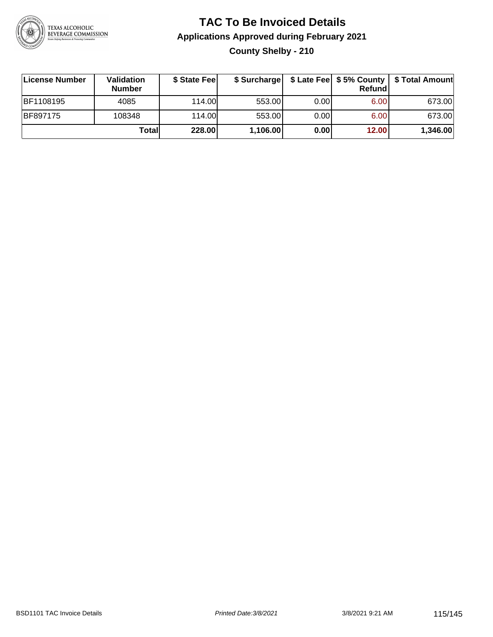

#### **TAC To Be Invoiced Details Applications Approved during February 2021 County Shelby - 210**

| License Number  | Validation<br><b>Number</b> | \$ State Fee |          |      | Refund | \$ Surcharge   \$ Late Fee   \$5% County   \$ Total Amount |
|-----------------|-----------------------------|--------------|----------|------|--------|------------------------------------------------------------|
| BF1108195       | 4085                        | 114.00       | 553.00   | 0.00 | 6.00   | 673.00                                                     |
| <b>BF897175</b> | 108348                      | 114.00       | 553.00   | 0.00 | 6.00   | 673.00                                                     |
|                 | Totall                      | 228.00       | 1,106.00 | 0.00 | 12.00  | 1,346.00                                                   |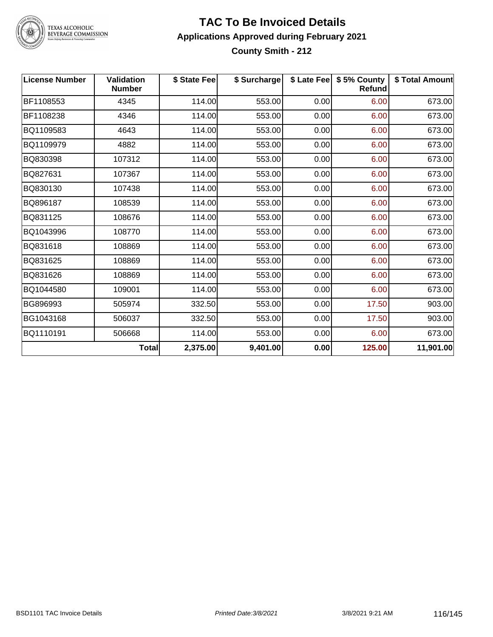

TEXAS ALCOHOLIC<br>BEVERAGE COMMISSION

#### **TAC To Be Invoiced Details Applications Approved during February 2021 County Smith - 212**

| <b>License Number</b> | Validation<br><b>Number</b> | \$ State Fee | \$ Surcharge |      | \$ Late Fee   \$5% County<br>Refund | \$ Total Amount |
|-----------------------|-----------------------------|--------------|--------------|------|-------------------------------------|-----------------|
| BF1108553             | 4345                        | 114.00       | 553.00       | 0.00 | 6.00                                | 673.00          |
| BF1108238             | 4346                        | 114.00       | 553.00       | 0.00 | 6.00                                | 673.00          |
| BQ1109583             | 4643                        | 114.00       | 553.00       | 0.00 | 6.00                                | 673.00          |
| BQ1109979             | 4882                        | 114.00       | 553.00       | 0.00 | 6.00                                | 673.00          |
| BQ830398              | 107312                      | 114.00       | 553.00       | 0.00 | 6.00                                | 673.00          |
| BQ827631              | 107367                      | 114.00       | 553.00       | 0.00 | 6.00                                | 673.00          |
| BQ830130              | 107438                      | 114.00       | 553.00       | 0.00 | 6.00                                | 673.00          |
| BQ896187              | 108539                      | 114.00       | 553.00       | 0.00 | 6.00                                | 673.00          |
| BQ831125              | 108676                      | 114.00       | 553.00       | 0.00 | 6.00                                | 673.00          |
| BQ1043996             | 108770                      | 114.00       | 553.00       | 0.00 | 6.00                                | 673.00          |
| BQ831618              | 108869                      | 114.00       | 553.00       | 0.00 | 6.00                                | 673.00          |
| BQ831625              | 108869                      | 114.00       | 553.00       | 0.00 | 6.00                                | 673.00          |
| BQ831626              | 108869                      | 114.00       | 553.00       | 0.00 | 6.00                                | 673.00          |
| BQ1044580             | 109001                      | 114.00       | 553.00       | 0.00 | 6.00                                | 673.00          |
| BG896993              | 505974                      | 332.50       | 553.00       | 0.00 | 17.50                               | 903.00          |
| BG1043168             | 506037                      | 332.50       | 553.00       | 0.00 | 17.50                               | 903.00          |
| BQ1110191             | 506668                      | 114.00       | 553.00       | 0.00 | 6.00                                | 673.00          |
|                       | <b>Total</b>                | 2,375.00     | 9,401.00     | 0.00 | 125.00                              | 11,901.00       |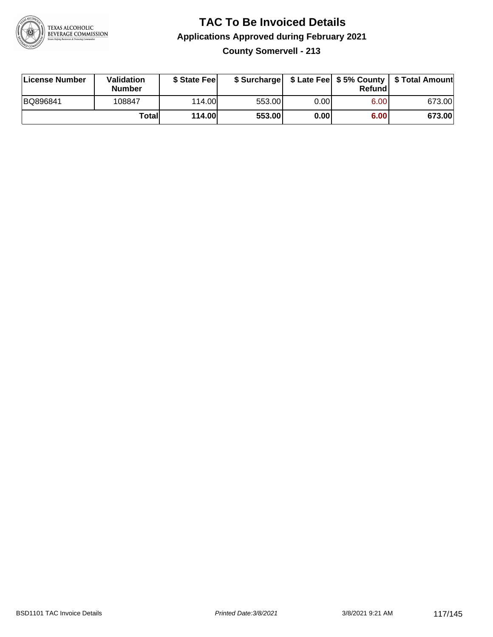

**County Somervell - 213**

| License Number | <b>Validation</b><br><b>Number</b> | \$ State Feel | \$ Surcharge |       | Refundl | \$ Late Fee   \$5% County   \$ Total Amount |
|----------------|------------------------------------|---------------|--------------|-------|---------|---------------------------------------------|
| BQ896841       | 108847                             | 114.00        | 553.00       | 0.001 | 6.00    | 673.00                                      |
|                | Totall                             | 114.00        | 553.00       | 0.00  | 6.00    | 673.00                                      |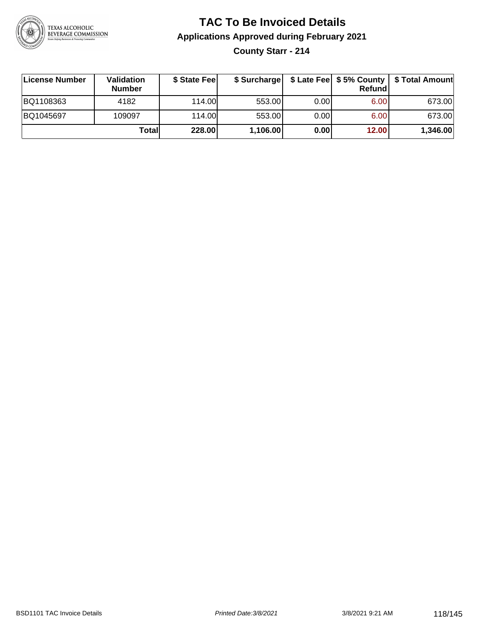

#### **TAC To Be Invoiced Details Applications Approved during February 2021 County Starr - 214**

| License Number | Validation<br><b>Number</b> | \$ State Fee |          |      | Refundl | \$ Surcharge   \$ Late Fee   \$5% County   \$ Total Amount |
|----------------|-----------------------------|--------------|----------|------|---------|------------------------------------------------------------|
| BQ1108363      | 4182                        | 114.00       | 553.00   | 0.00 | 6.00    | 673.00                                                     |
| BQ1045697      | 109097                      | 114.00       | 553.00   | 0.00 | 6.00    | 673.00                                                     |
|                | Totall                      | 228.00       | 1,106.00 | 0.00 | 12.00   | 1,346.00                                                   |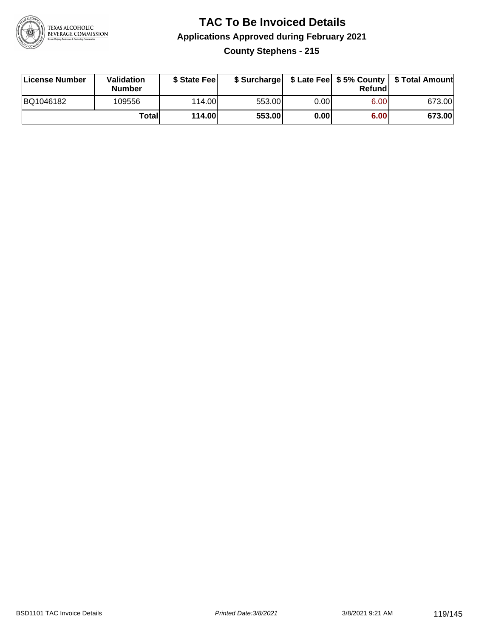

#### **TAC To Be Invoiced Details Applications Approved during February 2021 County Stephens - 215**

| <b>License Number</b> | <b>Validation</b><br><b>Number</b> | \$ State Fee | \$ Surcharge |       | Refundl |        |
|-----------------------|------------------------------------|--------------|--------------|-------|---------|--------|
| BQ1046182             | 109556                             | 114.00L      | 553.00       | 0.001 | 6.00    | 673.00 |
|                       | Totall                             | 114.00       | 553.00       | 0.00  | 6.00    | 673.00 |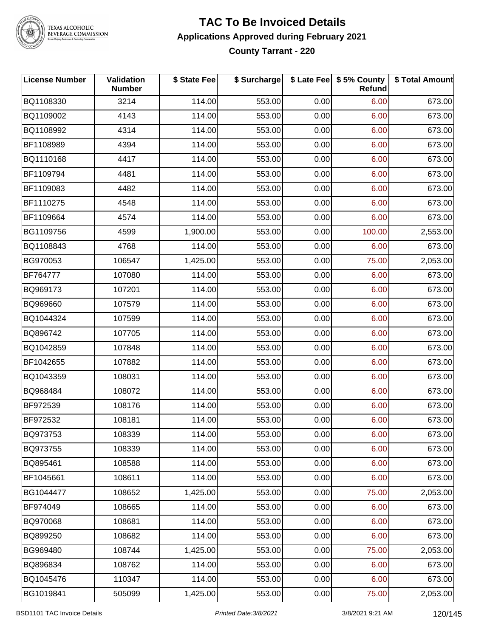

TEXAS ALCOHOLIC<br>BEVERAGE COMMISSION

#### **TAC To Be Invoiced Details Applications Approved during February 2021 County Tarrant - 220**

| <b>License Number</b> | Validation<br><b>Number</b> | \$ State Fee | \$ Surcharge |      | \$ Late Fee   \$5% County<br>Refund | \$ Total Amount |
|-----------------------|-----------------------------|--------------|--------------|------|-------------------------------------|-----------------|
| BQ1108330             | 3214                        | 114.00       | 553.00       | 0.00 | 6.00                                | 673.00          |
| BQ1109002             | 4143                        | 114.00       | 553.00       | 0.00 | 6.00                                | 673.00          |
| BQ1108992             | 4314                        | 114.00       | 553.00       | 0.00 | 6.00                                | 673.00          |
| BF1108989             | 4394                        | 114.00       | 553.00       | 0.00 | 6.00                                | 673.00          |
| BQ1110168             | 4417                        | 114.00       | 553.00       | 0.00 | 6.00                                | 673.00          |
| BF1109794             | 4481                        | 114.00       | 553.00       | 0.00 | 6.00                                | 673.00          |
| BF1109083             | 4482                        | 114.00       | 553.00       | 0.00 | 6.00                                | 673.00          |
| BF1110275             | 4548                        | 114.00       | 553.00       | 0.00 | 6.00                                | 673.00          |
| BF1109664             | 4574                        | 114.00       | 553.00       | 0.00 | 6.00                                | 673.00          |
| BG1109756             | 4599                        | 1,900.00     | 553.00       | 0.00 | 100.00                              | 2,553.00        |
| BQ1108843             | 4768                        | 114.00       | 553.00       | 0.00 | 6.00                                | 673.00          |
| BG970053              | 106547                      | 1,425.00     | 553.00       | 0.00 | 75.00                               | 2,053.00        |
| BF764777              | 107080                      | 114.00       | 553.00       | 0.00 | 6.00                                | 673.00          |
| BQ969173              | 107201                      | 114.00       | 553.00       | 0.00 | 6.00                                | 673.00          |
| BQ969660              | 107579                      | 114.00       | 553.00       | 0.00 | 6.00                                | 673.00          |
| BQ1044324             | 107599                      | 114.00       | 553.00       | 0.00 | 6.00                                | 673.00          |
| BQ896742              | 107705                      | 114.00       | 553.00       | 0.00 | 6.00                                | 673.00          |
| BQ1042859             | 107848                      | 114.00       | 553.00       | 0.00 | 6.00                                | 673.00          |
| BF1042655             | 107882                      | 114.00       | 553.00       | 0.00 | 6.00                                | 673.00          |
| BQ1043359             | 108031                      | 114.00       | 553.00       | 0.00 | 6.00                                | 673.00          |
| BQ968484              | 108072                      | 114.00       | 553.00       | 0.00 | 6.00                                | 673.00          |
| BF972539              | 108176                      | 114.00       | 553.00       | 0.00 | 6.00                                | 673.00          |
| BF972532              | 108181                      | 114.00       | 553.00       | 0.00 | 6.00                                | 673.00          |
| BQ973753              | 108339                      | 114.00       | 553.00       | 0.00 | 6.00                                | 673.00          |
| BQ973755              | 108339                      | 114.00       | 553.00       | 0.00 | 6.00                                | 673.00          |
| BQ895461              | 108588                      | 114.00       | 553.00       | 0.00 | 6.00                                | 673.00          |
| BF1045661             | 108611                      | 114.00       | 553.00       | 0.00 | 6.00                                | 673.00          |
| BG1044477             | 108652                      | 1,425.00     | 553.00       | 0.00 | 75.00                               | 2,053.00        |
| BF974049              | 108665                      | 114.00       | 553.00       | 0.00 | 6.00                                | 673.00          |
| BQ970068              | 108681                      | 114.00       | 553.00       | 0.00 | 6.00                                | 673.00          |
| BQ899250              | 108682                      | 114.00       | 553.00       | 0.00 | 6.00                                | 673.00          |
| BG969480              | 108744                      | 1,425.00     | 553.00       | 0.00 | 75.00                               | 2,053.00        |
| BQ896834              | 108762                      | 114.00       | 553.00       | 0.00 | 6.00                                | 673.00          |
| BQ1045476             | 110347                      | 114.00       | 553.00       | 0.00 | 6.00                                | 673.00          |
| BG1019841             | 505099                      | 1,425.00     | 553.00       | 0.00 | 75.00                               | 2,053.00        |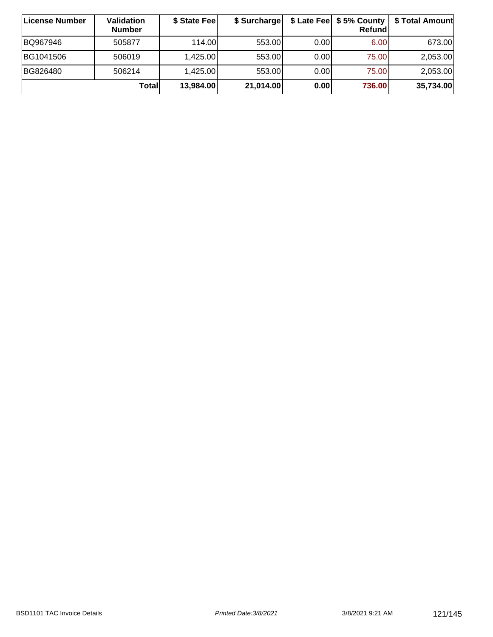| ∣License Number | Validation<br><b>Number</b> | \$ State Fee | \$ Surcharge |       | \$ Late Fee   \$5% County  <br>Refundl | \$ Total Amount |
|-----------------|-----------------------------|--------------|--------------|-------|----------------------------------------|-----------------|
| BQ967946        | 505877                      | 114.00       | 553.00       | 0.001 | 6.00                                   | 673.00          |
| BG1041506       | 506019                      | 1,425.00     | 553.00       | 0.00  | 75.00                                  | 2,053.00        |
| BG826480        | 506214                      | 1,425.00     | 553.00       | 0.00  | 75.00                                  | 2,053.00        |
|                 | <b>Total</b>                | 13,984.00    | 21,014.00    | 0.00  | 736.00                                 | 35,734.00       |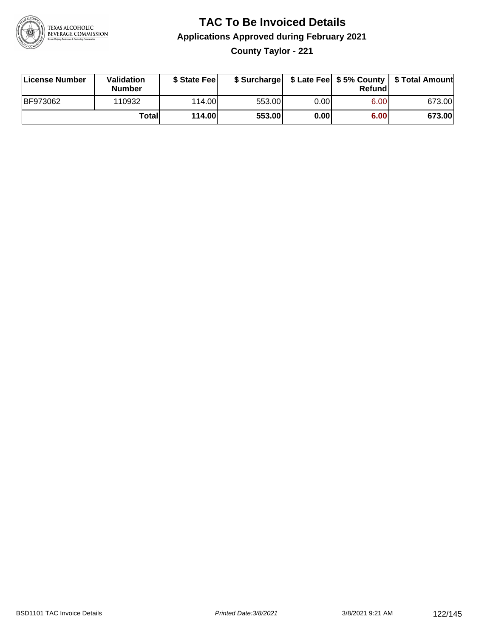

**County Taylor - 221**

| License Number  | <b>Validation</b><br><b>Number</b> | \$ State Feel |        |      | Refundl | \$ Surcharge   \$ Late Fee   \$5% County   \$ Total Amount |
|-----------------|------------------------------------|---------------|--------|------|---------|------------------------------------------------------------|
| <b>BF973062</b> | 110932                             | 114.00L       | 553.00 | 0.00 | 6.00    | 673.00                                                     |
|                 | Totall                             | <b>114.00</b> | 553.00 | 0.00 | 6.00    | 673.00                                                     |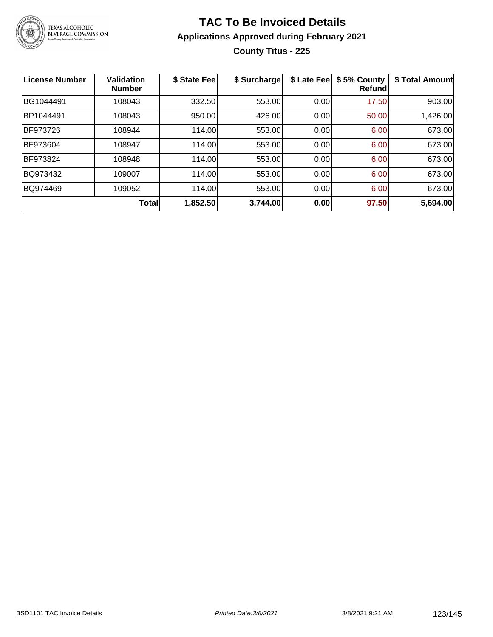

#### **TAC To Be Invoiced Details Applications Approved during February 2021 County Titus - 225**

| <b>License Number</b> | <b>Validation</b><br><b>Number</b> | \$ State Fee | \$ Surcharge | \$ Late Fee | \$5% County<br><b>Refund</b> | \$ Total Amount |
|-----------------------|------------------------------------|--------------|--------------|-------------|------------------------------|-----------------|
| BG1044491             | 108043                             | 332.50       | 553.00       | 0.00        | 17.50                        | 903.00          |
| BP1044491             | 108043                             | 950.00       | 426.00       | 0.00        | 50.00                        | 1,426.00        |
| <b>BF973726</b>       | 108944                             | 114.00       | 553.00       | 0.00        | 6.00                         | 673.00          |
| BF973604              | 108947                             | 114.00       | 553.00       | 0.00        | 6.00                         | 673.00          |
| BF973824              | 108948                             | 114.00       | 553.00       | 0.00        | 6.00                         | 673.00          |
| BQ973432              | 109007                             | 114.00       | 553.00       | 0.00        | 6.00                         | 673.00          |
| BQ974469              | 109052                             | 114.00       | 553.00       | 0.00        | 6.00                         | 673.00          |
|                       | Total                              | 1,852.50     | 3,744.00     | 0.00        | 97.50                        | 5,694.00        |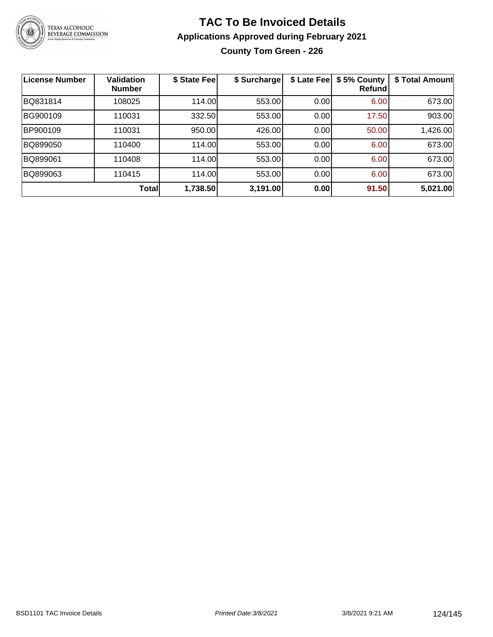

#### **TAC To Be Invoiced Details Applications Approved during February 2021 County Tom Green - 226**

| <b>License Number</b> | <b>Validation</b><br><b>Number</b> | \$ State Fee | \$ Surcharge | \$ Late Fee | \$5% County<br>Refund | \$ Total Amount |
|-----------------------|------------------------------------|--------------|--------------|-------------|-----------------------|-----------------|
| BQ831814              | 108025                             | 114.00       | 553.00       | 0.00        | 6.00                  | 673.00          |
| BG900109              | 110031                             | 332.50       | 553.00       | 0.00        | 17.50                 | 903.00          |
| BP900109              | 110031                             | 950.00       | 426.00       | 0.00        | 50.00                 | 1,426.00        |
| BQ899050              | 110400                             | 114.00       | 553.00       | 0.00        | 6.00                  | 673.00          |
| BQ899061              | 110408                             | 114.00       | 553.00       | 0.00        | 6.00                  | 673.00          |
| BQ899063              | 110415                             | 114.00       | 553.00       | 0.00        | 6.00                  | 673.00          |
|                       | Total                              | 1,738.50     | 3,191.00     | 0.00        | 91.50                 | 5,021.00        |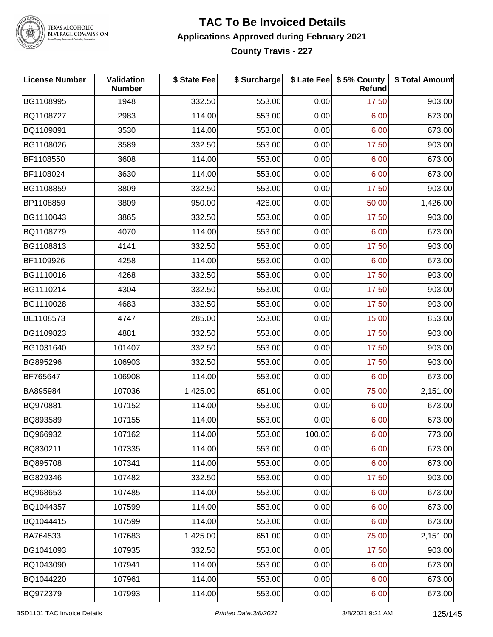

#### **TEXAS ALCOHOLIC BEVERAGE COMMISSION**

#### **TAC To Be Invoiced Details Applications Approved during February 2021 County Travis - 227**

**License Number Validation Number \$ State Fee \$ Surcharge \$ Late Fee \$ 5% County Refund \$ Total Amount** BG1108995 | 1948 | 332.50| 553.00| 0.00| 17.50| 903.00 BQ1108727 | 2983 | 114.00| 553.00| 0.00| 6.00| 673.00 BQ1109891 | 3530 | 114.00| 553.00| 0.00| 6.00| 673.00 BG1108026 | 3589 | 332.50| 553.00| 0.00| 17.50| 903.00 BF1108550 | 3608 | 114.00| 553.00| 0.00| 6.00| 673.00 BF1108024 | 3630 | 114.00| 553.00| 0.00| 6.00| 673.00 BG1108859 | 3809 | 332.50| 553.00| 0.00| 17.50| 903.00 BP1108859 3809 950.00 426.00 0.00 50.00 1,426.00 BG1110043 | 3865 | 332.50| 553.00| 0.00| 17.50| 903.00 BQ1108779 4070 114.00 553.00 0.00 6.00 673.00 BG1108813 4141 332.50 553.00 0.00 17.50 903.00 BF1109926 | 4258 | 114.00| 553.00| 0.00| 6.00| 673.00 BG1110016 | 4268 | 332.50| 553.00| 0.00| 17.50| 903.00 BG1110214 4304 332.50 553.00 0.00 17.50 903.00 BG1110028 | 4683 | 332.50| 553.00| 0.00| 17.50| 903.00 BE1108573 4747 285.00 553.00 0.00 15.00 853.00 BG1109823 | 4881 | 332.50| 553.00| 0.00| 17.50| 903.00 BG1031640 | 101407 | 332.50| 553.00| 0.00| 17.50| 903.00 BG895296 | 106903 | 332.50| 553.00| 0.00| 17.50| 903.00 BF765647 | 106908 | 114.00| 553.00| 0.00| 6.00| 673.00 BA895984 | 107036 | 1,425.00| 651.00| 0.00| 75.00| 2,151.00 BQ970881 107152 114.00 553.00 0.00 6.00 673.00 BQ893589 107155 114.00 553.00 0.00 6.00 673.00 BQ966932 107162 114.00 553.00 100.00 6.00 773.00 BQ830211 | 107335 | 114.00| 553.00| 0.00| 6.00| 673.00 BQ895708 107341 114.00 553.00 0.00 6.00 673.00 BG829346 | 107482 | 332.50| 553.00| 0.00| 17.50| 903.00 BQ968653 107485 114.00 553.00 0.00 6.00 673.00 BQ1044357 107599 114.00 553.00 0.00 6.00 673.00 BQ1044415 | 107599 | 114.00| 553.00| 0.00| 6.00| 673.00 BA764533 107683 1,425.00 651.00 0.00 75.00 2,151.00 BG1041093 | 107935 | 332.50| 553.00| 0.00| 17.50| 903.00 BQ1043090 107941 114.00 553.00 0.00 6.00 673.00 BQ1044220 107961 114.00 553.00 0.00 6.00 673.00 BQ972379 107993 114.00 553.00 0.00 6.00 673.00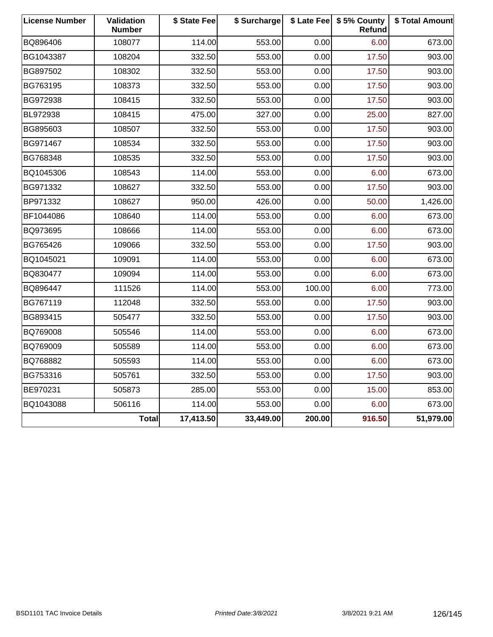| <b>License Number</b> | Validation<br><b>Number</b> | \$ State Fee | \$ Surcharge |        | \$ Late Fee   \$5% County<br>Refund | \$ Total Amount |
|-----------------------|-----------------------------|--------------|--------------|--------|-------------------------------------|-----------------|
| BQ896406              | 108077                      | 114.00       | 553.00       | 0.00   | 6.00                                | 673.00          |
| BG1043387             | 108204                      | 332.50       | 553.00       | 0.00   | 17.50                               | 903.00          |
| BG897502              | 108302                      | 332.50       | 553.00       | 0.00   | 17.50                               | 903.00          |
| BG763195              | 108373                      | 332.50       | 553.00       | 0.00   | 17.50                               | 903.00          |
| BG972938              | 108415                      | 332.50       | 553.00       | 0.00   | 17.50                               | 903.00          |
| BL972938              | 108415                      | 475.00       | 327.00       | 0.00   | 25.00                               | 827.00          |
| BG895603              | 108507                      | 332.50       | 553.00       | 0.00   | 17.50                               | 903.00          |
| BG971467              | 108534                      | 332.50       | 553.00       | 0.00   | 17.50                               | 903.00          |
| BG768348              | 108535                      | 332.50       | 553.00       | 0.00   | 17.50                               | 903.00          |
| BQ1045306             | 108543                      | 114.00       | 553.00       | 0.00   | 6.00                                | 673.00          |
| BG971332              | 108627                      | 332.50       | 553.00       | 0.00   | 17.50                               | 903.00          |
| BP971332              | 108627                      | 950.00       | 426.00       | 0.00   | 50.00                               | 1,426.00        |
| BF1044086             | 108640                      | 114.00       | 553.00       | 0.00   | 6.00                                | 673.00          |
| BQ973695              | 108666                      | 114.00       | 553.00       | 0.00   | 6.00                                | 673.00          |
| BG765426              | 109066                      | 332.50       | 553.00       | 0.00   | 17.50                               | 903.00          |
| BQ1045021             | 109091                      | 114.00       | 553.00       | 0.00   | 6.00                                | 673.00          |
| BQ830477              | 109094                      | 114.00       | 553.00       | 0.00   | 6.00                                | 673.00          |
| BQ896447              | 111526                      | 114.00       | 553.00       | 100.00 | 6.00                                | 773.00          |
| BG767119              | 112048                      | 332.50       | 553.00       | 0.00   | 17.50                               | 903.00          |
| BG893415              | 505477                      | 332.50       | 553.00       | 0.00   | 17.50                               | 903.00          |
| BQ769008              | 505546                      | 114.00       | 553.00       | 0.00   | 6.00                                | 673.00          |
| BQ769009              | 505589                      | 114.00       | 553.00       | 0.00   | 6.00                                | 673.00          |
| BQ768882              | 505593                      | 114.00       | 553.00       | 0.00   | 6.00                                | 673.00          |
| BG753316              | 505761                      | 332.50       | 553.00       | 0.00   | 17.50                               | 903.00          |
| BE970231              | 505873                      | 285.00       | 553.00       | 0.00   | 15.00                               | 853.00          |
| BQ1043088             | 506116                      | 114.00       | 553.00       | 0.00   | 6.00                                | 673.00          |
|                       | <b>Total</b>                | 17,413.50    | 33,449.00    | 200.00 | 916.50                              | 51,979.00       |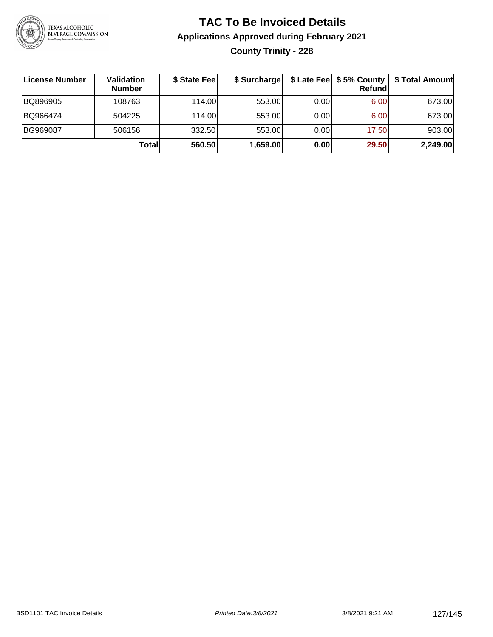

### **TAC To Be Invoiced Details Applications Approved during February 2021 County Trinity - 228**

| ∣License Number | Validation<br><b>Number</b> | \$ State Fee | \$ Surcharge |      | \$ Late Fee   \$5% County<br>Refundl | \$ Total Amount |
|-----------------|-----------------------------|--------------|--------------|------|--------------------------------------|-----------------|
| BQ896905        | 108763                      | 114.00L      | 553.00       | 0.00 | 6.00                                 | 673.00          |
| BQ966474        | 504225                      | 114.00L      | 553.00       | 0.00 | 6.00                                 | 673.00          |
| BG969087        | 506156                      | 332.50       | 553.00       | 0.00 | 17.50                                | 903.00          |
|                 | Totall                      | 560.50       | 1,659.00     | 0.00 | 29.50                                | 2,249.00        |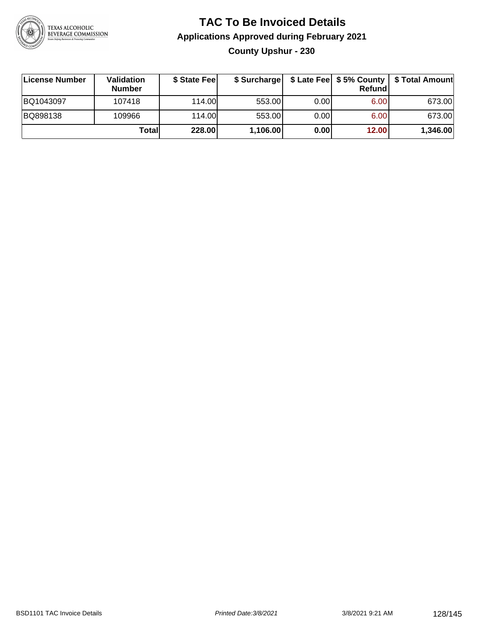

#### **TAC To Be Invoiced Details Applications Approved during February 2021 County Upshur - 230**

| License Number | <b>Validation</b><br><b>Number</b> | \$ State Fee |          |       | Refundl | \$ Surcharge   \$ Late Fee   \$5% County   \$ Total Amount |
|----------------|------------------------------------|--------------|----------|-------|---------|------------------------------------------------------------|
| BQ1043097      | 107418                             | 114.00       | 553.00   | 0.001 | 6.00    | 673.00                                                     |
| BQ898138       | 109966                             | 114.00       | 553.00   | 0.001 | 6.00    | 673.00                                                     |
|                | Totall                             | 228.00       | 1,106.00 | 0.00  | 12.00   | 1,346.00                                                   |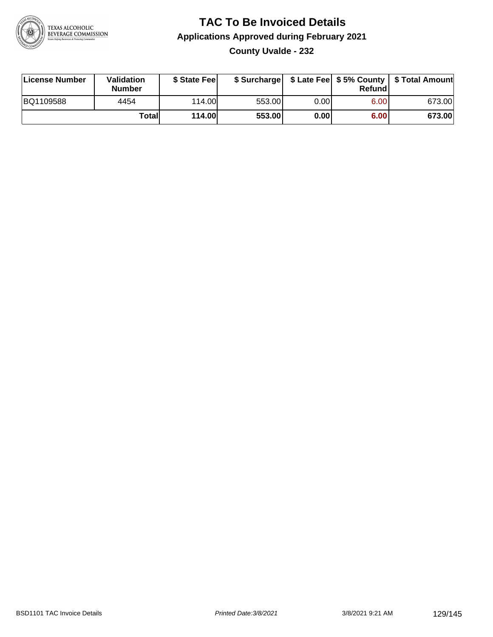

#### **TAC To Be Invoiced Details Applications Approved during February 2021 County Uvalde - 232**

| License Number | <b>Validation</b><br><b>Number</b> | \$ State Feel |        |       | Refund | \$ Surcharge   \$ Late Fee   \$5% County   \$ Total Amount |
|----------------|------------------------------------|---------------|--------|-------|--------|------------------------------------------------------------|
| BQ1109588      | 4454                               | 114.00        | 553.00 | 0.001 | 6.00   | 673.00                                                     |
|                | Totall                             | 114.00        | 553.00 | 0.00  | 6.00   | 673.00                                                     |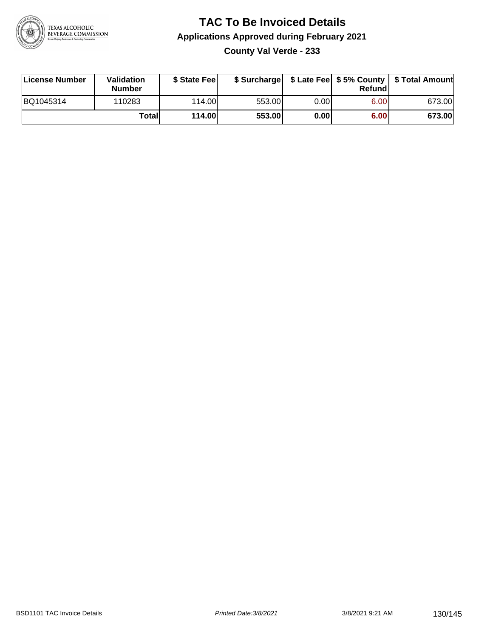

#### **TAC To Be Invoiced Details Applications Approved during February 2021 County Val Verde - 233**

| License Number | Validation<br><b>Number</b> | \$ State Fee  |        |      | Refund | \$ Surcharge   \$ Late Fee   \$5% County   \$ Total Amount |
|----------------|-----------------------------|---------------|--------|------|--------|------------------------------------------------------------|
| BQ1045314      | 110283                      | 114.00        | 553.00 | 0.00 | 6.00   | 673.00                                                     |
|                | Totall                      | <b>114.00</b> | 553.00 | 0.00 | 6.00   | 673.00                                                     |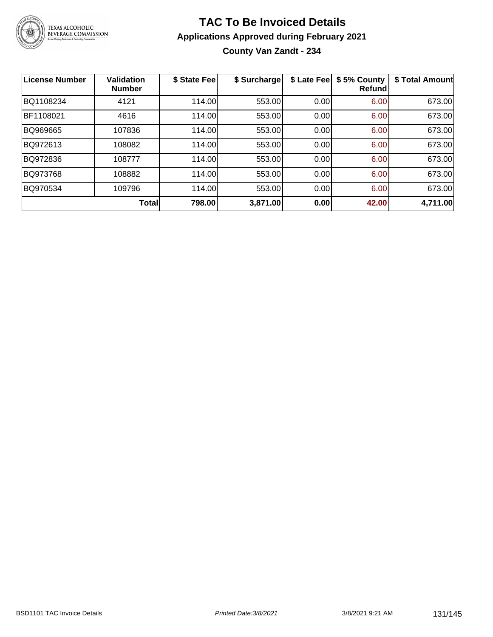

# TEXAS ALCOHOLIC<br>BEVERAGE COMMISSION

#### **TAC To Be Invoiced Details Applications Approved during February 2021 County Van Zandt - 234**

| <b>License Number</b> | <b>Validation</b><br><b>Number</b> | \$ State Fee | \$ Surcharge | \$ Late Fee | \$5% County<br><b>Refund</b> | \$ Total Amount |
|-----------------------|------------------------------------|--------------|--------------|-------------|------------------------------|-----------------|
| BQ1108234             | 4121                               | 114.00       | 553.00       | 0.00        | 6.00                         | 673.00          |
| BF1108021             | 4616                               | 114.00       | 553.00       | 0.00        | 6.00                         | 673.00          |
| BQ969665              | 107836                             | 114.00       | 553.00       | 0.00        | 6.00                         | 673.00          |
| BQ972613              | 108082                             | 114.00       | 553.00       | 0.00        | 6.00                         | 673.00          |
| BQ972836              | 108777                             | 114.00       | 553.00       | 0.00        | 6.00                         | 673.00          |
| BQ973768              | 108882                             | 114.00       | 553.00       | 0.00        | 6.00                         | 673.00          |
| BQ970534              | 109796                             | 114.00       | 553.00       | 0.00        | 6.00                         | 673.00          |
|                       | Total                              | 798.00       | 3,871.00     | 0.00        | 42.00                        | 4,711.00        |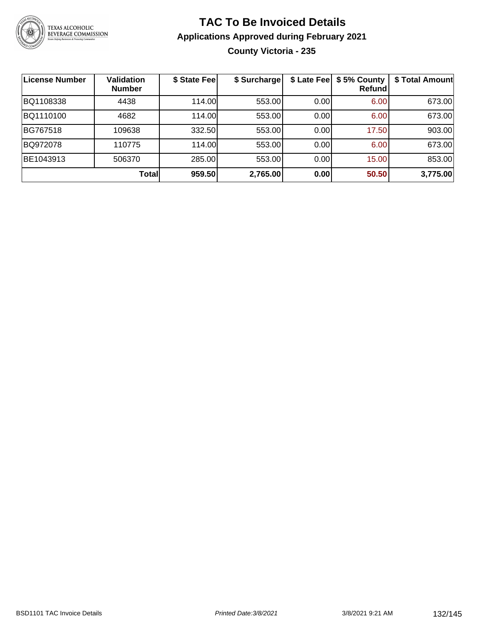

#### **TAC To Be Invoiced Details Applications Approved during February 2021 County Victoria - 235**

| <b>License Number</b> | <b>Validation</b><br><b>Number</b> | \$ State Fee | \$ Surcharge |      | \$ Late Fee   \$5% County<br>Refund | \$ Total Amount |
|-----------------------|------------------------------------|--------------|--------------|------|-------------------------------------|-----------------|
| BQ1108338             | 4438                               | 114.00       | 553.00       | 0.00 | 6.00                                | 673.00          |
| BQ1110100             | 4682                               | 114.00       | 553.00       | 0.00 | 6.00                                | 673.00          |
| BG767518              | 109638                             | 332.50       | 553.00       | 0.00 | 17.50                               | 903.00          |
| BQ972078              | 110775                             | 114.00       | 553.00       | 0.00 | 6.00                                | 673.00          |
| BE1043913             | 506370                             | 285.00       | 553.00       | 0.00 | 15.00                               | 853.00          |
|                       | Total                              | 959.50       | 2,765.00     | 0.00 | 50.50                               | 3,775.00        |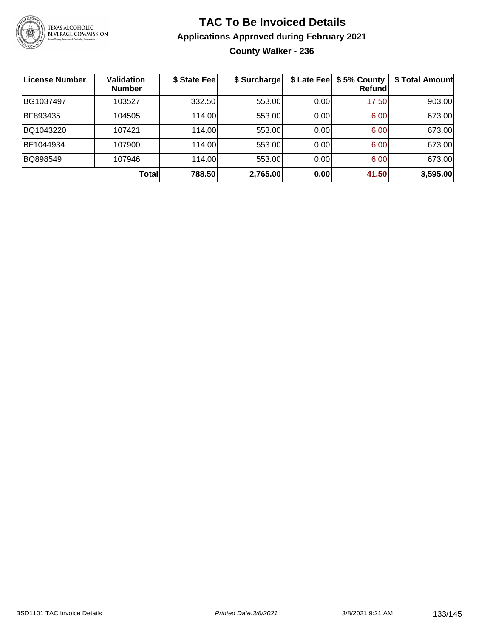

#### **TAC To Be Invoiced Details Applications Approved during February 2021 County Walker - 236**

| <b>License Number</b> | Validation<br><b>Number</b> | \$ State Fee | \$ Surcharge | \$ Late Fee | \$5% County<br>Refundl | \$ Total Amount |
|-----------------------|-----------------------------|--------------|--------------|-------------|------------------------|-----------------|
| BG1037497             | 103527                      | 332.50       | 553.00       | 0.00        | 17.50                  | 903.00          |
| BF893435              | 104505                      | 114.00       | 553.00       | 0.00        | 6.00                   | 673.00          |
| BQ1043220             | 107421                      | 114.00       | 553.00       | 0.00        | 6.00                   | 673.00          |
| BF1044934             | 107900                      | 114.00       | 553.00       | 0.00        | 6.00                   | 673.00          |
| BQ898549              | 107946                      | 114.00       | 553.00       | 0.00        | 6.00                   | 673.00          |
|                       | Total                       | 788.50       | 2,765.00     | 0.00        | 41.50                  | 3,595.00        |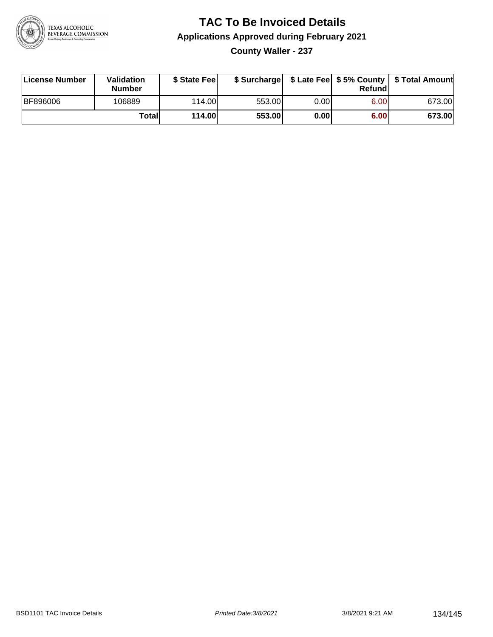

**County Waller - 237**

| License Number | <b>Validation</b><br>Number | \$ State Feel | \$ Surcharge |       | Refundl | \$ Late Fee   \$5% County   \$ Total Amount |
|----------------|-----------------------------|---------------|--------------|-------|---------|---------------------------------------------|
| BF896006       | 106889                      | 114.00        | 553.00       | 0.001 | 6.00    | 673.00                                      |
|                | Totall                      | 114.00        | 553.00       | 0.00  | 6.00    | 673.00                                      |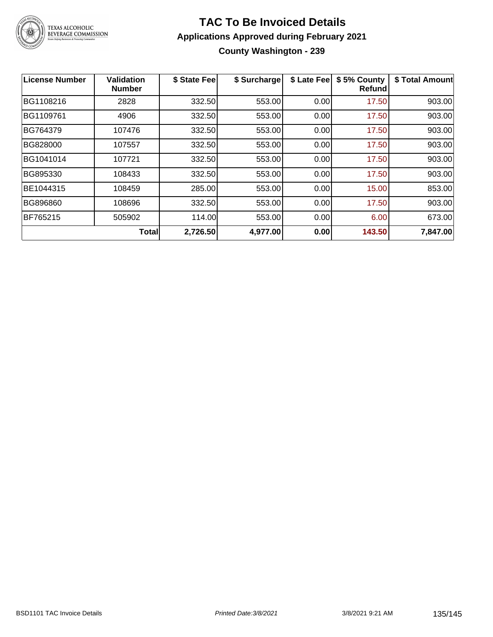

#### **TAC To Be Invoiced Details Applications Approved during February 2021 County Washington - 239**

| <b>License Number</b> | Validation<br><b>Number</b> | \$ State Fee | \$ Surcharge | \$ Late Fee | \$5% County<br><b>Refund</b> | \$ Total Amount |
|-----------------------|-----------------------------|--------------|--------------|-------------|------------------------------|-----------------|
| BG1108216             | 2828                        | 332.50       | 553.00       | 0.00        | 17.50                        | 903.00          |
| BG1109761             | 4906                        | 332.50       | 553.00       | 0.00        | 17.50                        | 903.00          |
| BG764379              | 107476                      | 332.50       | 553.00       | 0.00        | 17.50                        | 903.00          |
| BG828000              | 107557                      | 332.50       | 553.00       | 0.00        | 17.50                        | 903.00          |
| BG1041014             | 107721                      | 332.50       | 553.00       | 0.00        | 17.50                        | 903.00          |
| BG895330              | 108433                      | 332.50       | 553.00       | 0.00        | 17.50                        | 903.00          |
| BE1044315             | 108459                      | 285.00       | 553.00       | 0.00        | 15.00                        | 853.00          |
| BG896860              | 108696                      | 332.50       | 553.00       | 0.00        | 17.50                        | 903.00          |
| BF765215              | 505902                      | 114.00       | 553.00       | 0.00        | 6.00                         | 673.00          |
|                       | <b>Total</b>                | 2,726.50     | 4,977.00     | 0.00        | 143.50                       | 7,847.00        |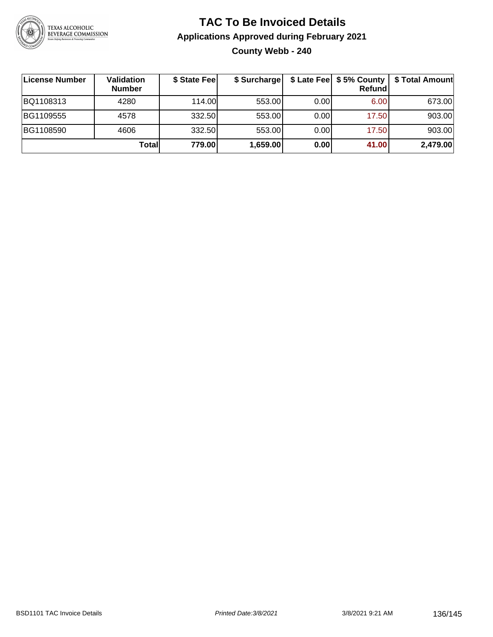

#### **TAC To Be Invoiced Details Applications Approved during February 2021 County Webb - 240**

| ∣License Number | Validation<br><b>Number</b> | \$ State Fee | \$ Surcharge |       | \$ Late Fee   \$5% County<br>Refundl | \$ Total Amount |
|-----------------|-----------------------------|--------------|--------------|-------|--------------------------------------|-----------------|
| BQ1108313       | 4280                        | 114.00L      | 553.00       | 0.001 | 6.00                                 | 673.00          |
| BG1109555       | 4578                        | 332.50       | 553.00       | 0.00  | 17.50                                | 903.00          |
| BG1108590       | 4606                        | 332.50       | 553.00       | 0.00  | 17.50                                | 903.00          |
|                 | Totall                      | 779.00       | 1,659.00     | 0.00  | 41.00                                | 2,479.00        |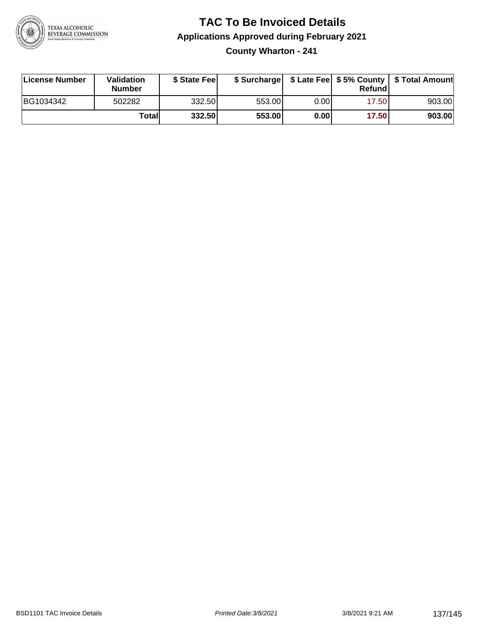

#### **TAC To Be Invoiced Details Applications Approved during February 2021 County Wharton - 241**

| License Number | Validation<br><b>Number</b> | \$ State Feel |        |      | Refund | \$ Surcharge   \$ Late Fee   \$5% County   \$ Total Amount |
|----------------|-----------------------------|---------------|--------|------|--------|------------------------------------------------------------|
| BG1034342      | 502282                      | 332.50        | 553.00 | 0.00 | 17.50  | 903.00                                                     |
|                | Totall                      | 332.50        | 553.00 | 0.00 | 17.50  | 903.00                                                     |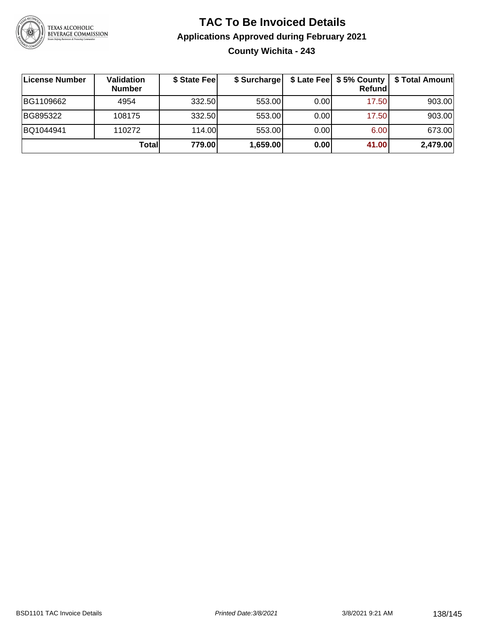

#### **TAC To Be Invoiced Details Applications Approved during February 2021 County Wichita - 243**

| License Number | Validation<br><b>Number</b> | \$ State Fee | \$ Surcharge |       | Refund | \$ Late Fee   \$5% County   \$ Total Amount |
|----------------|-----------------------------|--------------|--------------|-------|--------|---------------------------------------------|
| BG1109662      | 4954                        | 332.50       | 553.00       | 0.001 | 17.50  | 903.00                                      |
| BG895322       | 108175                      | 332.50       | 553.00       | 0.001 | 17.50  | 903.00                                      |
| BQ1044941      | 110272                      | 114.00       | 553.00       | 0.001 | 6.00   | 673.00                                      |
|                | Totall                      | 779.00       | 1,659.00     | 0.00  | 41.00  | 2,479.00                                    |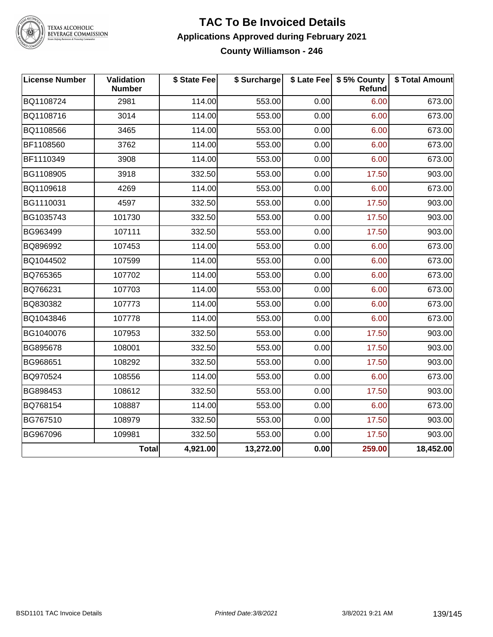

TEXAS ALCOHOLIC<br>BEVERAGE COMMISSION

#### **TAC To Be Invoiced Details Applications Approved during February 2021 County Williamson - 246**

| <b>License Number</b> | Validation<br><b>Number</b> | \$ State Fee | \$ Surcharge |      | \$ Late Fee   \$5% County<br><b>Refund</b> | \$ Total Amount |
|-----------------------|-----------------------------|--------------|--------------|------|--------------------------------------------|-----------------|
| BQ1108724             | 2981                        | 114.00       | 553.00       | 0.00 | 6.00                                       | 673.00          |
| BQ1108716             | 3014                        | 114.00       | 553.00       | 0.00 | 6.00                                       | 673.00          |
| BQ1108566             | 3465                        | 114.00       | 553.00       | 0.00 | 6.00                                       | 673.00          |
| BF1108560             | 3762                        | 114.00       | 553.00       | 0.00 | 6.00                                       | 673.00          |
| BF1110349             | 3908                        | 114.00       | 553.00       | 0.00 | 6.00                                       | 673.00          |
| BG1108905             | 3918                        | 332.50       | 553.00       | 0.00 | 17.50                                      | 903.00          |
| BQ1109618             | 4269                        | 114.00       | 553.00       | 0.00 | 6.00                                       | 673.00          |
| BG1110031             | 4597                        | 332.50       | 553.00       | 0.00 | 17.50                                      | 903.00          |
| BG1035743             | 101730                      | 332.50       | 553.00       | 0.00 | 17.50                                      | 903.00          |
| BG963499              | 107111                      | 332.50       | 553.00       | 0.00 | 17.50                                      | 903.00          |
| BQ896992              | 107453                      | 114.00       | 553.00       | 0.00 | 6.00                                       | 673.00          |
| BQ1044502             | 107599                      | 114.00       | 553.00       | 0.00 | 6.00                                       | 673.00          |
| BQ765365              | 107702                      | 114.00       | 553.00       | 0.00 | 6.00                                       | 673.00          |
| BQ766231              | 107703                      | 114.00       | 553.00       | 0.00 | 6.00                                       | 673.00          |
| BQ830382              | 107773                      | 114.00       | 553.00       | 0.00 | 6.00                                       | 673.00          |
| BQ1043846             | 107778                      | 114.00       | 553.00       | 0.00 | 6.00                                       | 673.00          |
| BG1040076             | 107953                      | 332.50       | 553.00       | 0.00 | 17.50                                      | 903.00          |
| BG895678              | 108001                      | 332.50       | 553.00       | 0.00 | 17.50                                      | 903.00          |
| BG968651              | 108292                      | 332.50       | 553.00       | 0.00 | 17.50                                      | 903.00          |
| BQ970524              | 108556                      | 114.00       | 553.00       | 0.00 | 6.00                                       | 673.00          |
| BG898453              | 108612                      | 332.50       | 553.00       | 0.00 | 17.50                                      | 903.00          |
| BQ768154              | 108887                      | 114.00       | 553.00       | 0.00 | 6.00                                       | 673.00          |
| BG767510              | 108979                      | 332.50       | 553.00       | 0.00 | 17.50                                      | 903.00          |
| BG967096              | 109981                      | 332.50       | 553.00       | 0.00 | 17.50                                      | 903.00          |
|                       | Total                       | 4,921.00     | 13,272.00    | 0.00 | 259.00                                     | 18,452.00       |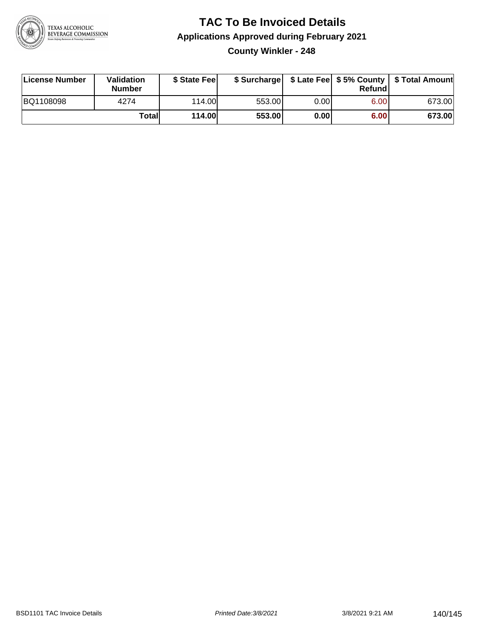

**County Winkler - 248**

| License Number | <b>Validation</b><br><b>Number</b> | \$ State Fee  | \$ Surcharge |      | Refundl |        |
|----------------|------------------------------------|---------------|--------------|------|---------|--------|
| BQ1108098      | 4274                               | 114.00        | 553.00       | 0.00 | 6.00    | 673.00 |
|                | Totall                             | <b>114.00</b> | 553.00       | 0.00 | 6.00    | 673.00 |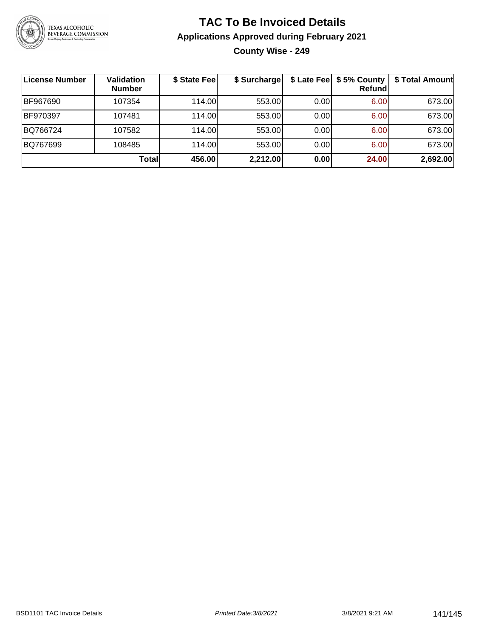

#### **TAC To Be Invoiced Details Applications Approved during February 2021 County Wise - 249**

| License Number | <b>Validation</b><br><b>Number</b> | \$ State Fee | \$ Surcharge |      | \$ Late Fee   \$5% County  <br><b>Refund</b> | \$ Total Amount |
|----------------|------------------------------------|--------------|--------------|------|----------------------------------------------|-----------------|
| BF967690       | 107354                             | 114.00       | 553.00       | 0.00 | 6.00                                         | 673.00          |
| BF970397       | 107481                             | 114.00L      | 553.00       | 0.00 | 6.00                                         | 673.00          |
| BQ766724       | 107582                             | 114.00       | 553.00       | 0.00 | 6.00                                         | 673.00          |
| BQ767699       | 108485                             | 114.00       | 553.00       | 0.00 | 6.00                                         | 673.00          |
|                | <b>Total</b>                       | 456.00       | 2,212.00     | 0.00 | 24.00                                        | 2,692.00        |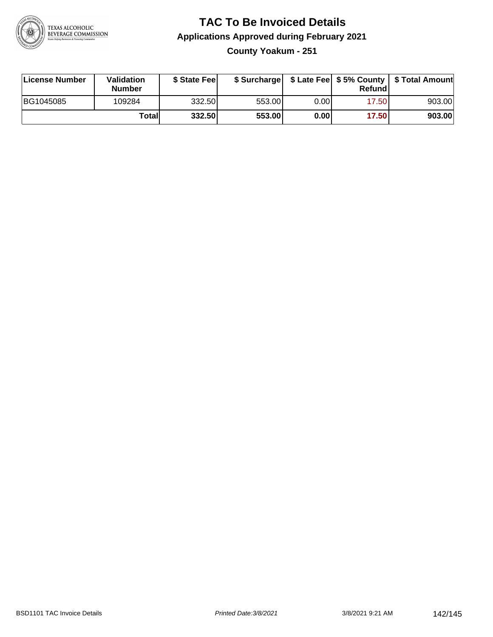

**County Yoakum - 251**

| <b>License Number</b> | <b>Validation</b><br><b>Number</b> | \$ State Fee | \$ Surcharge |      | Refundl | \$ Late Fee   \$5% County   \$ Total Amount |
|-----------------------|------------------------------------|--------------|--------------|------|---------|---------------------------------------------|
| BG1045085             | 109284                             | 332.50       | 553.00       | 0.00 | 17.501  | 903.00                                      |
|                       | Totall                             | 332.50       | 553.00       | 0.00 | 17.50   | 903.00                                      |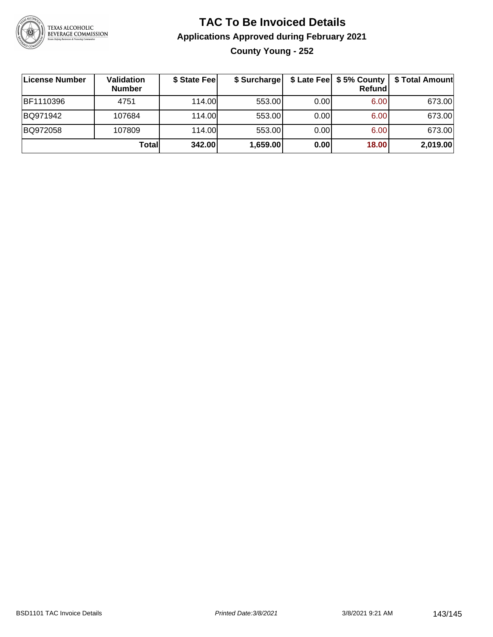

#### **TAC To Be Invoiced Details Applications Approved during February 2021 County Young - 252**

| License Number | <b>Validation</b><br><b>Number</b> | \$ State Fee | \$ Surcharge |      | \$ Late Fee   \$5% County<br>Refundl | \$ Total Amount |
|----------------|------------------------------------|--------------|--------------|------|--------------------------------------|-----------------|
| BF1110396      | 4751                               | 114.00L      | 553.00       | 0.00 | 6.00                                 | 673.00          |
| BQ971942       | 107684                             | 114.00L      | 553.00       | 0.00 | 6.00                                 | 673.00          |
| BQ972058       | 107809                             | 114.00L      | 553.00       | 0.00 | 6.00                                 | 673.00          |
|                | Total                              | 342.00       | 1,659.00     | 0.00 | 18.00                                | 2,019.00        |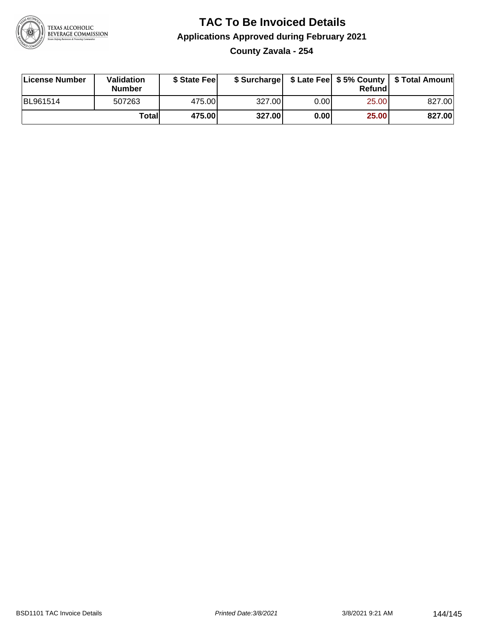

**County Zavala - 254**

| License Number | <b>Validation</b><br>Number | \$ State Fee | \$ Surcharge |       | Refundl | \$ Late Fee   \$5% County   \$ Total Amount |
|----------------|-----------------------------|--------------|--------------|-------|---------|---------------------------------------------|
| BL961514       | 507263                      | 475.00       | 327.00       | 0.001 | 25.00   | 827.00                                      |
|                | Totall                      | 475.00       | 327.00       | 0.00  | 25.00   | 827.00                                      |